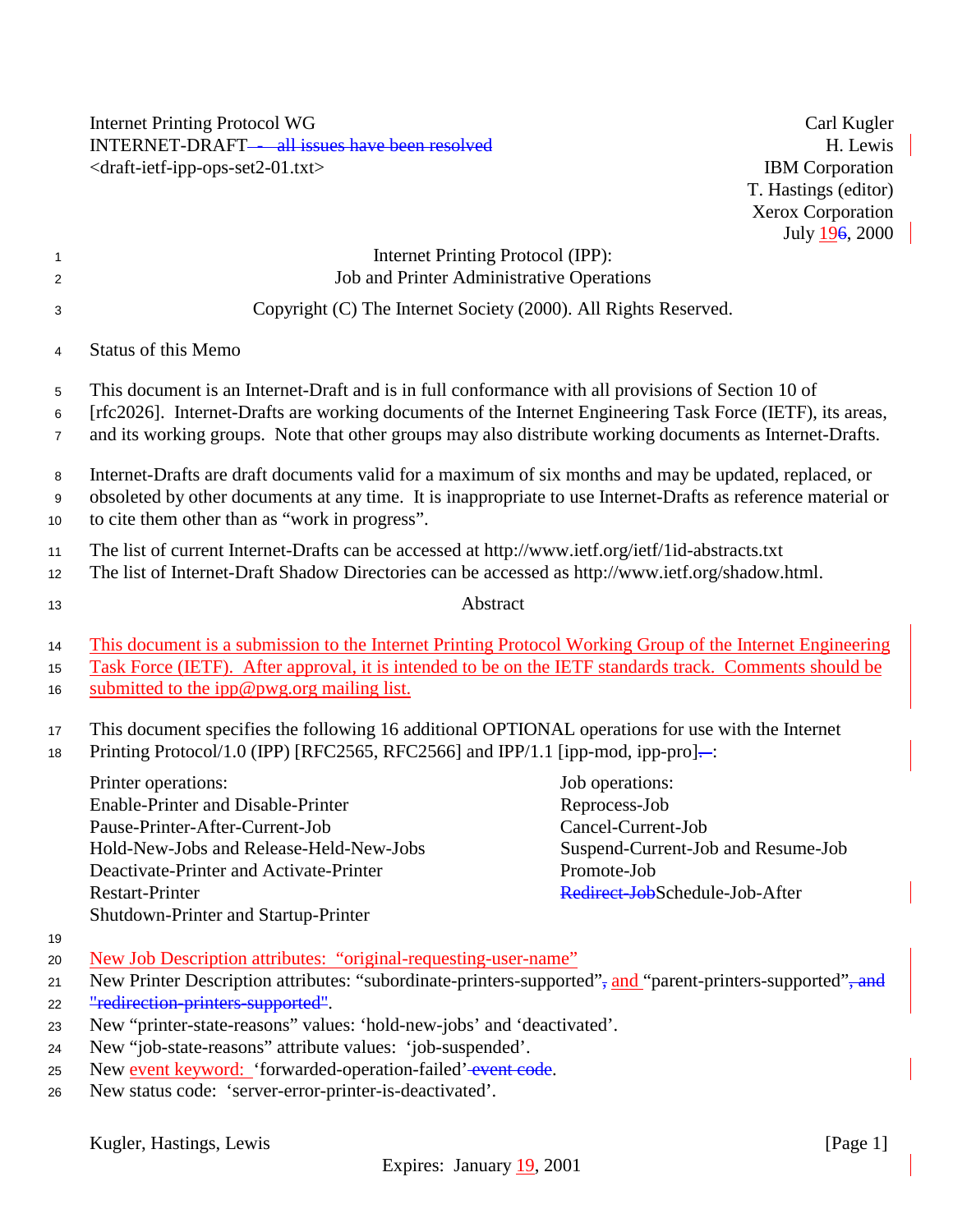Internet Printing Protocol WG Carl Kugler INTERNET-DRAFT—all issues have been resolved H. Lewis H. Lewis <draft-ietf-ipp-ops-set2-01.txt> IBM Corporation

T. Hastings (editor) Xerox Corporation July 196, 2000

 $\overline{\phantom{a}}$ 

| $\overline{1}$<br>$\overline{2}$ | Internet Printing Protocol (IPP):<br>Job and Printer Administrative Operations                                                                                                                                                                                                                                               |                                                                                                                                               |  |
|----------------------------------|------------------------------------------------------------------------------------------------------------------------------------------------------------------------------------------------------------------------------------------------------------------------------------------------------------------------------|-----------------------------------------------------------------------------------------------------------------------------------------------|--|
| 3                                | Copyright (C) The Internet Society (2000). All Rights Reserved.                                                                                                                                                                                                                                                              |                                                                                                                                               |  |
| 4                                | <b>Status of this Memo</b>                                                                                                                                                                                                                                                                                                   |                                                                                                                                               |  |
| 5<br>6<br>$\overline{7}$         | This document is an Internet-Draft and is in full conformance with all provisions of Section 10 of<br>[rfc2026]. Internet-Drafts are working documents of the Internet Engineering Task Force (IETF), its areas,<br>and its working groups. Note that other groups may also distribute working documents as Internet-Drafts. |                                                                                                                                               |  |
| 8<br>9<br>10                     | Internet-Drafts are draft documents valid for a maximum of six months and may be updated, replaced, or<br>obsoleted by other documents at any time. It is inappropriate to use Internet-Drafts as reference material or<br>to cite them other than as "work in progress".                                                    |                                                                                                                                               |  |
| 11<br>12 <sub>2</sub>            | The list of current Internet-Drafts can be accessed at http://www.ietf.org/ietf/1id-abstracts.txt<br>The list of Internet-Draft Shadow Directories can be accessed as http://www.ietf.org/shadow.html.                                                                                                                       |                                                                                                                                               |  |
| 13                               | Abstract                                                                                                                                                                                                                                                                                                                     |                                                                                                                                               |  |
| 14<br>15<br>16                   | This document is a submission to the Internet Printing Protocol Working Group of the Internet Engineering<br>Task Force (IETF). After approval, it is intended to be on the IETF standards track. Comments should be<br>submitted to the ipp@pwg.org mailing list.                                                           |                                                                                                                                               |  |
| 17<br>18                         | This document specifies the following 16 additional OPTIONAL operations for use with the Internet<br>Printing Protocol/1.0 (IPP) [RFC2565, RFC2566] and IPP/1.1 [ipp-mod, ipp-pro]-:                                                                                                                                         |                                                                                                                                               |  |
|                                  | Printer operations:<br>Enable-Printer and Disable-Printer<br>Pause-Printer-After-Current-Job<br>Hold-New-Jobs and Release-Held-New-Jobs<br>Deactivate-Printer and Activate-Printer<br><b>Restart-Printer</b><br>Shutdown-Printer and Startup-Printer                                                                         | Job operations:<br>Reprocess-Job<br>Cancel-Current-Job<br>Suspend-Current-Job and Resume-Job<br>Promote-Job<br>Redirect-JobSchedule-Job-After |  |
| 19<br>20<br>21                   | New Job Description attributes: "original-requesting-user-name"<br>New Printer Description attributes: "subordinate-printers-supported", and "parent-printers-supported", and<br>"redirection-printers-supported".                                                                                                           |                                                                                                                                               |  |
| 22<br>23<br>24<br>25             | New "printer-state-reasons" values: 'hold-new-jobs' and 'deactivated'.<br>New "job-state-reasons" attribute values: 'job-suspended'.<br>New event keyword: 'forwarded-operation-failed'-event code.                                                                                                                          |                                                                                                                                               |  |

<sup>26</sup> New status code: 'server-error-printer-is-deactivated'.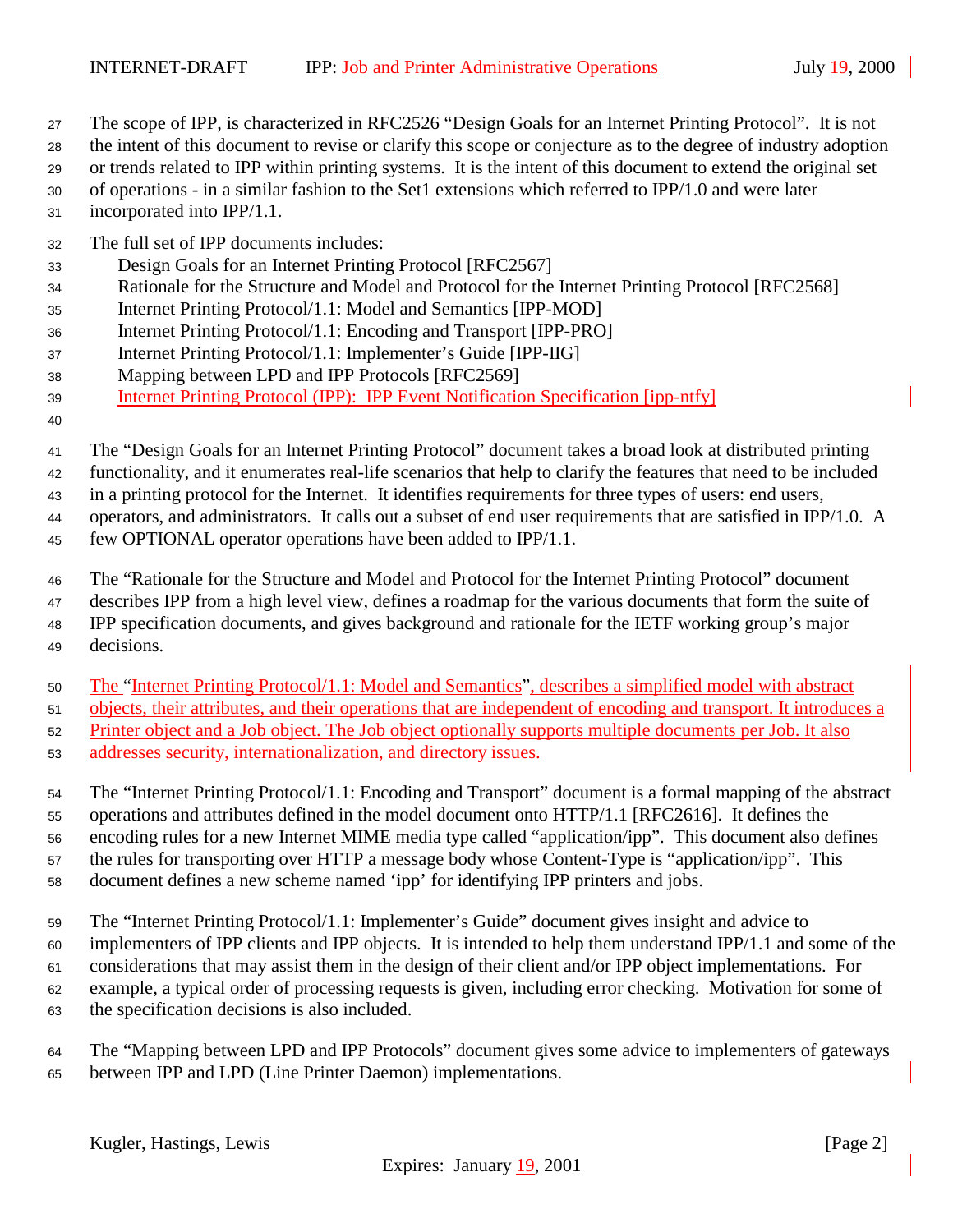- The scope of IPP, is characterized in RFC2526 "Design Goals for an Internet Printing Protocol". It is not
- the intent of this document to revise or clarify this scope or conjecture as to the degree of industry adoption
- or trends related to IPP within printing systems. It is the intent of this document to extend the original set
- of operations in a similar fashion to the Set1 extensions which referred to IPP/1.0 and were later incorporated into IPP/1.1.
- The full set of IPP documents includes:
- Design Goals for an Internet Printing Protocol [RFC2567]
- Rationale for the Structure and Model and Protocol for the Internet Printing Protocol [RFC2568]
- Internet Printing Protocol/1.1: Model and Semantics [IPP-MOD]
- Internet Printing Protocol/1.1: Encoding and Transport [IPP-PRO]
- Internet Printing Protocol/1.1: Implementer's Guide [IPP-IIG]
- Mapping between LPD and IPP Protocols [RFC2569]
- Internet Printing Protocol (IPP): IPP Event Notification Specification [ipp-ntfy]
- 
- The "Design Goals for an Internet Printing Protocol" document takes a broad look at distributed printing

functionality, and it enumerates real-life scenarios that help to clarify the features that need to be included

in a printing protocol for the Internet. It identifies requirements for three types of users: end users,

operators, and administrators. It calls out a subset of end user requirements that are satisfied in IPP/1.0. A

- few OPTIONAL operator operations have been added to IPP/1.1.
- The "Rationale for the Structure and Model and Protocol for the Internet Printing Protocol" document
- describes IPP from a high level view, defines a roadmap for the various documents that form the suite of IPP specification documents, and gives background and rationale for the IETF working group's major decisions.
- The "Internet Printing Protocol/1.1: Model and Semantics", describes a simplified model with abstract
- objects, their attributes, and their operations that are independent of encoding and transport. It introduces a
- Printer object and a Job object. The Job object optionally supports multiple documents per Job. It also
- addresses security, internationalization, and directory issues.

 The "Internet Printing Protocol/1.1: Encoding and Transport" document is a formal mapping of the abstract operations and attributes defined in the model document onto HTTP/1.1 [RFC2616]. It defines the encoding rules for a new Internet MIME media type called "application/ipp". This document also defines the rules for transporting over HTTP a message body whose Content-Type is "application/ipp". This document defines a new scheme named 'ipp' for identifying IPP printers and jobs.

- 
- The "Internet Printing Protocol/1.1: Implementer's Guide" document gives insight and advice to
- implementers of IPP clients and IPP objects. It is intended to help them understand IPP/1.1 and some of the
- considerations that may assist them in the design of their client and/or IPP object implementations. For example, a typical order of processing requests is given, including error checking. Motivation for some of
- the specification decisions is also included.
- The "Mapping between LPD and IPP Protocols" document gives some advice to implementers of gateways between IPP and LPD (Line Printer Daemon) implementations.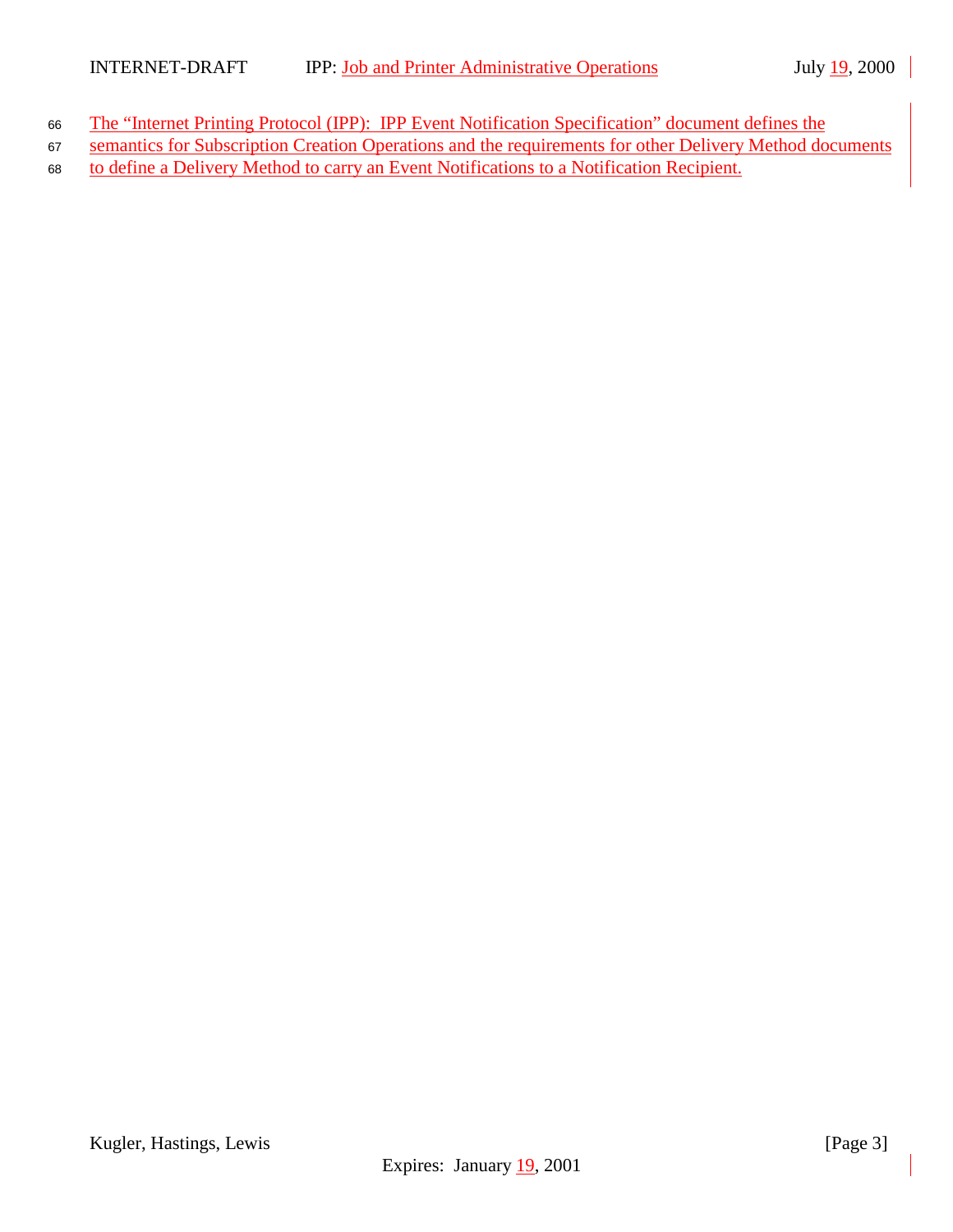- 66 The "Internet Printing Protocol (IPP): IPP Event Notification Specification" document defines the
- 67 semantics for Subscription Creation Operations and the requirements for other Delivery Method documents
- <sup>68</sup> to define a Delivery Method to carry an Event Notifications to a Notification Recipient.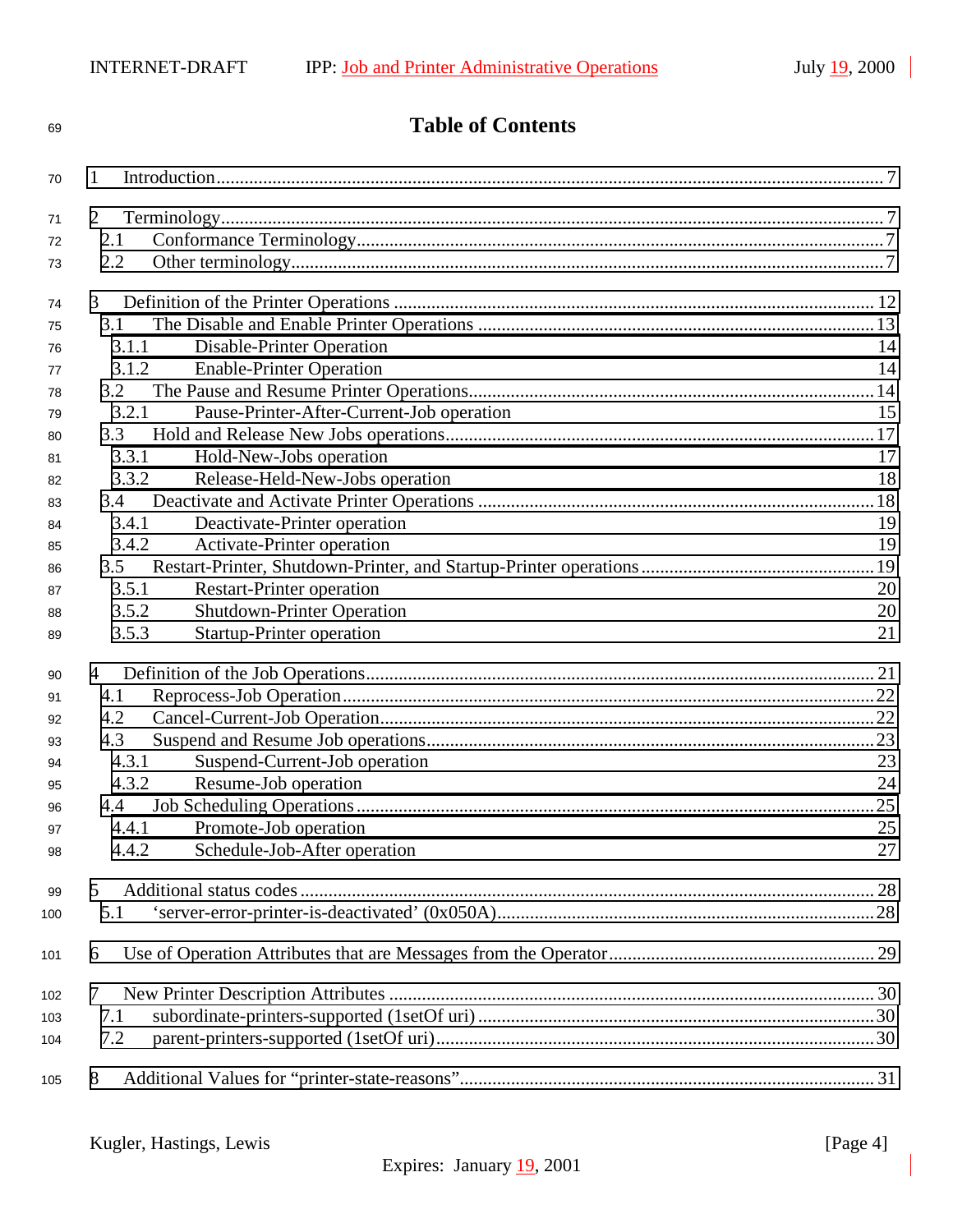**Table of Contents**

| 70  | 1              |                                           |     |
|-----|----------------|-------------------------------------------|-----|
| 71  | $\overline{2}$ |                                           |     |
| 72  | 2.1            |                                           |     |
|     | 2.2            |                                           |     |
| 73  |                |                                           |     |
| 74  | $\mathfrak{Z}$ |                                           |     |
| 75  | 3.1            |                                           |     |
| 76  | 3.1.1          | Disable-Printer Operation                 | 14  |
| 77  | 3.1.2          | <b>Enable-Printer Operation</b>           | 14  |
| 78  | 3.2            |                                           |     |
| 79  | 3.2.1          | Pause-Printer-After-Current-Job operation | 15  |
| 80  | 3.3            |                                           |     |
| 81  | 3.3.1          | Hold-New-Jobs operation                   | 17  |
| 82  | 3.3.2          | Release-Held-New-Jobs operation           | 18  |
| 83  | 3.4            |                                           |     |
| 84  | 3.4.1          | Deactivate-Printer operation              | 19  |
| 85  | 3.4.2          | Activate-Printer operation                | 19  |
| 86  | 3.5            |                                           |     |
| 87  | 3.5.1          | <b>Restart-Printer operation</b>          | 20  |
| 88  | 3.5.2          | <b>Shutdown-Printer Operation</b>         | 20  |
| 89  | 3.5.3          | <b>Startup-Printer operation</b>          | 21  |
| 90  | 4              |                                           |     |
| 91  | 4.1            |                                           |     |
| 92  | 4.2            |                                           |     |
| 93  | 4.3            |                                           |     |
| 94  | 4.3.1          | Suspend-Current-Job operation             | 23  |
| 95  | 4.3.2          | Resume-Job operation                      | 24  |
| 96  | 4.4            |                                           | .25 |
| 97  | 4.4.1          | Promote-Job operation                     | 25  |
| 98  | 4.4.2          | Schedule-Job-After operation              | 27  |
| 99  | 5              |                                           |     |
| 100 | 5.1            |                                           |     |
|     |                |                                           |     |
| 101 | 6              |                                           |     |
| 102 | 7              |                                           |     |
| 103 | 7.1            |                                           |     |
| 104 | 7.2            |                                           |     |
| 105 | 8              |                                           |     |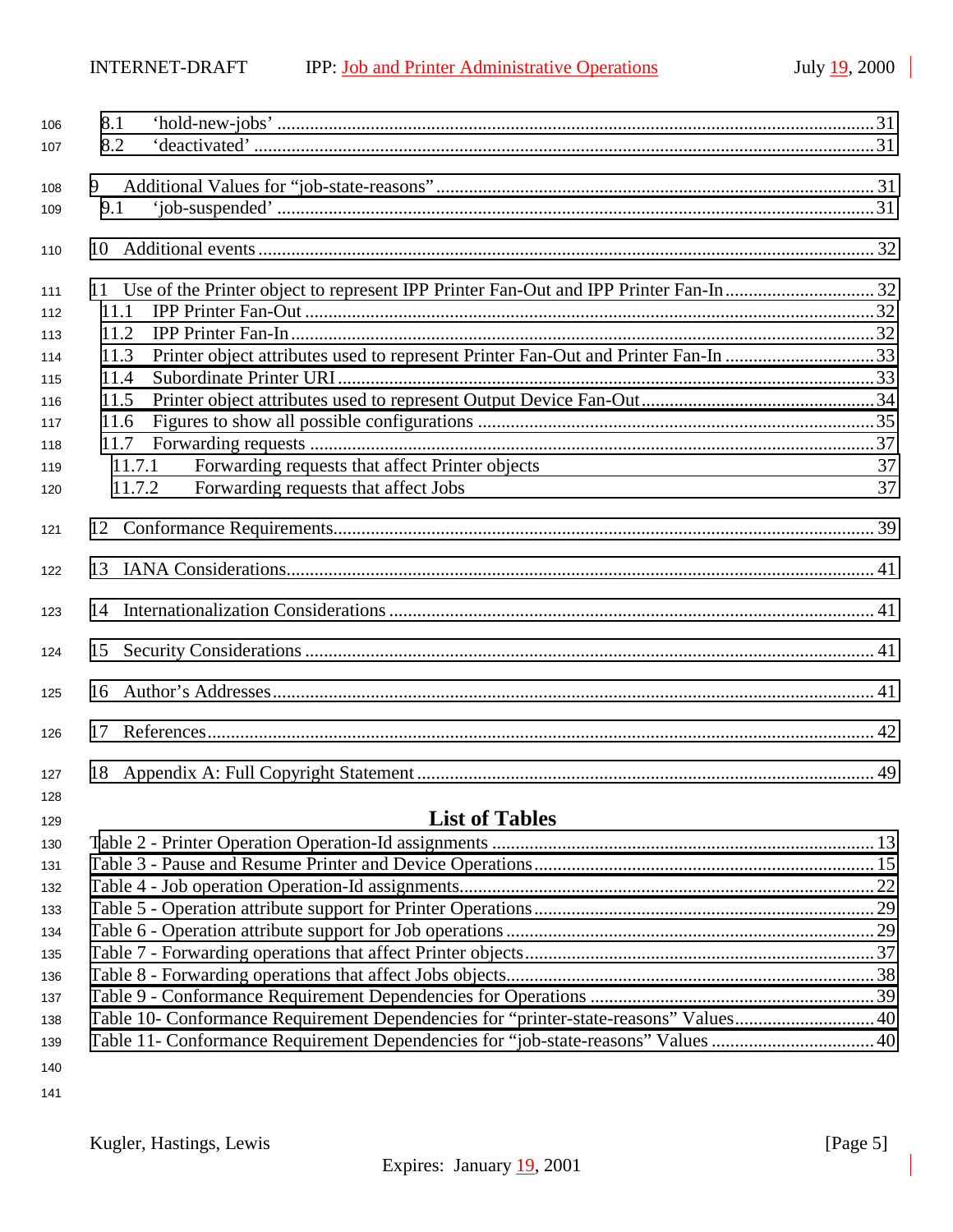| 106 | 8.1    |                                                                                      |    |
|-----|--------|--------------------------------------------------------------------------------------|----|
| 107 | 8.2    |                                                                                      |    |
|     |        |                                                                                      |    |
| 108 | 9      |                                                                                      |    |
| 109 | 9.1    |                                                                                      |    |
| 110 | 10     |                                                                                      |    |
| 111 |        |                                                                                      |    |
| 112 | 11.1   |                                                                                      |    |
| 113 | 11.2   |                                                                                      |    |
| 114 | 11.3   | Printer object attributes used to represent Printer Fan-Out and Printer Fan-In 33    |    |
| 115 | 11.4   |                                                                                      |    |
| 116 | 11.5   |                                                                                      |    |
| 117 | 11.6   |                                                                                      |    |
| 118 | 11.7   |                                                                                      |    |
| 119 | 11.7.1 | Forwarding requests that affect Printer objects                                      | 37 |
| 120 | 11.7.2 | Forwarding requests that affect Jobs                                                 | 37 |
| 121 |        |                                                                                      |    |
| 122 |        |                                                                                      |    |
| 123 |        |                                                                                      |    |
| 124 | 15     |                                                                                      |    |
| 125 | 16     |                                                                                      |    |
| 126 | 17     |                                                                                      |    |
| 127 | 18     |                                                                                      |    |
| 128 |        |                                                                                      |    |
| 129 |        | <b>List of Tables</b>                                                                |    |
| 130 |        |                                                                                      |    |
| 131 |        |                                                                                      |    |
| 132 |        |                                                                                      |    |
| 133 |        |                                                                                      |    |
| 134 |        |                                                                                      |    |
| 135 |        |                                                                                      |    |
| 136 |        |                                                                                      |    |
| 137 |        |                                                                                      |    |
| 138 |        | Table 10- Conformance Requirement Dependencies for "printer-state-reasons" Values 40 |    |
| 139 |        | Table 11- Conformance Requirement Dependencies for "job-state-reasons" Values  40    |    |
| 140 |        |                                                                                      |    |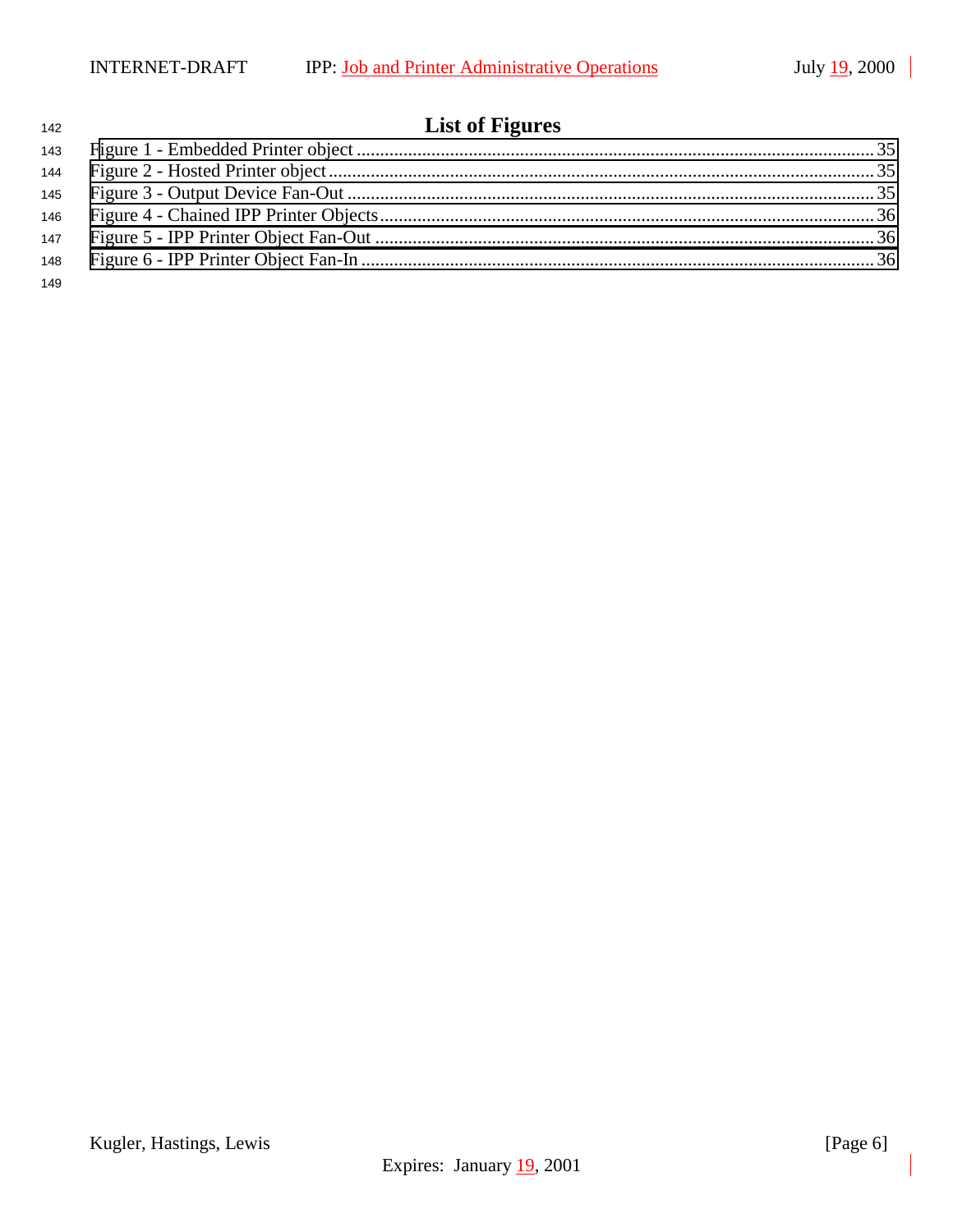# **List of Figures**

Kugler, Hastings, Lewis [Page 6] Expires: January 19, 2001

| 146 |  |
|-----|--|
|     |  |
|     |  |
| 149 |  |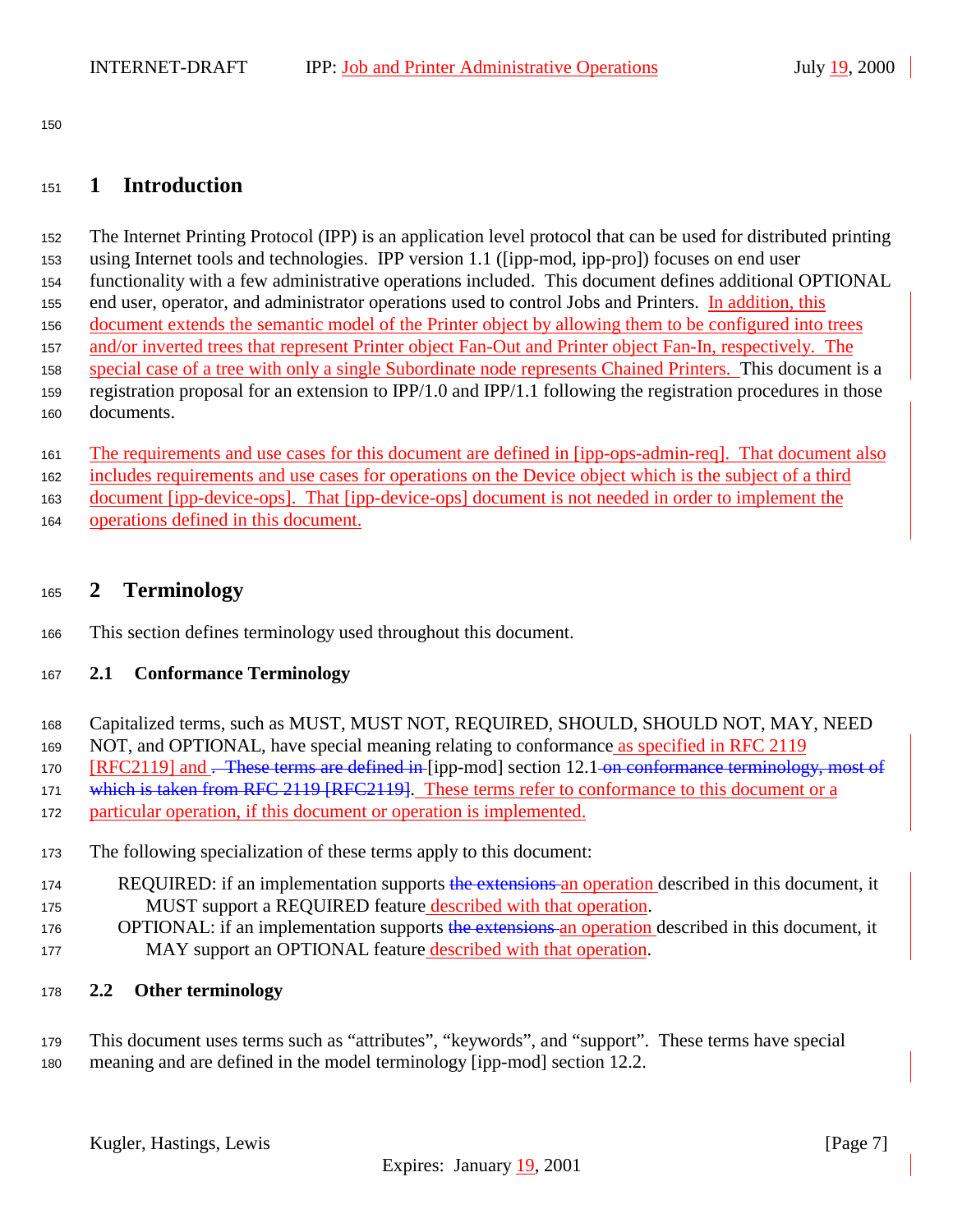<span id="page-6-0"></span>

# **1 Introduction**

 The Internet Printing Protocol (IPP) is an application level protocol that can be used for distributed printing using Internet tools and technologies. IPP version 1.1 ([ipp-mod, ipp-pro]) focuses on end user functionality with a few administrative operations included. This document defines additional OPTIONAL 155 end user, operator, and administrator operations used to control Jobs and Printers. In addition, this document extends the semantic model of the Printer object by allowing them to be configured into trees and/or inverted trees that represent Printer object Fan-Out and Printer object Fan-In, respectively. The special case of a tree with only a single Subordinate node represents Chained Printers. This document is a registration proposal for an extension to IPP/1.0 and IPP/1.1 following the registration procedures in those documents.

 The requirements and use cases for this document are defined in [ipp-ops-admin-req]. That document also includes requirements and use cases for operations on the Device object which is the subject of a third

document [ipp-device-ops]. That [ipp-device-ops] document is not needed in order to implement the

- 
- operations defined in this document.

# **2 Terminology**

This section defines terminology used throughout this document.

# **2.1 Conformance Terminology**

- Capitalized terms, such as MUST, MUST NOT, REQUIRED, SHOULD, SHOULD NOT, MAY, NEED
- NOT, and OPTIONAL, have special meaning relating to conformance as specified in RFC 2119
- 170 [RFC2119] and . These terms are defined in [ipp-mod] section 12.1 on conformance terminology, most of
- 171 which is taken from RFC 2119 [RFC2119]. These terms refer to conformance to this document or a
- particular operation, if this document or operation is implemented.
- The following specialization of these terms apply to this document:
- 174 REQUIRED: if an implementation supports the extensions an operation described in this document, it MUST support a REQUIRED feature described with that operation.
- 176 OPTIONAL: if an implementation supports the extensions an operation described in this document, it 177 MAY support an OPTIONAL feature described with that operation.
- **2.2 Other terminology**
- This document uses terms such as "attributes", "keywords", and "support". These terms have special meaning and are defined in the model terminology [ipp-mod] section 12.2.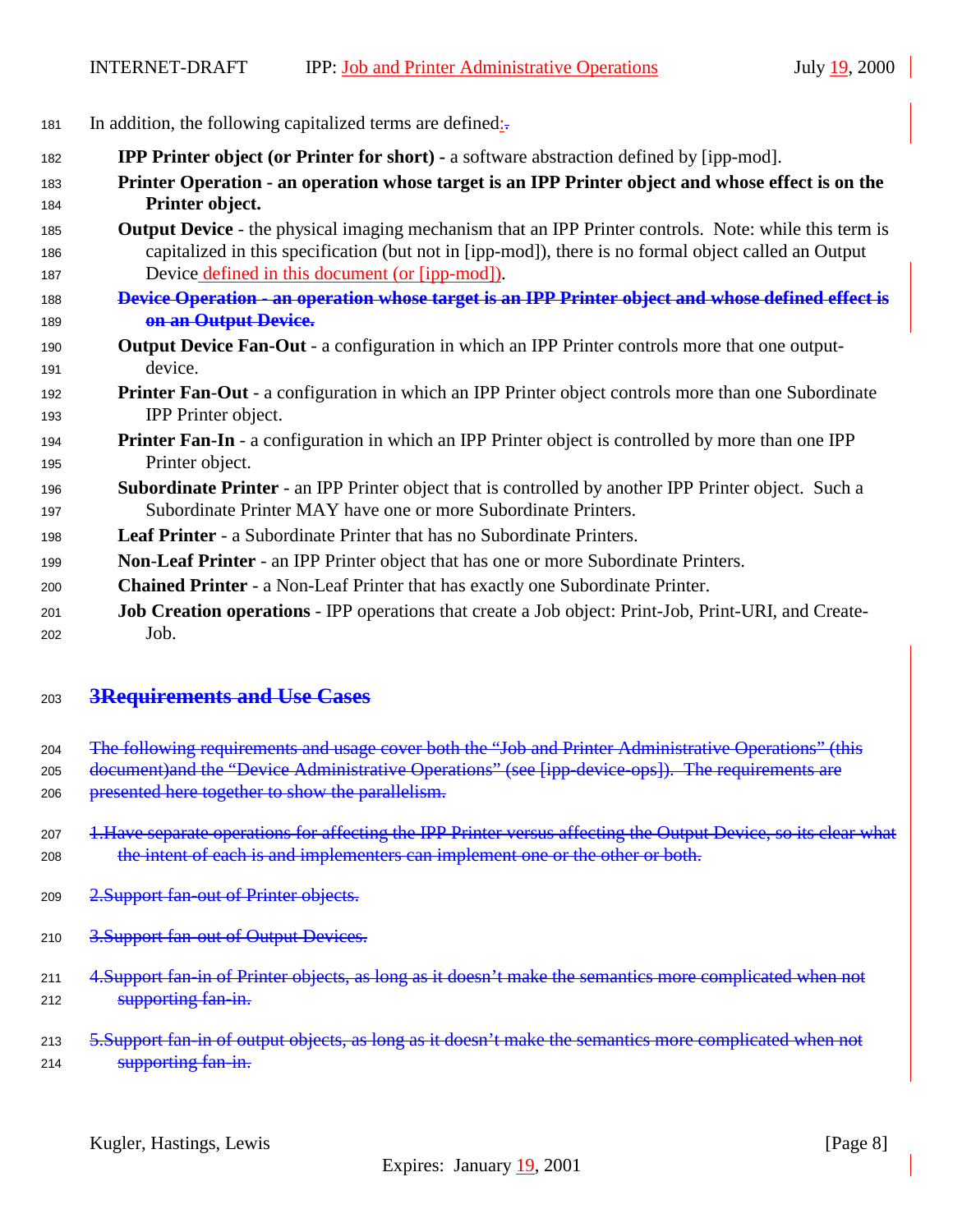| 181 |  |  |  |  |  | In addition, the following capitalized terms are defined $\frac{1}{2}$ . |
|-----|--|--|--|--|--|--------------------------------------------------------------------------|
|-----|--|--|--|--|--|--------------------------------------------------------------------------|

- **IPP Printer object (or Printer for short)** a software abstraction defined by [ipp-mod]. **Printer Operation - an operation whose target is an IPP Printer object and whose effect is on the Printer object.**
- **Output Device**  the physical imaging mechanism that an IPP Printer controls. Note: while this term is capitalized in this specification (but not in [ipp-mod]), there is no formal object called an Output Device defined in this document (or [ipp-mod]).
- **Device Operation an operation whose target is an IPP Printer object and whose defined effect is on an Output Device.**
- **Output Device Fan-Out** a configuration in which an IPP Printer controls more that one output-device.
- **Printer Fan**-**Out**  a configuration in which an IPP Printer object controls more than one Subordinate IPP Printer object.
- **Printer Fan-In** a configuration in which an IPP Printer object is controlled by more than one IPP Printer object.
- **Subordinate Printer**  an IPP Printer object that is controlled by another IPP Printer object. Such a Subordinate Printer MAY have one or more Subordinate Printers.
- **Leaf Printer**  a Subordinate Printer that has no Subordinate Printers.
- **Non**-**Leaf Printer** an IPP Printer object that has one or more Subordinate Printers.
- **Chained Printer**  a Non-Leaf Printer that has exactly one Subordinate Printer.
- **Job Creation operations**  IPP operations that create a Job object: Print-Job, Print-URI, and Create-Job.

# **3Requirements and Use Cases**

- 204 The following requirements and usage cover both the "Job and Printer Administrative Operations" (this
- 205 document)and the "Device Administrative Operations" (see [ipp-device-ops]). The requirements are
- 206 presented here together to show the parallelism.
- 207 1. Have separate operations for affecting the IPP Printer versus affecting the Output Device, so its clear what 208 the intent of each is and implementers can implement one or the other or both.
- 209 2.Support fan-out of Printer objects.
- 210 3.Support fan out of Output Devices.
- 211 4.Support fan-in of Printer objects, as long as it doesn't make the semantics more complicated when not **Supporting fan-in.**
- 213 5. Support fan-in of output objects, as long as it doesn't make the semantics more complicated when not **Supporting fan-in.**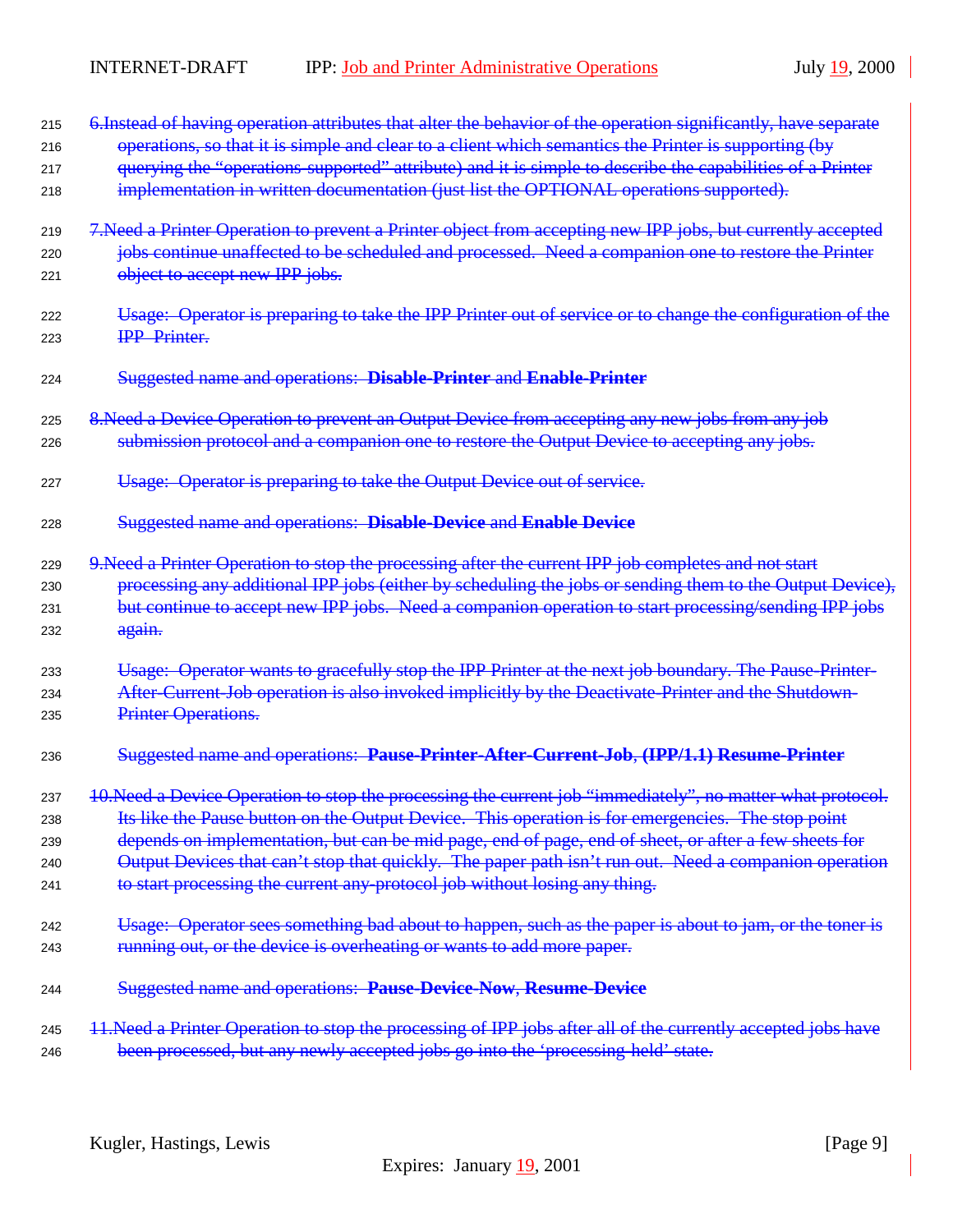| 215 | 6. Instead of having operation attributes that alter the behavior of the operation significantly, have separate |
|-----|-----------------------------------------------------------------------------------------------------------------|
| 216 | operations, so that it is simple and clear to a client which semantics the Printer is supporting (by            |
| 217 | querying the "operations-supported" attribute) and it is simple to describe the capabilities of a Printer       |
| 218 | implementation in written documentation (just list the OPTIONAL operations supported).                          |
| 219 | 7. Need a Printer Operation to prevent a Printer object from accepting new IPP jobs, but currently accepted     |
| 220 | jobs continue unaffected to be scheduled and processed. Need a companion one to restore the Printer             |
| 221 | object to accept new IPP jobs.                                                                                  |
| 222 | Usage: Operator is preparing to take the IPP Printer out of service or to change the configuration of the       |
| 223 | <b>IPP</b> Printer.                                                                                             |
| 224 | Suggested name and operations: Disable-Printer and Enable-Printer                                               |
| 225 | 8. Need a Device Operation to prevent an Output Device from accepting any new jobs from any job                 |
| 226 | submission protocol and a companion one to restore the Output Device to accepting any jobs.                     |
| 227 | Usage: Operator is preparing to take the Output Device out of service.                                          |
| 228 | Suggested name and operations: Disable-Device and Enable Device                                                 |
| 229 | 9. Need a Printer Operation to stop the processing after the current IPP job completes and not start            |
| 230 | processing any additional IPP jobs (either by scheduling the jobs or sending them to the Output Device),        |
| 231 | but continue to accept new IPP jobs. Need a companion operation to start processing/sending IPP jobs            |
| 232 | again.                                                                                                          |
| 233 | Usage: Operator wants to gracefully stop the IPP Printer at the next job boundary. The Pause-Printer-           |
| 234 | After-Current-Job operation is also invoked implicitly by the Deactivate-Printer and the Shutdown-              |
| 235 | Printer Operations.                                                                                             |
| 236 | Suggested name and operations: Pause-Printer-After-Current-Job, (IPP/1.1) Resume-Printer                        |
| 237 | 10. Need a Device Operation to stop the processing the current job "immediately", no matter what protocol.      |
| 238 | Its like the Pause button on the Output Device. This operation is for emergencies. The stop point               |
| 239 | depends on implementation, but can be mid page, end of page, end of sheet, or after a few sheets for            |
| 240 | Output Devices that can't stop that quickly. The paper path isn't run out. Need a companion operation           |
| 241 | to start processing the current any-protocol job without losing any thing.                                      |
| 242 | Usage: Operator sees something bad about to happen, such as the paper is about to jam, or the toner is          |
| 243 | running out, or the device is overheating or wants to add more paper.                                           |
| 244 | Suggested name and operations: Pause-Device-Now, Resume-Device                                                  |
| 245 | 11. Need a Printer Operation to stop the processing of IPP jobs after all of the currently accepted jobs have   |
| 246 | been processed, but any newly accepted jobs go into the 'processing held' state.                                |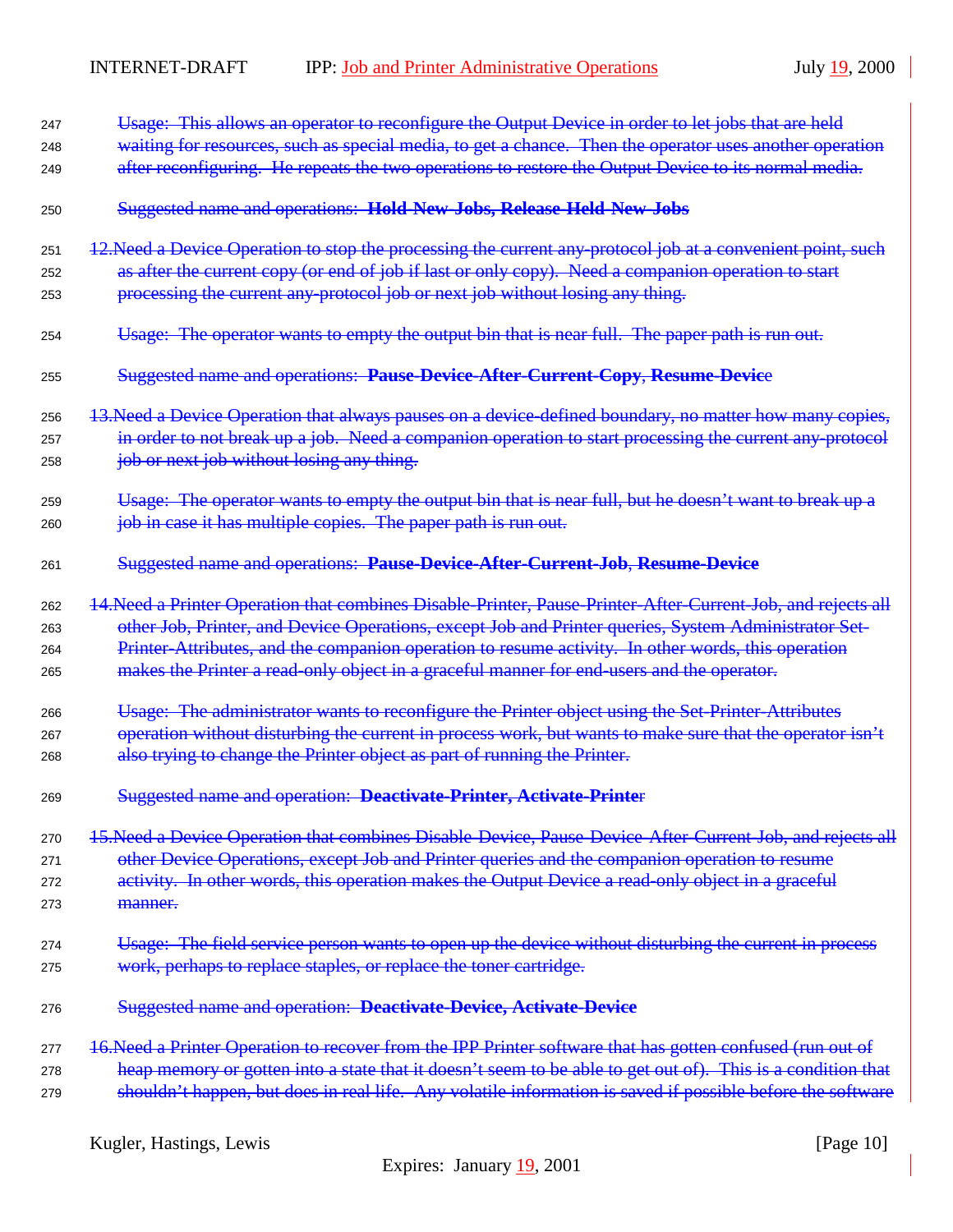| 247 | Usage: This allows an operator to reconfigure the Output Device in order to let jobs that are held           |
|-----|--------------------------------------------------------------------------------------------------------------|
| 248 | waiting for resources, such as special media, to get a chance. Then the operator uses another operation      |
| 249 | after reconfiguring. He repeats the two operations to restore the Output Device to its normal media.         |
| 250 | Suggested name and operations: Hold-New-Jobs, Release-Held-New-Jobs                                          |
| 251 | 12. Need a Device Operation to stop the processing the current any-protocol job at a convenient point, such  |
| 252 | as after the current copy (or end of job if last or only copy). Need a companion operation to start          |
| 253 | processing the current any protocol job or next job without losing any thing.                                |
| 254 | Usage: The operator wants to empty the output bin that is near full. The paper path is run out.              |
| 255 | Suggested name and operations: Pause-Device-After-Current-Copy, Resume-Device                                |
| 256 | 13. Need a Device Operation that always pauses on a device-defined boundary, no matter how many copies,      |
| 257 | in order to not break up a job. Need a companion operation to start processing the current any-protocol      |
| 258 | job or next job without losing any thing.                                                                    |
| 259 | Usage: The operator wants to empty the output bin that is near full, but he doesn't want to break up a       |
| 260 | job in case it has multiple copies. The paper path is run out.                                               |
| 261 | Suggested name and operations: Pause-Device-After-Current-Job, Resume-Device                                 |
| 262 | 14. Need a Printer Operation that combines Disable Printer, Pause Printer After Current Job, and rejects all |
| 263 | other Job, Printer, and Device Operations, except Job and Printer queries, System Administrator Set-         |
| 264 | Printer-Attributes, and the companion operation to resume activity. In other words, this operation           |
| 265 | makes the Printer a read-only object in a graceful manner for end-users and the operator.                    |
| 266 | Usage: The administrator wants to reconfigure the Printer object using the Set Printer Attributes            |
| 267 | operation without disturbing the current in process work, but wants to make sure that the operator isn't     |
| 268 | also trying to change the Printer object as part of running the Printer.                                     |
| 269 | Suggested name and operation: Deactivate-Printer, Activate-Printer                                           |
| 270 | 15. Need a Device Operation that combines Disable Device, Pause Device After Current Job, and rejects all    |
| 271 | other Device Operations, except Job and Printer queries and the companion operation to resume                |
| 272 | activity. In other words, this operation makes the Output Device a read-only object in a graceful            |
| 273 | manner.                                                                                                      |
| 274 | Usage: The field service person wants to open up the device without disturbing the current in process        |
| 275 | work, perhaps to replace staples, or replace the toner cartridge.                                            |
| 276 | Suggested name and operation: Deactivate-Device, Activate-Device                                             |
| 277 | 16. Need a Printer Operation to recover from the IPP Printer software that has gotten confused (run out of   |
| 278 | heap memory or gotten into a state that it doesn't seem to be able to get out of). This is a condition that  |
| 279 | shouldn't happen, but does in real life. Any volatile information is saved if possible before the software   |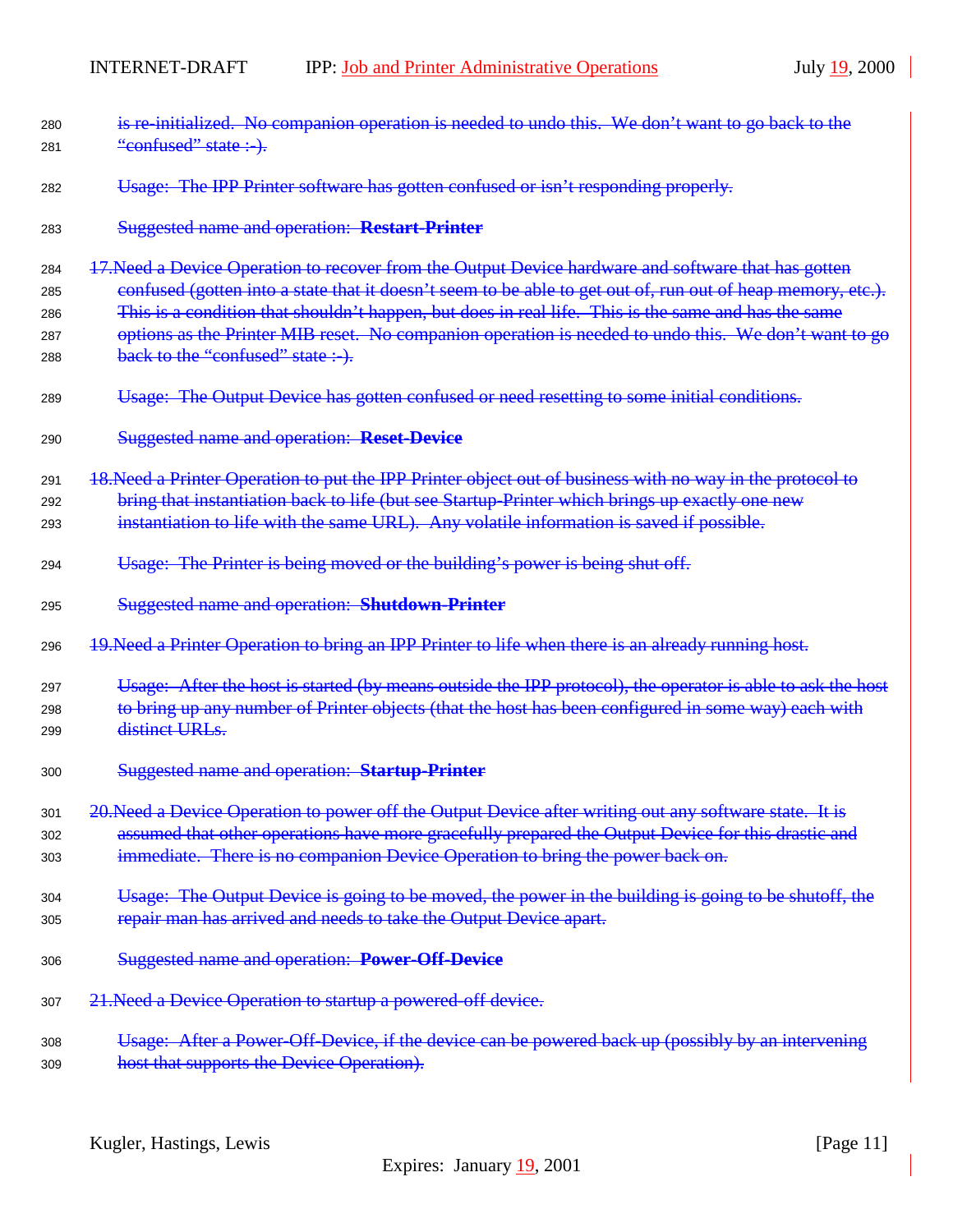| 280<br>281 | is re-initialized. No companion operation is needed to undo this. We don't want to go back to the<br>"confused" state :-).                     |
|------------|------------------------------------------------------------------------------------------------------------------------------------------------|
| 282        | Usage: The IPP Printer software has gotten confused or isn't responding properly.                                                              |
| 283        | <b>Suggested name and operation: Restart-Printer</b>                                                                                           |
| 284        | 17. Need a Device Operation to recover from the Output Device hardware and software that has gotten                                            |
| 285        | confused (gotten into a state that it doesn't seem to be able to get out of, run out of heap memory, etc.).                                    |
| 286        | This is a condition that shouldn't happen, but does in real life. This is the same and has the same                                            |
| 287<br>288 | options as the Printer MIB reset. No companion operation is needed to undo this. We don't want to go<br>back to the "confused" state :-).      |
| 289        | Usage: The Output Device has gotten confused or need resetting to some initial conditions.                                                     |
| 290        | <b>Suggested name and operation: Reset-Device</b>                                                                                              |
| 291        | 18. Need a Printer Operation to put the IPP Printer object out of business with no way in the protocol to                                      |
| 292        | bring that instantiation back to life (but see Startup Printer which brings up exactly one new                                                 |
| 293        | instantiation to life with the same URL). Any volatile information is saved if possible.                                                       |
| 294        | Usage: The Printer is being moved or the building's power is being shut off.                                                                   |
| 295        | Suggested name and operation: Shutdown-Printer                                                                                                 |
| 296        | 19. Need a Printer Operation to bring an IPP Printer to life when there is an already running host.                                            |
| 297        | Usage: After the host is started (by means outside the IPP protocol), the operator is able to ask the host                                     |
| 298        | to bring up any number of Printer objects (that the host has been configured in some way) each with                                            |
| 299        | distinct URLs.                                                                                                                                 |
| 300        | <b>Suggested name and operation: Startup-Printer</b>                                                                                           |
| 301        | 20. Need a Device Operation to power off the Output Device after writing out any software state. It is                                         |
| 302        | assumed that other operations have more gracefully prepared the Output Device for this drastic and                                             |
| 303        | immediate. There is no companion Device Operation to bring the power back on.                                                                  |
| 304        |                                                                                                                                                |
|            | Usage: The Output Device is going to be moved, the power in the building is going to be shutoff, the                                           |
| 305        | repair man has arrived and needs to take the Output Device apart.                                                                              |
| 306        | <b>Suggested name and operation: Power-Off-Device</b>                                                                                          |
| 307        | 21. Need a Device Operation to startup a powered-off device.                                                                                   |
| 308        | Usage: After a Power-Off-Device, if the device can be powered back up (possibly by an intervening<br>host that supports the Device Operation). |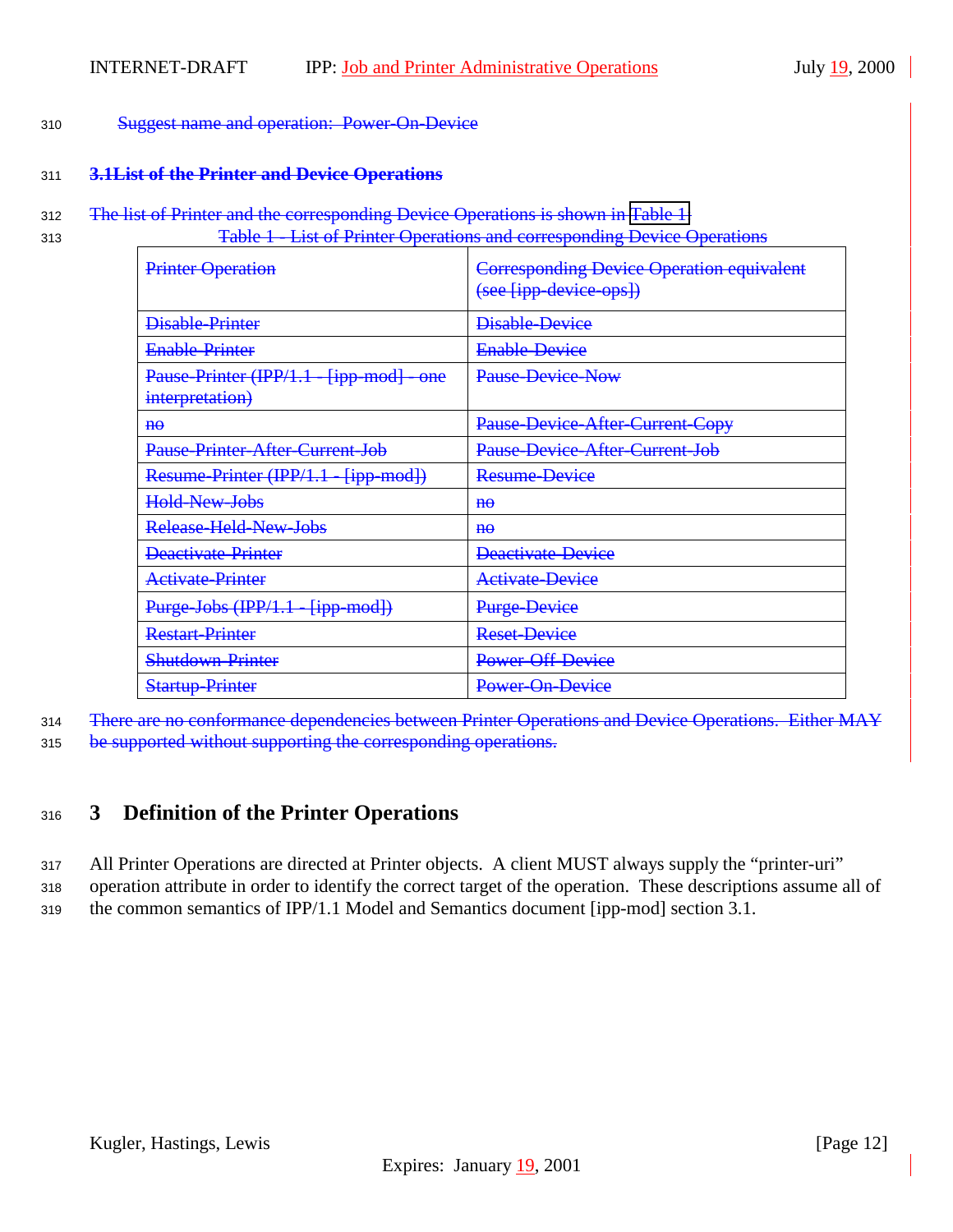#### <span id="page-11-0"></span><sup>310</sup> Suggest name and operation: Power-On-Device

# <sup>311</sup> **3.1List of the Printer and Device Operations**

312 The list of Printer and the corresponding Device Operations is shown in Table 1:

<sup>313</sup> Table 1 - List of Printer Operations and corresponding Device Operations

| Printer Operation                                           | <b>Corresponding Device Operation equivalent</b><br>(see [ipp-device-ops]) |
|-------------------------------------------------------------|----------------------------------------------------------------------------|
| <b>Disable-Printer</b>                                      | <b>Disable-Device</b>                                                      |
| <b>Enable-Printer</b>                                       | <b>Enable-Device</b>                                                       |
| Pause-Printer (IPP/1.1 - [ipp-mod] - one<br>interpretation) | Pause-Device-Now                                                           |
| $H\Theta$                                                   | Pause-Device-After-Current-Copy                                            |
| <b>Pause Printer After Current Job</b>                      | <b>Pause Device After Current Job</b>                                      |
| Resume-Printer (IPP/1.1 - [ipp-mod])                        | Resume-Device                                                              |
| Hold-New-Jobs                                               | $H\Theta$                                                                  |
| Release-Held-New-Jobs                                       | $H\Theta$                                                                  |
| Deactivate Printer                                          | <b>Deactivate Device</b>                                                   |
| Activate-Printer                                            | <b>Activate-Device</b>                                                     |
| Purge Jobs (IPP/1.1<br>${jpp \mod}$                         | <b>Purge Device</b>                                                        |
| <b>Restart-Printer</b>                                      | <b>Reset-Device</b>                                                        |
| <b>Shutdown Printer</b>                                     | Power Off-Device                                                           |
| <b>Startup-Printer</b>                                      | Power-On-Device                                                            |

<sup>314</sup> There are no conformance dependencies between Printer Operations and Device Operations. Either MAY

315 be supported without supporting the corresponding operations.

# <sup>316</sup> **3 Definition of the Printer Operations**

<sup>317</sup> All Printer Operations are directed at Printer objects. A client MUST always supply the "printer-uri"

<sup>318</sup> operation attribute in order to identify the correct target of the operation. These descriptions assume all of <sup>319</sup> the common semantics of IPP/1.1 Model and Semantics document [ipp-mod] section 3.1.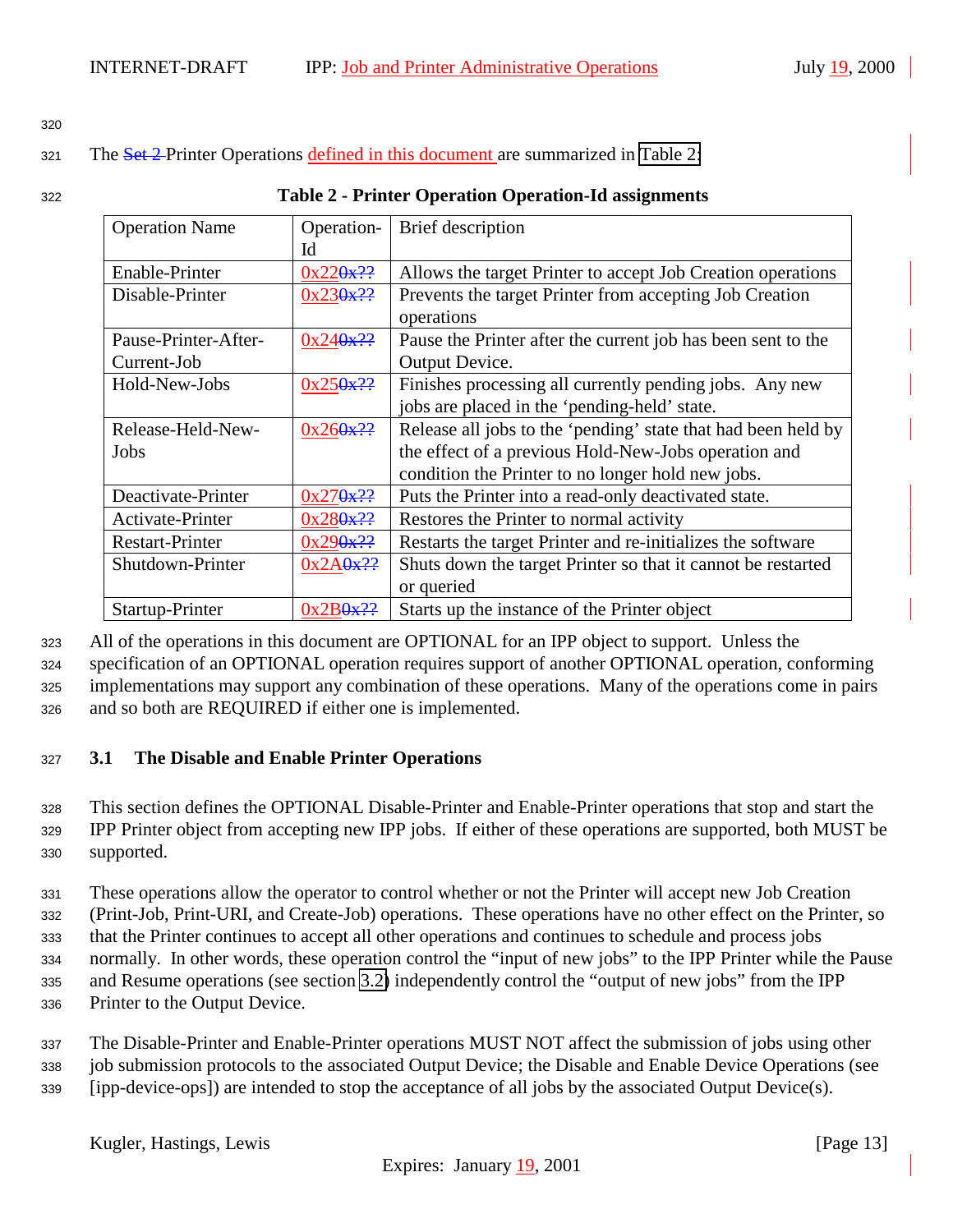<span id="page-12-0"></span>320

321 The Set 2-Printer Operations defined in this document are summarized in Table 2:

| 322 | <b>Table 2 - Printer Operation Operation-Id assignments</b> |
|-----|-------------------------------------------------------------|
|-----|-------------------------------------------------------------|

| <b>Operation Name</b>  | Operation-             | Brief description                                             |
|------------------------|------------------------|---------------------------------------------------------------|
|                        | Id                     |                                                               |
| Enable-Printer         | 0x220x??               | Allows the target Printer to accept Job Creation operations   |
| Disable-Printer        | 0x230x??               | Prevents the target Printer from accepting Job Creation       |
|                        |                        | operations                                                    |
| Pause-Printer-After-   | 0x240x??               | Pause the Printer after the current job has been sent to the  |
| Current-Job            |                        | Output Device.                                                |
| Hold-New-Jobs          | 0x250x??               | Finishes processing all currently pending jobs. Any new       |
|                        |                        | jobs are placed in the 'pending-held' state.                  |
| Release-Held-New-      | 0x260x??               | Release all jobs to the 'pending' state that had been held by |
| Jobs                   |                        | the effect of a previous Hold-New-Jobs operation and          |
|                        |                        | condition the Printer to no longer hold new jobs.             |
| Deactivate-Printer     | 0x270x??               | Puts the Printer into a read-only deactivated state.          |
| Activate-Printer       | $0x280x$ <sup>22</sup> | Restores the Printer to normal activity                       |
| <b>Restart-Printer</b> | 0x290x??               | Restarts the target Printer and re-initializes the software   |
| Shutdown-Printer       | 0x2A0x??               | Shuts down the target Printer so that it cannot be restarted  |
|                        |                        | or queried                                                    |
| Startup-Printer        | $0x2B0x$ <sup>22</sup> | Starts up the instance of the Printer object                  |

<sup>323</sup> All of the operations in this document are OPTIONAL for an IPP object to support. Unless the

<sup>324</sup> specification of an OPTIONAL operation requires support of another OPTIONAL operation, conforming

<sup>325</sup> implementations may support any combination of these operations. Many of the operations come in pairs

<sup>326</sup> and so both are REQUIRED if either one is implemented.

# <sup>327</sup> **3.1 The Disable and Enable Printer Operations**

<sup>328</sup> This section defines the OPTIONAL Disable-Printer and Enable-Printer operations that stop and start the <sup>329</sup> IPP Printer object from accepting new IPP jobs. If either of these operations are supported, both MUST be <sup>330</sup> supported.

<sup>331</sup> These operations allow the operator to control whether or not the Printer will accept new Job Creation

<sup>332</sup> (Print-Job, Print-URI, and Create-Job) operations. These operations have no other effect on the Printer, so

<sup>333</sup> that the Printer continues to accept all other operations and continues to schedule and process jobs

<sup>334</sup> normally. In other words, these operation control the "input of new jobs" to the IPP Printer while the Pause <sup>335</sup> and Resume operations (see section [3.2\)](#page-13-0) independently control the "output of new jobs" from the IPP

<sup>336</sup> Printer to the Output Device.

<sup>337</sup> The Disable-Printer and Enable-Printer operations MUST NOT affect the submission of jobs using other <sup>338</sup> job submission protocols to the associated Output Device; the Disable and Enable Device Operations (see

<sup>339</sup> [ipp-device-ops]) are intended to stop the acceptance of all jobs by the associated Output Device(s).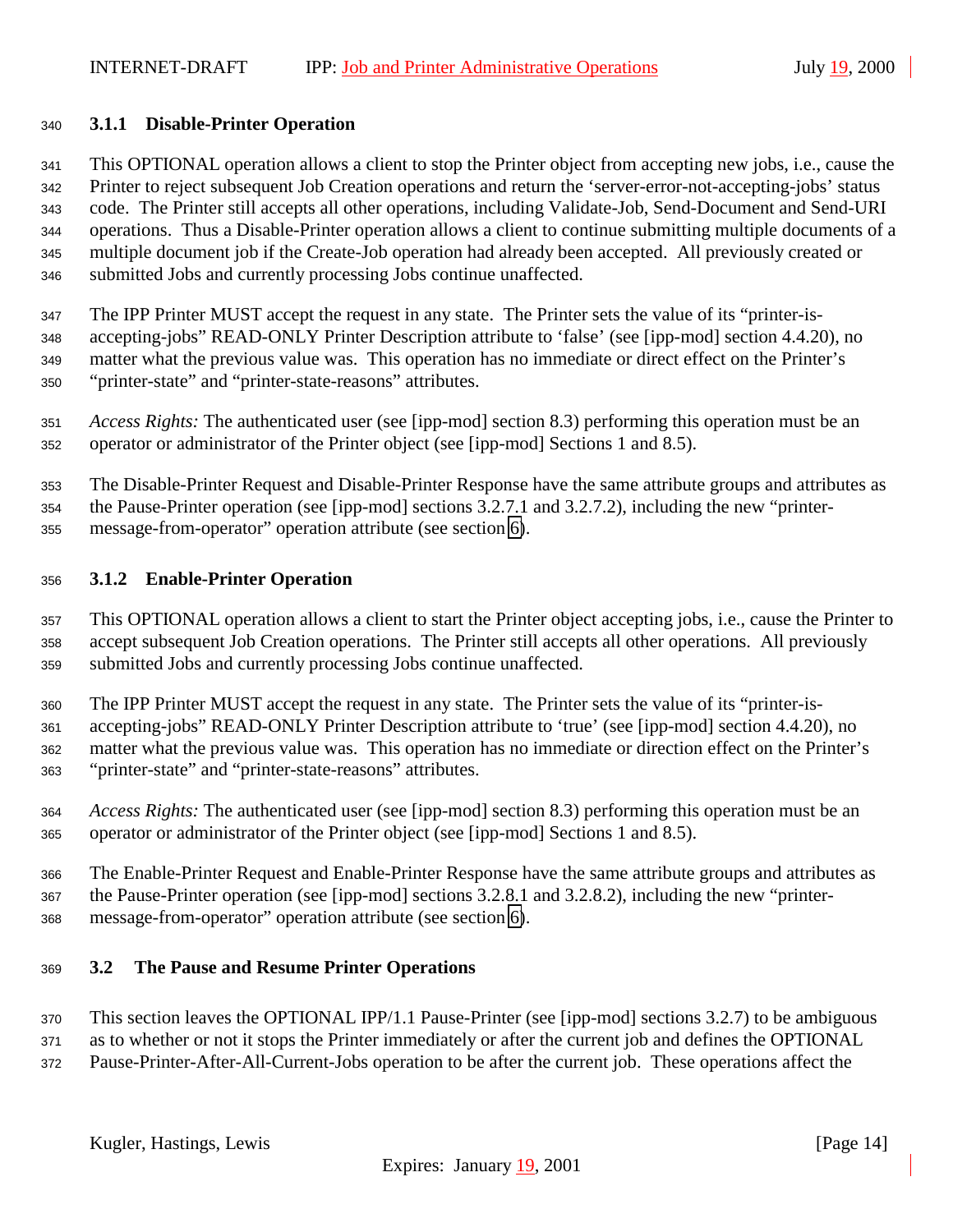#### <span id="page-13-0"></span>**3.1.1 Disable-Printer Operation**

 This OPTIONAL operation allows a client to stop the Printer object from accepting new jobs, i.e., cause the Printer to reject subsequent Job Creation operations and return the 'server-error-not-accepting-jobs' status code. The Printer still accepts all other operations, including Validate-Job, Send-Document and Send-URI operations. Thus a Disable-Printer operation allows a client to continue submitting multiple documents of a multiple document job if the Create-Job operation had already been accepted. All previously created or submitted Jobs and currently processing Jobs continue unaffected.

 The IPP Printer MUST accept the request in any state. The Printer sets the value of its "printer-is- accepting-jobs" READ-ONLY Printer Description attribute to 'false' (see [ipp-mod] section 4.4.20), no matter what the previous value was. This operation has no immediate or direct effect on the Printer's "printer-state" and "printer-state-reasons" attributes.

 *Access Rights:* The authenticated user (see [ipp-mod] section 8.3) performing this operation must be an operator or administrator of the Printer object (see [ipp-mod] Sections 1 and 8.5).

 The Disable-Printer Request and Disable-Printer Response have the same attribute groups and attributes as the Pause-Printer operation (see [ipp-mod] sections 3.2.7.1 and 3.2.7.2), including the new "printer-message-from-operator" operation attribute (see section [6\)](#page-28-0).

#### **3.1.2 Enable-Printer Operation**

 This OPTIONAL operation allows a client to start the Printer object accepting jobs, i.e., cause the Printer to accept subsequent Job Creation operations. The Printer still accepts all other operations. All previously submitted Jobs and currently processing Jobs continue unaffected.

 The IPP Printer MUST accept the request in any state. The Printer sets the value of its "printer-is- accepting-jobs" READ-ONLY Printer Description attribute to 'true' (see [ipp-mod] section 4.4.20), no matter what the previous value was. This operation has no immediate or direction effect on the Printer's "printer-state" and "printer-state-reasons" attributes.

 *Access Rights:* The authenticated user (see [ipp-mod] section 8.3) performing this operation must be an operator or administrator of the Printer object (see [ipp-mod] Sections 1 and 8.5).

 The Enable-Printer Request and Enable-Printer Response have the same attribute groups and attributes as the Pause-Printer operation (see [ipp-mod] sections 3.2.8.1 and 3.2.8.2), including the new "printer-message-from-operator" operation attribute (see section [6\)](#page-28-0).

# **3.2 The Pause and Resume Printer Operations**

This section leaves the OPTIONAL IPP/1.1 Pause-Printer (see [ipp-mod] sections 3.2.7) to be ambiguous

as to whether or not it stops the Printer immediately or after the current job and defines the OPTIONAL

Pause-Printer-After-All-Current-Jobs operation to be after the current job. These operations affect the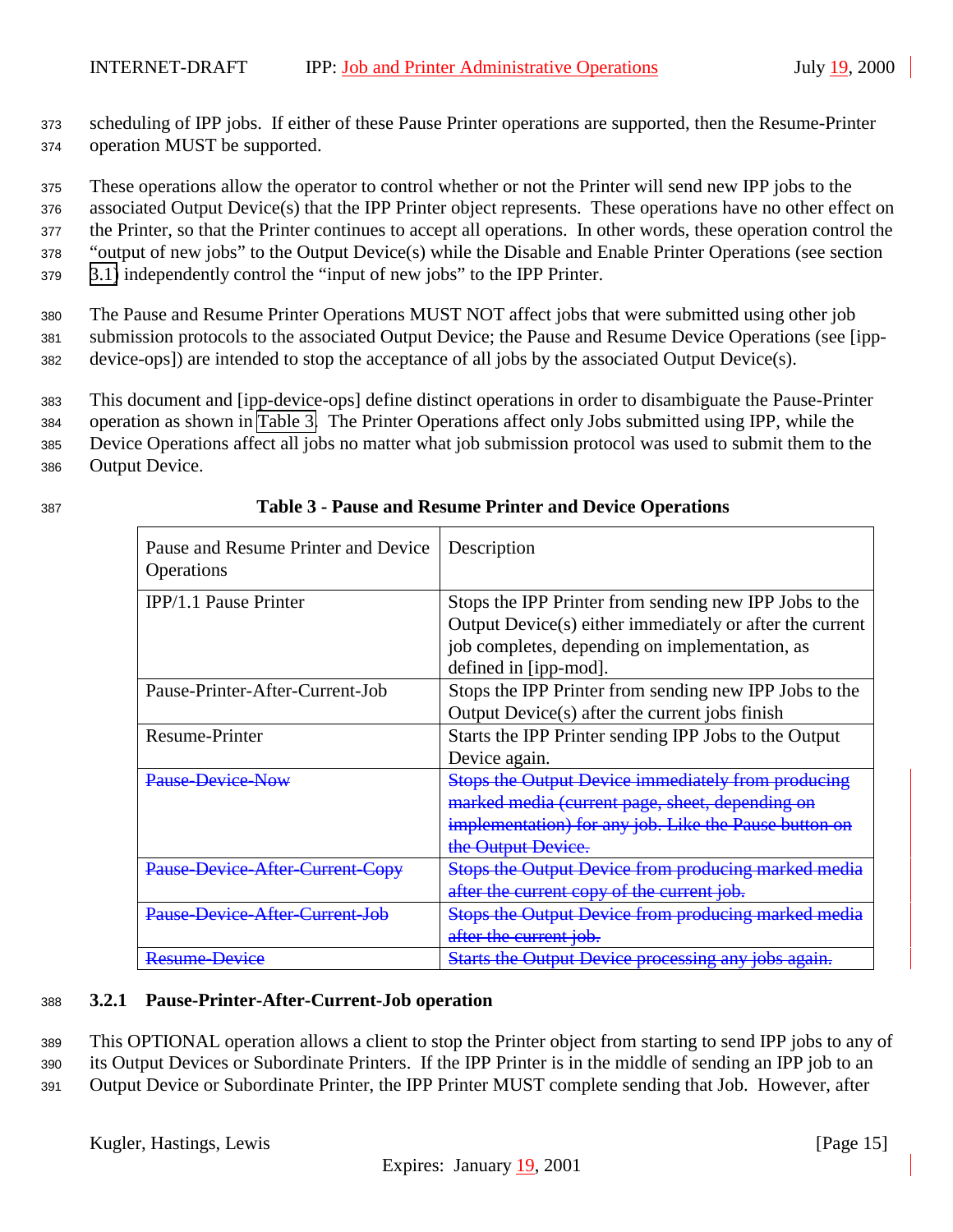<span id="page-14-0"></span><sup>373</sup> scheduling of IPP jobs. If either of these Pause Printer operations are supported, then the Resume-Printer <sup>374</sup> operation MUST be supported.

<sup>375</sup> These operations allow the operator to control whether or not the Printer will send new IPP jobs to the

<sup>376</sup> associated Output Device(s) that the IPP Printer object represents. These operations have no other effect on

<sup>377</sup> the Printer, so that the Printer continues to accept all operations. In other words, these operation control the <sup>378</sup> "output of new jobs" to the Output Device(s) while the Disable and Enable Printer Operations (see section

<sup>379</sup> [3.1\)](#page-12-0) independently control the "input of new jobs" to the IPP Printer.

<sup>380</sup> The Pause and Resume Printer Operations MUST NOT affect jobs that were submitted using other job <sup>381</sup> submission protocols to the associated Output Device; the Pause and Resume Device Operations (see [ipp-<sup>382</sup> device-ops]) are intended to stop the acceptance of all jobs by the associated Output Device(s).

<sup>383</sup> This document and [ipp-device-ops] define distinct operations in order to disambiguate the Pause-Printer

<sup>384</sup> operation as shown in Table 3. The Printer Operations affect only Jobs submitted using IPP, while the

<sup>385</sup> Device Operations affect all jobs no matter what job submission protocol was used to submit them to the

<sup>386</sup> Output Device.

| ×                            |  |
|------------------------------|--|
| ۰.<br>.,<br>$\sim$<br>$\sim$ |  |
|                              |  |

| Pause and Resume Printer and Device<br>Operations | Description                                                |
|---------------------------------------------------|------------------------------------------------------------|
| <b>IPP/1.1 Pause Printer</b>                      | Stops the IPP Printer from sending new IPP Jobs to the     |
|                                                   | Output Device(s) either immediately or after the current   |
|                                                   | job completes, depending on implementation, as             |
|                                                   | defined in [ipp-mod].                                      |
| Pause-Printer-After-Current-Job                   | Stops the IPP Printer from sending new IPP Jobs to the     |
|                                                   | Output Device(s) after the current jobs finish             |
| Resume-Printer                                    | Starts the IPP Printer sending IPP Jobs to the Output      |
|                                                   | Device again.                                              |
| <b>Pause Device Now</b>                           | Stops the Output Device immediately from producing         |
|                                                   | marked media (current page, sheet, depending on            |
|                                                   | implementation) for any job. Like the Pause button on      |
|                                                   | the Output Device.                                         |
| Pause-Device-After-Current-                       | <b>Stops the Output Device from producing marked media</b> |
|                                                   | after the current copy of the current job.                 |
| Pause-Device-After-Current-Job                    | <b>Stops the Output Device from producing marked media</b> |
|                                                   | after the current job.                                     |
| <b>Resume Device</b>                              | Starts the Output Device processing any jobs again.        |

## <sup>387</sup> **Table 3 - Pause and Resume Printer and Device Operations**

#### <sup>388</sup> **3.2.1 Pause-Printer-After-Current-Job operation**

<sup>389</sup> This OPTIONAL operation allows a client to stop the Printer object from starting to send IPP jobs to any of <sup>390</sup> its Output Devices or Subordinate Printers. If the IPP Printer is in the middle of sending an IPP job to an

<sup>391</sup> Output Device or Subordinate Printer, the IPP Printer MUST complete sending that Job. However, after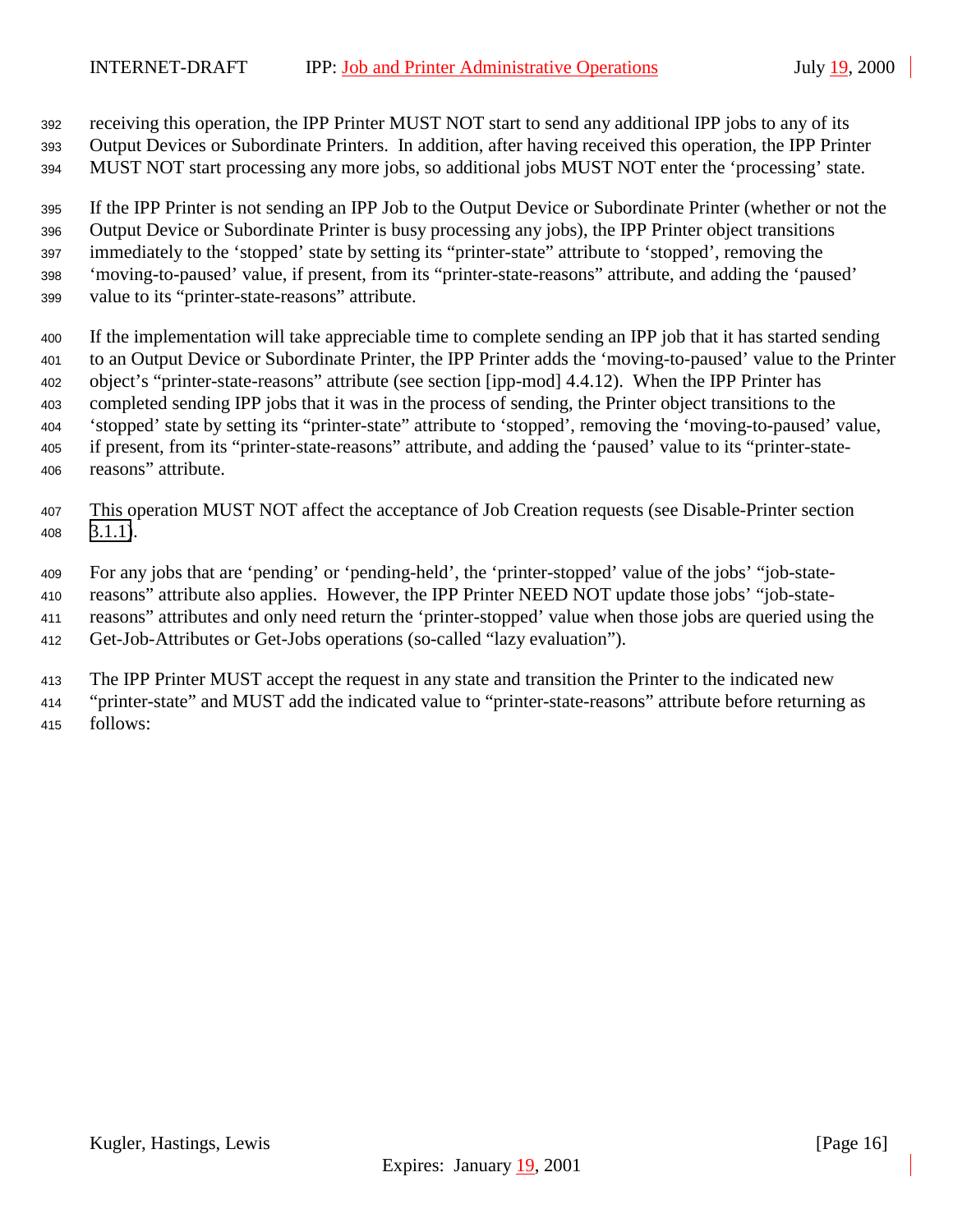receiving this operation, the IPP Printer MUST NOT start to send any additional IPP jobs to any of its

 Output Devices or Subordinate Printers. In addition, after having received this operation, the IPP Printer MUST NOT start processing any more jobs, so additional jobs MUST NOT enter the 'processing' state.

 If the IPP Printer is not sending an IPP Job to the Output Device or Subordinate Printer (whether or not the Output Device or Subordinate Printer is busy processing any jobs), the IPP Printer object transitions immediately to the 'stopped' state by setting its "printer-state" attribute to 'stopped', removing the 'moving-to-paused' value, if present, from its "printer-state-reasons" attribute, and adding the 'paused' value to its "printer-state-reasons" attribute.

- If the implementation will take appreciable time to complete sending an IPP job that it has started sending to an Output Device or Subordinate Printer, the IPP Printer adds the 'moving-to-paused' value to the Printer object's "printer-state-reasons" attribute (see section [ipp-mod] 4.4.12). When the IPP Printer has completed sending IPP jobs that it was in the process of sending, the Printer object transitions to the 'stopped' state by setting its "printer-state" attribute to 'stopped', removing the 'moving-to-paused' value, if present, from its "printer-state-reasons" attribute, and adding the 'paused' value to its "printer-state-reasons" attribute.
- This operation MUST NOT affect the acceptance of Job Creation requests (see Disable-Printer section [3.1.1\)](#page-13-0).
- For any jobs that are 'pending' or 'pending-held', the 'printer-stopped' value of the jobs' "job-state-
- reasons" attribute also applies. However, the IPP Printer NEED NOT update those jobs' "job-state-
- reasons" attributes and only need return the 'printer-stopped' value when those jobs are queried using the
- Get-Job-Attributes or Get-Jobs operations (so-called "lazy evaluation").
- The IPP Printer MUST accept the request in any state and transition the Printer to the indicated new
- "printer-state" and MUST add the indicated value to "printer-state-reasons" attribute before returning as follows: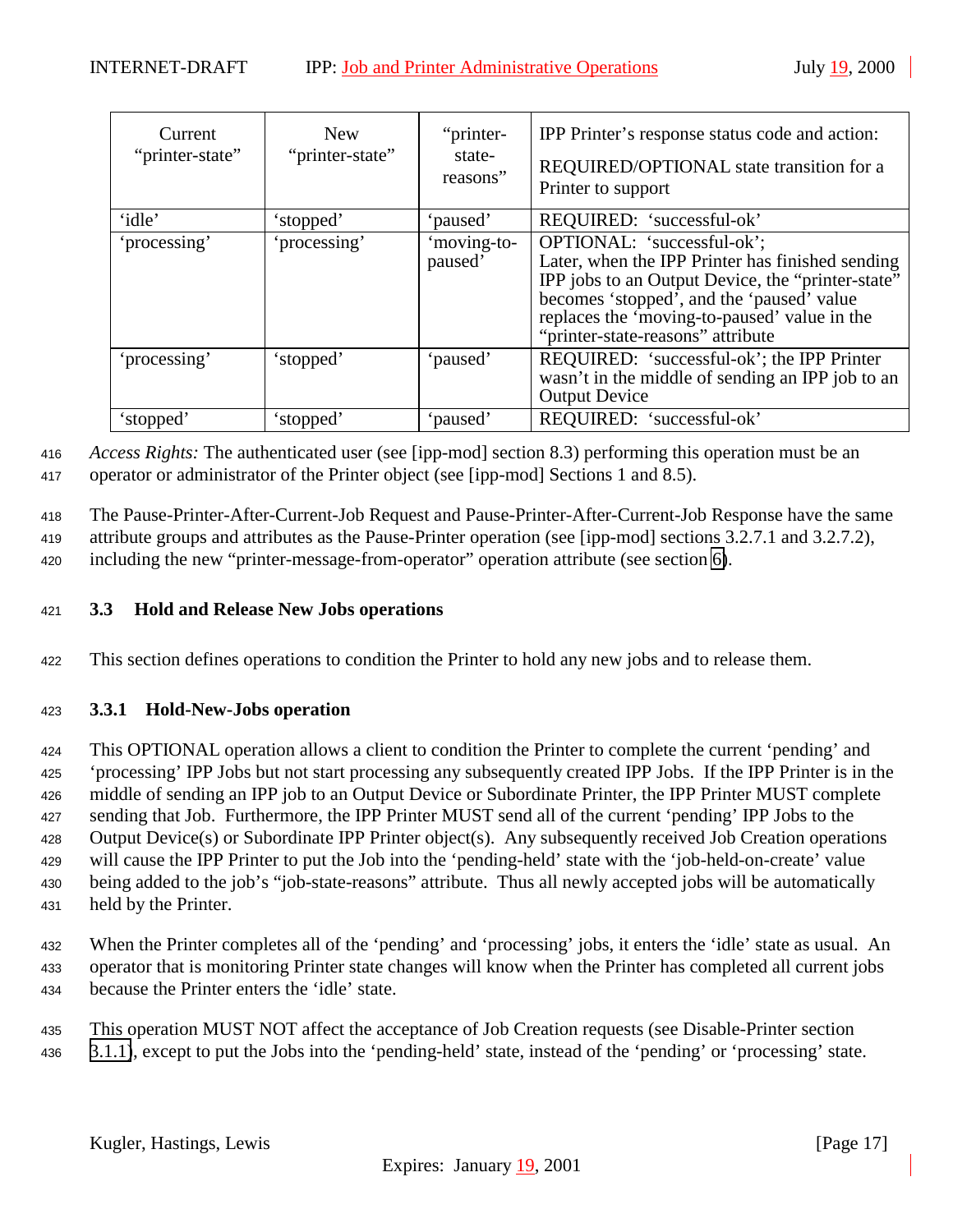<span id="page-16-0"></span>

| Current<br>"printer-state" | <b>New</b><br>"printer-state" | "printer-<br>state-<br>reasons" | IPP Printer's response status code and action:<br>REQUIRED/OPTIONAL state transition for a<br>Printer to support                                                                                                                                                      |
|----------------------------|-------------------------------|---------------------------------|-----------------------------------------------------------------------------------------------------------------------------------------------------------------------------------------------------------------------------------------------------------------------|
| 'idle'                     | 'stopped'                     | 'paused'                        | REQUIRED: 'successful-ok'                                                                                                                                                                                                                                             |
| 'processing'               | 'processing'                  | moving-to-<br>paused'           | OPTIONAL: 'successful-ok';<br>Later, when the IPP Printer has finished sending<br>IPP jobs to an Output Device, the "printer-state"<br>becomes 'stopped', and the 'paused' value<br>replaces the 'moving-to-paused' value in the<br>"printer-state-reasons" attribute |
| 'processing'               | 'stopped'                     | 'paused'                        | REQUIRED: 'successful-ok'; the IPP Printer<br>wasn't in the middle of sending an IPP job to an<br><b>Output Device</b>                                                                                                                                                |
| 'stopped'                  | 'stopped'                     | 'paused'                        | REQUIRED: 'successful-ok'                                                                                                                                                                                                                                             |

<sup>416</sup> *Access Rights:* The authenticated user (see [ipp-mod] section 8.3) performing this operation must be an

<sup>417</sup> operator or administrator of the Printer object (see [ipp-mod] Sections 1 and 8.5).

<sup>418</sup> The Pause-Printer-After-Current-Job Request and Pause-Printer-After-Current-Job Response have the same

419 attribute groups and attributes as the Pause-Printer operation (see [ipp-mod] sections 3.2.7.1 and 3.2.7.2),

<sup>420</sup> including the new "printer-message-from-operator" operation attribute (see section [6\)](#page-28-0).

## <sup>421</sup> **3.3 Hold and Release New Jobs operations**

<sup>422</sup> This section defines operations to condition the Printer to hold any new jobs and to release them.

# <sup>423</sup> **3.3.1 Hold-New-Jobs operation**

 This OPTIONAL operation allows a client to condition the Printer to complete the current 'pending' and 'processing' IPP Jobs but not start processing any subsequently created IPP Jobs. If the IPP Printer is in the middle of sending an IPP job to an Output Device or Subordinate Printer, the IPP Printer MUST complete sending that Job. Furthermore, the IPP Printer MUST send all of the current 'pending' IPP Jobs to the Output Device(s) or Subordinate IPP Printer object(s). Any subsequently received Job Creation operations will cause the IPP Printer to put the Job into the 'pending-held' state with the 'job-held-on-create' value being added to the job's "job-state-reasons" attribute. Thus all newly accepted jobs will be automatically held by the Printer.

<sup>432</sup> When the Printer completes all of the 'pending' and 'processing' jobs, it enters the 'idle' state as usual. An <sup>433</sup> operator that is monitoring Printer state changes will know when the Printer has completed all current jobs <sup>434</sup> because the Printer enters the 'idle' state.

<sup>435</sup> This operation MUST NOT affect the acceptance of Job Creation requests (see Disable-Printer section <sup>436</sup> [3.1.1\)](#page-13-0), except to put the Jobs into the 'pending-held' state, instead of the 'pending' or 'processing' state.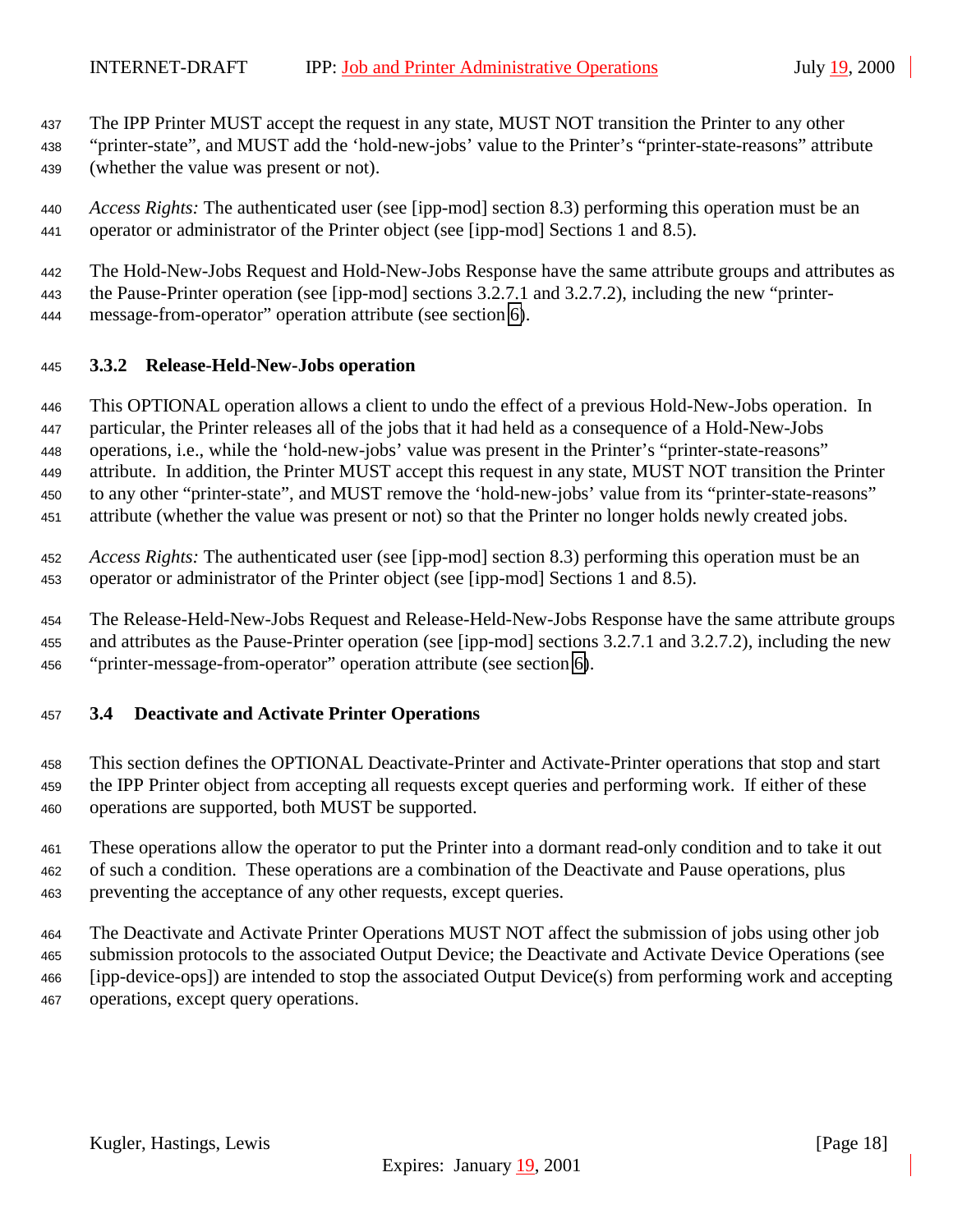<span id="page-17-0"></span>The IPP Printer MUST accept the request in any state, MUST NOT transition the Printer to any other

- "printer-state", and MUST add the 'hold-new-jobs' value to the Printer's "printer-state-reasons" attribute (whether the value was present or not).
- *Access Rights:* The authenticated user (see [ipp-mod] section 8.3) performing this operation must be an operator or administrator of the Printer object (see [ipp-mod] Sections 1 and 8.5).
- The Hold-New-Jobs Request and Hold-New-Jobs Response have the same attribute groups and attributes as the Pause-Printer operation (see [ipp-mod] sections 3.2.7.1 and 3.2.7.2), including the new "printer-
- message-from-operator" operation attribute (see section [6\)](#page-28-0).

# **3.3.2 Release-Held-New-Jobs operation**

 This OPTIONAL operation allows a client to undo the effect of a previous Hold-New-Jobs operation. In particular, the Printer releases all of the jobs that it had held as a consequence of a Hold-New-Jobs operations, i.e., while the 'hold-new-jobs' value was present in the Printer's "printer-state-reasons" attribute. In addition, the Printer MUST accept this request in any state, MUST NOT transition the Printer to any other "printer-state", and MUST remove the 'hold-new-jobs' value from its "printer-state-reasons" attribute (whether the value was present or not) so that the Printer no longer holds newly created jobs.

 *Access Rights:* The authenticated user (see [ipp-mod] section 8.3) performing this operation must be an operator or administrator of the Printer object (see [ipp-mod] Sections 1 and 8.5).

 The Release-Held-New-Jobs Request and Release-Held-New-Jobs Response have the same attribute groups and attributes as the Pause-Printer operation (see [ipp-mod] sections 3.2.7.1 and 3.2.7.2), including the new "printer-message-from-operator" operation attribute (see section [6\)](#page-28-0).

# **3.4 Deactivate and Activate Printer Operations**

 This section defines the OPTIONAL Deactivate-Printer and Activate-Printer operations that stop and start the IPP Printer object from accepting all requests except queries and performing work. If either of these operations are supported, both MUST be supported.

 These operations allow the operator to put the Printer into a dormant read-only condition and to take it out of such a condition. These operations are a combination of the Deactivate and Pause operations, plus preventing the acceptance of any other requests, except queries.

 The Deactivate and Activate Printer Operations MUST NOT affect the submission of jobs using other job submission protocols to the associated Output Device; the Deactivate and Activate Device Operations (see [ipp-device-ops]) are intended to stop the associated Output Device(s) from performing work and accepting operations, except query operations.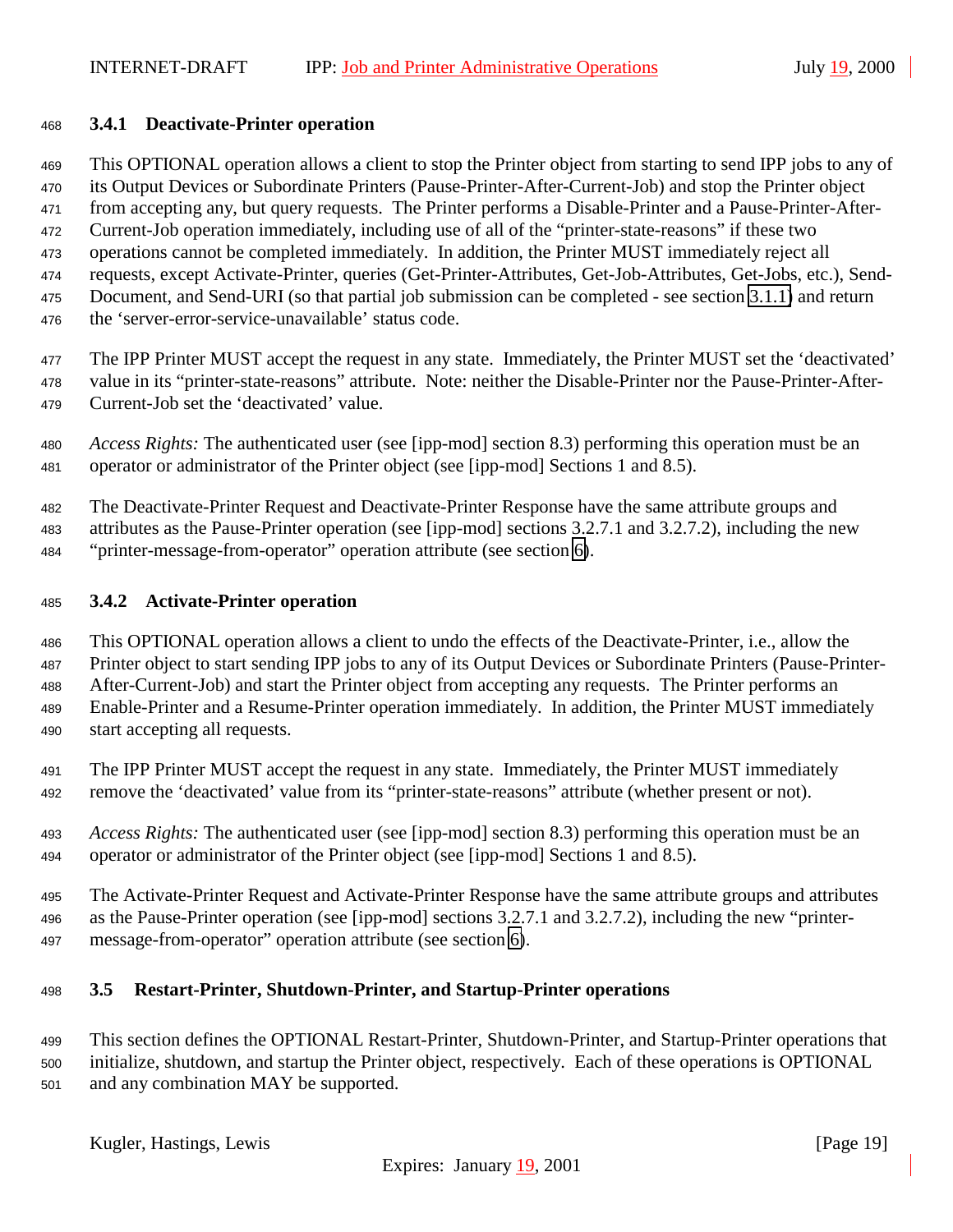#### <span id="page-18-0"></span>**3.4.1 Deactivate-Printer operation**

This OPTIONAL operation allows a client to stop the Printer object from starting to send IPP jobs to any of

 its Output Devices or Subordinate Printers (Pause-Printer-After-Current-Job) and stop the Printer object from accepting any, but query requests. The Printer performs a Disable-Printer and a Pause-Printer-After-

Current-Job operation immediately, including use of all of the "printer-state-reasons" if these two

- operations cannot be completed immediately. In addition, the Printer MUST immediately reject all
- requests, except Activate-Printer, queries (Get-Printer-Attributes, Get-Job-Attributes, Get-Jobs, etc.), Send-
- Document, and Send-URI (so that partial job submission can be completed see section [3.1.1\)](#page-13-0) and return
- the 'server-error-service-unavailable' status code.

 The IPP Printer MUST accept the request in any state. Immediately, the Printer MUST set the 'deactivated' value in its "printer-state-reasons" attribute. Note: neither the Disable-Printer nor the Pause-Printer-After-Current-Job set the 'deactivated' value.

 *Access Rights:* The authenticated user (see [ipp-mod] section 8.3) performing this operation must be an operator or administrator of the Printer object (see [ipp-mod] Sections 1 and 8.5).

The Deactivate-Printer Request and Deactivate-Printer Response have the same attribute groups and

attributes as the Pause-Printer operation (see [ipp-mod] sections 3.2.7.1 and 3.2.7.2), including the new

"printer-message-from-operator" operation attribute (see section [6\)](#page-28-0).

# **3.4.2 Activate-Printer operation**

 This OPTIONAL operation allows a client to undo the effects of the Deactivate-Printer, i.e., allow the Printer object to start sending IPP jobs to any of its Output Devices or Subordinate Printers (Pause-Printer- After-Current-Job) and start the Printer object from accepting any requests. The Printer performs an Enable-Printer and a Resume-Printer operation immediately. In addition, the Printer MUST immediately start accepting all requests.

 The IPP Printer MUST accept the request in any state. Immediately, the Printer MUST immediately remove the 'deactivated' value from its "printer-state-reasons" attribute (whether present or not).

 *Access Rights:* The authenticated user (see [ipp-mod] section 8.3) performing this operation must be an operator or administrator of the Printer object (see [ipp-mod] Sections 1 and 8.5).

 The Activate-Printer Request and Activate-Printer Response have the same attribute groups and attributes as the Pause-Printer operation (see [ipp-mod] sections 3.2.7.1 and 3.2.7.2), including the new "printer-message-from-operator" operation attribute (see section [6\)](#page-28-0).

# **3.5 Restart-Printer, Shutdown-Printer, and Startup-Printer operations**

 This section defines the OPTIONAL Restart-Printer, Shutdown-Printer, and Startup-Printer operations that initialize, shutdown, and startup the Printer object, respectively. Each of these operations is OPTIONAL and any combination MAY be supported.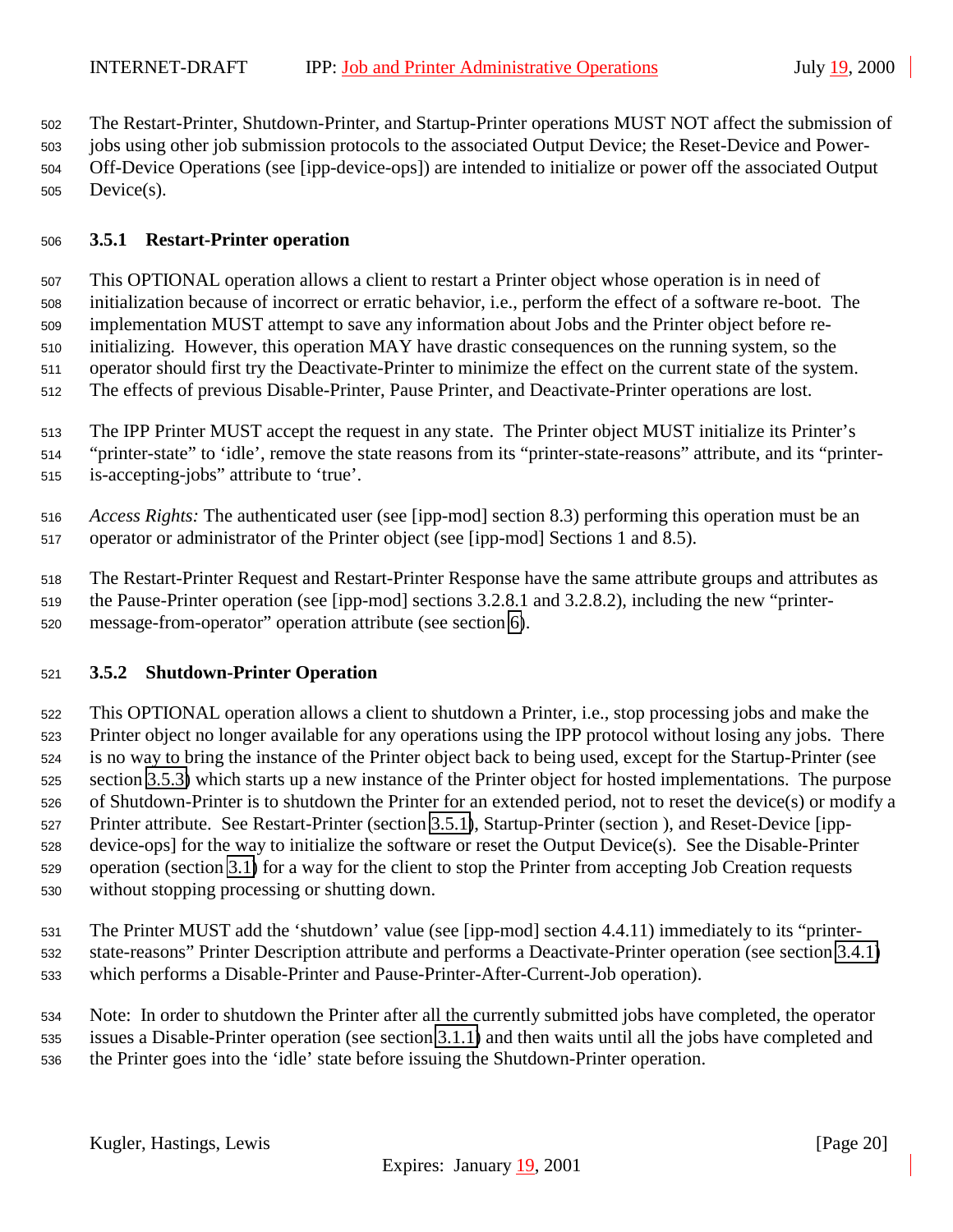<span id="page-19-0"></span>The Restart-Printer, Shutdown-Printer, and Startup-Printer operations MUST NOT affect the submission of

jobs using other job submission protocols to the associated Output Device; the Reset-Device and Power-

 Off-Device Operations (see [ipp-device-ops]) are intended to initialize or power off the associated Output Device(s).

## **3.5.1 Restart-Printer operation**

 This OPTIONAL operation allows a client to restart a Printer object whose operation is in need of initialization because of incorrect or erratic behavior, i.e., perform the effect of a software re-boot. The implementation MUST attempt to save any information about Jobs and the Printer object before re- initializing. However, this operation MAY have drastic consequences on the running system, so the operator should first try the Deactivate-Printer to minimize the effect on the current state of the system. The effects of previous Disable-Printer, Pause Printer, and Deactivate-Printer operations are lost.

The IPP Printer MUST accept the request in any state. The Printer object MUST initialize its Printer's

"printer-state" to 'idle', remove the state reasons from its "printer-state-reasons" attribute, and its "printer-

is-accepting-jobs" attribute to 'true'.

 *Access Rights:* The authenticated user (see [ipp-mod] section 8.3) performing this operation must be an operator or administrator of the Printer object (see [ipp-mod] Sections 1 and 8.5).

 The Restart-Printer Request and Restart-Printer Response have the same attribute groups and attributes as the Pause-Printer operation (see [ipp-mod] sections 3.2.8.1 and 3.2.8.2), including the new "printer-message-from-operator" operation attribute (see section [6\)](#page-28-0).

# **3.5.2 Shutdown-Printer Operation**

 This OPTIONAL operation allows a client to shutdown a Printer, i.e., stop processing jobs and make the Printer object no longer available for any operations using the IPP protocol without losing any jobs. There is no way to bring the instance of the Printer object back to being used, except for the Startup-Printer (see section [3.5.3\)](#page-20-0) which starts up a new instance of the Printer object for hosted implementations. The purpose of Shutdown-Printer is to shutdown the Printer for an extended period, not to reset the device(s) or modify a Printer attribute. See Restart-Printer (section 3.5.1), Startup-Printer (section ), and Reset-Device [ipp- device-ops] for the way to initialize the software or reset the Output Device(s). See the Disable-Printer operation (section [3.1\)](#page-13-0) for a way for the client to stop the Printer from accepting Job Creation requests without stopping processing or shutting down.

 The Printer MUST add the 'shutdown' value (see [ipp-mod] section 4.4.11) immediately to its "printer- state-reasons" Printer Description attribute and performs a Deactivate-Printer operation (see section [3.4.1\)](#page-18-0) which performs a Disable-Printer and Pause-Printer-After-Current-Job operation).

 Note: In order to shutdown the Printer after all the currently submitted jobs have completed, the operator issues a Disable-Printer operation (see section [3.1.1\)](#page-13-0) and then waits until all the jobs have completed and the Printer goes into the 'idle' state before issuing the Shutdown-Printer operation.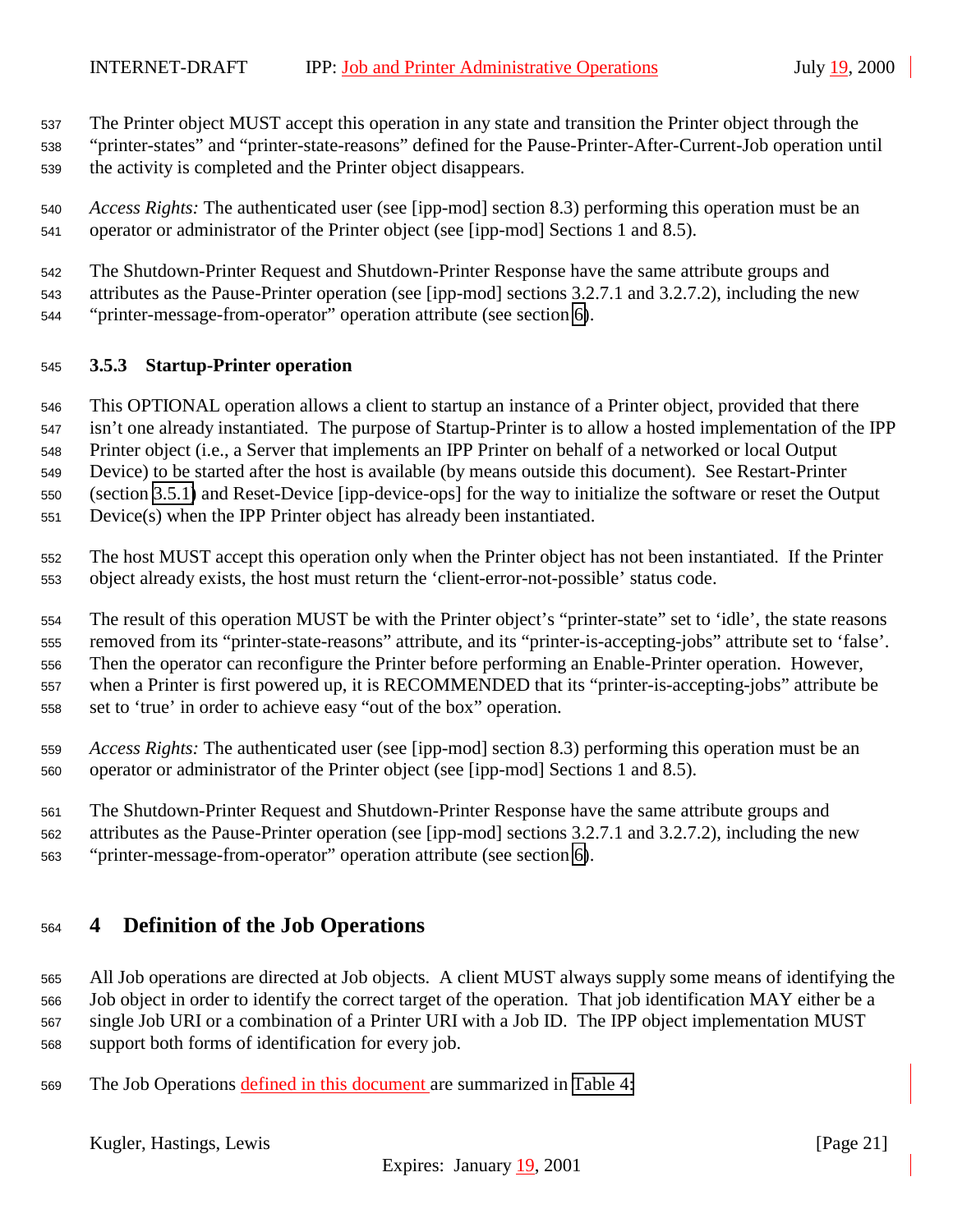<span id="page-20-0"></span>The Printer object MUST accept this operation in any state and transition the Printer object through the

 "printer-states" and "printer-state-reasons" defined for the Pause-Printer-After-Current-Job operation until the activity is completed and the Printer object disappears.

- *Access Rights:* The authenticated user (see [ipp-mod] section 8.3) performing this operation must be an operator or administrator of the Printer object (see [ipp-mod] Sections 1 and 8.5).
- The Shutdown-Printer Request and Shutdown-Printer Response have the same attribute groups and
- attributes as the Pause-Printer operation (see [ipp-mod] sections 3.2.7.1 and 3.2.7.2), including the new
- "printer-message-from-operator" operation attribute (see section [6\)](#page-28-0).

## **3.5.3 Startup-Printer operation**

This OPTIONAL operation allows a client to startup an instance of a Printer object, provided that there

isn't one already instantiated. The purpose of Startup-Printer is to allow a hosted implementation of the IPP

 Printer object (i.e., a Server that implements an IPP Printer on behalf of a networked or local Output Device) to be started after the host is available (by means outside this document). See Restart-Printer

(section [3.5.1\)](#page-19-0) and Reset-Device [ipp-device-ops] for the way to initialize the software or reset the Output

Device(s) when the IPP Printer object has already been instantiated.

 The host MUST accept this operation only when the Printer object has not been instantiated. If the Printer object already exists, the host must return the 'client-error-not-possible' status code.

 The result of this operation MUST be with the Printer object's "printer-state" set to 'idle', the state reasons removed from its "printer-state-reasons" attribute, and its "printer-is-accepting-jobs" attribute set to 'false'. Then the operator can reconfigure the Printer before performing an Enable-Printer operation. However, when a Printer is first powered up, it is RECOMMENDED that its "printer-is-accepting-jobs" attribute be set to 'true' in order to achieve easy "out of the box" operation.

 *Access Rights:* The authenticated user (see [ipp-mod] section 8.3) performing this operation must be an operator or administrator of the Printer object (see [ipp-mod] Sections 1 and 8.5).

 The Shutdown-Printer Request and Shutdown-Printer Response have the same attribute groups and attributes as the Pause-Printer operation (see [ipp-mod] sections 3.2.7.1 and 3.2.7.2), including the new

"printer-message-from-operator" operation attribute (see section [6\)](#page-28-0).

# **4 Definition of the Job Operations**

 All Job operations are directed at Job objects. A client MUST always supply some means of identifying the Job object in order to identify the correct target of the operation. That job identification MAY either be a single Job URI or a combination of a Printer URI with a Job ID. The IPP object implementation MUST support both forms of identification for every job.

The Job Operations defined in this document are summarized in [Table 4:](#page-21-0)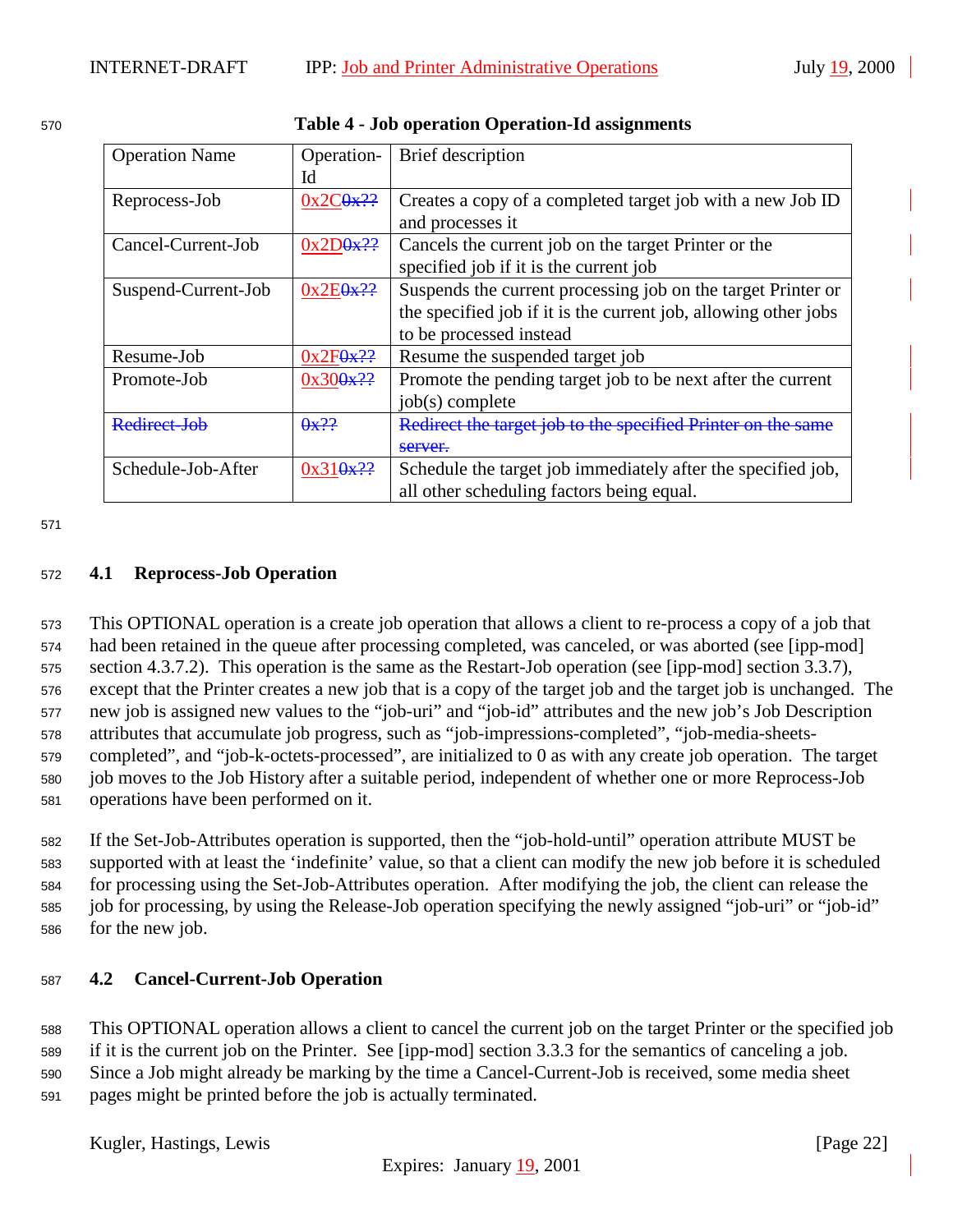| <b>Operation Name</b> | Operation-             | Brief description                                               |
|-----------------------|------------------------|-----------------------------------------------------------------|
|                       | Id                     |                                                                 |
| Reprocess-Job         | 0x2C9x??               | Creates a copy of a completed target job with a new Job ID      |
|                       |                        | and processes it                                                |
| Cancel-Current-Job    | $0x2D0x$ ??            | Cancels the current job on the target Printer or the            |
|                       |                        | specified job if it is the current job                          |
| Suspend-Current-Job   | 0x2E <sub>0x</sub> ??  | Suspends the current processing job on the target Printer or    |
|                       |                        | the specified job if it is the current job, allowing other jobs |
|                       |                        | to be processed instead                                         |
| Resume-Job            | $0x2F0x$ <sup>22</sup> | Resume the suspended target job                                 |
| Promote-Job           | 0x300x??               | Promote the pending target job to be next after the current     |
|                       |                        | $job(s)$ complete                                               |
| Redirect-Job          | $\theta x$ ??          | Redirect the target job to the specified Printer on the         |
|                       |                        | server.                                                         |
| Schedule-Job-After    | 0x310x??               | Schedule the target job immediately after the specified job,    |
|                       |                        | all other scheduling factors being equal.                       |

<span id="page-21-0"></span>

| 570 | <b>Table 4 - Job operation Operation-Id assignments</b> |
|-----|---------------------------------------------------------|
|     |                                                         |

571

## <sup>572</sup> **4.1 Reprocess-Job Operation**

 This OPTIONAL operation is a create job operation that allows a client to re-process a copy of a job that had been retained in the queue after processing completed, was canceled, or was aborted (see [ipp-mod] section 4.3.7.2). This operation is the same as the Restart-Job operation (see [ipp-mod] section 3.3.7), except that the Printer creates a new job that is a copy of the target job and the target job is unchanged. The new job is assigned new values to the "job-uri" and "job-id" attributes and the new job's Job Description attributes that accumulate job progress, such as "job-impressions-completed", "job-media-sheets- completed", and "job-k-octets-processed", are initialized to 0 as with any create job operation. The target job moves to the Job History after a suitable period, independent of whether one or more Reprocess-Job operations have been performed on it.

 If the Set-Job-Attributes operation is supported, then the "job-hold-until" operation attribute MUST be supported with at least the 'indefinite' value, so that a client can modify the new job before it is scheduled for processing using the Set-Job-Attributes operation. After modifying the job, the client can release the job for processing, by using the Release-Job operation specifying the newly assigned "job-uri" or "job-id" for the new job.

# <sup>587</sup> **4.2 Cancel-Current-Job Operation**

<sup>588</sup> This OPTIONAL operation allows a client to cancel the current job on the target Printer or the specified job

<sup>589</sup> if it is the current job on the Printer. See [ipp-mod] section 3.3.3 for the semantics of canceling a job. <sup>590</sup> Since a Job might already be marking by the time a Cancel-Current-Job is received, some media sheet <sup>591</sup> pages might be printed before the job is actually terminated.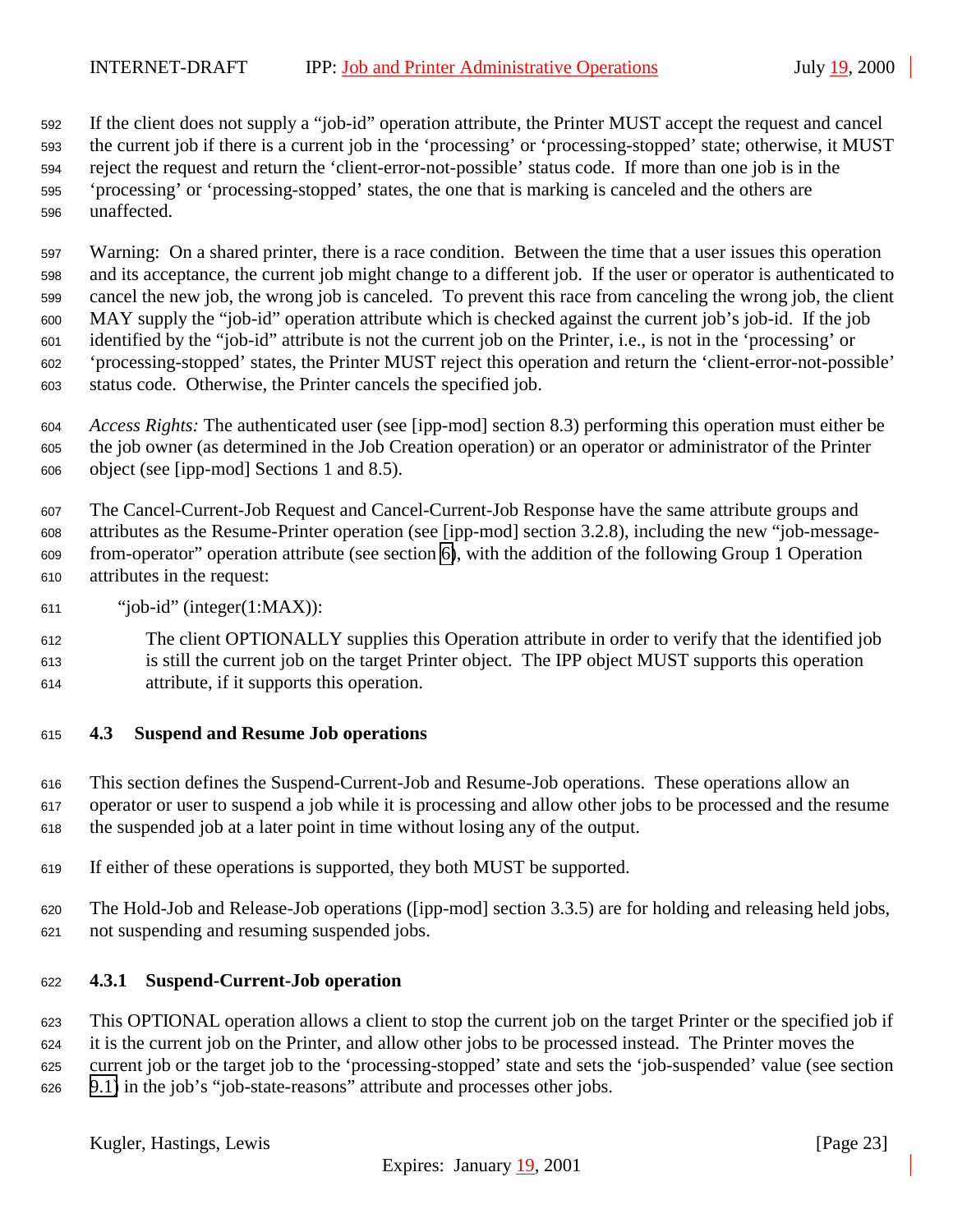<span id="page-22-0"></span> If the client does not supply a "job-id" operation attribute, the Printer MUST accept the request and cancel the current job if there is a current job in the 'processing' or 'processing-stopped' state; otherwise, it MUST reject the request and return the 'client-error-not-possible' status code. If more than one job is in the 'processing' or 'processing-stopped' states, the one that is marking is canceled and the others are unaffected.

 Warning: On a shared printer, there is a race condition. Between the time that a user issues this operation and its acceptance, the current job might change to a different job. If the user or operator is authenticated to cancel the new job, the wrong job is canceled. To prevent this race from canceling the wrong job, the client MAY supply the "job-id" operation attribute which is checked against the current job's job-id. If the job identified by the "job-id" attribute is not the current job on the Printer, i.e., is not in the 'processing' or 'processing-stopped' states, the Printer MUST reject this operation and return the 'client-error-not-possible' status code. Otherwise, the Printer cancels the specified job.

 *Access Rights:* The authenticated user (see [ipp-mod] section 8.3) performing this operation must either be the job owner (as determined in the Job Creation operation) or an operator or administrator of the Printer object (see [ipp-mod] Sections 1 and 8.5).

 The Cancel-Current-Job Request and Cancel-Current-Job Response have the same attribute groups and attributes as the Resume-Printer operation (see [ipp-mod] section 3.2.8), including the new "job-message- from-operator" operation attribute (see section [6\)](#page-28-0), with the addition of the following Group 1 Operation attributes in the request:

"job-id" (integer(1:MAX)):

 The client OPTIONALLY supplies this Operation attribute in order to verify that the identified job is still the current job on the target Printer object. The IPP object MUST supports this operation attribute, if it supports this operation.

# **4.3 Suspend and Resume Job operations**

 This section defines the Suspend-Current-Job and Resume-Job operations. These operations allow an operator or user to suspend a job while it is processing and allow other jobs to be processed and the resume the suspended job at a later point in time without losing any of the output.

- If either of these operations is supported, they both MUST be supported.
- The Hold-Job and Release-Job operations ([ipp-mod] section 3.3.5) are for holding and releasing held jobs, not suspending and resuming suspended jobs.

#### **4.3.1 Suspend-Current-Job operation**

 This OPTIONAL operation allows a client to stop the current job on the target Printer or the specified job if it is the current job on the Printer, and allow other jobs to be processed instead. The Printer moves the current job or the target job to the 'processing-stopped' state and sets the 'job-suspended' value (see section [9.1\)](#page-30-0) in the job's "job-state-reasons" attribute and processes other jobs.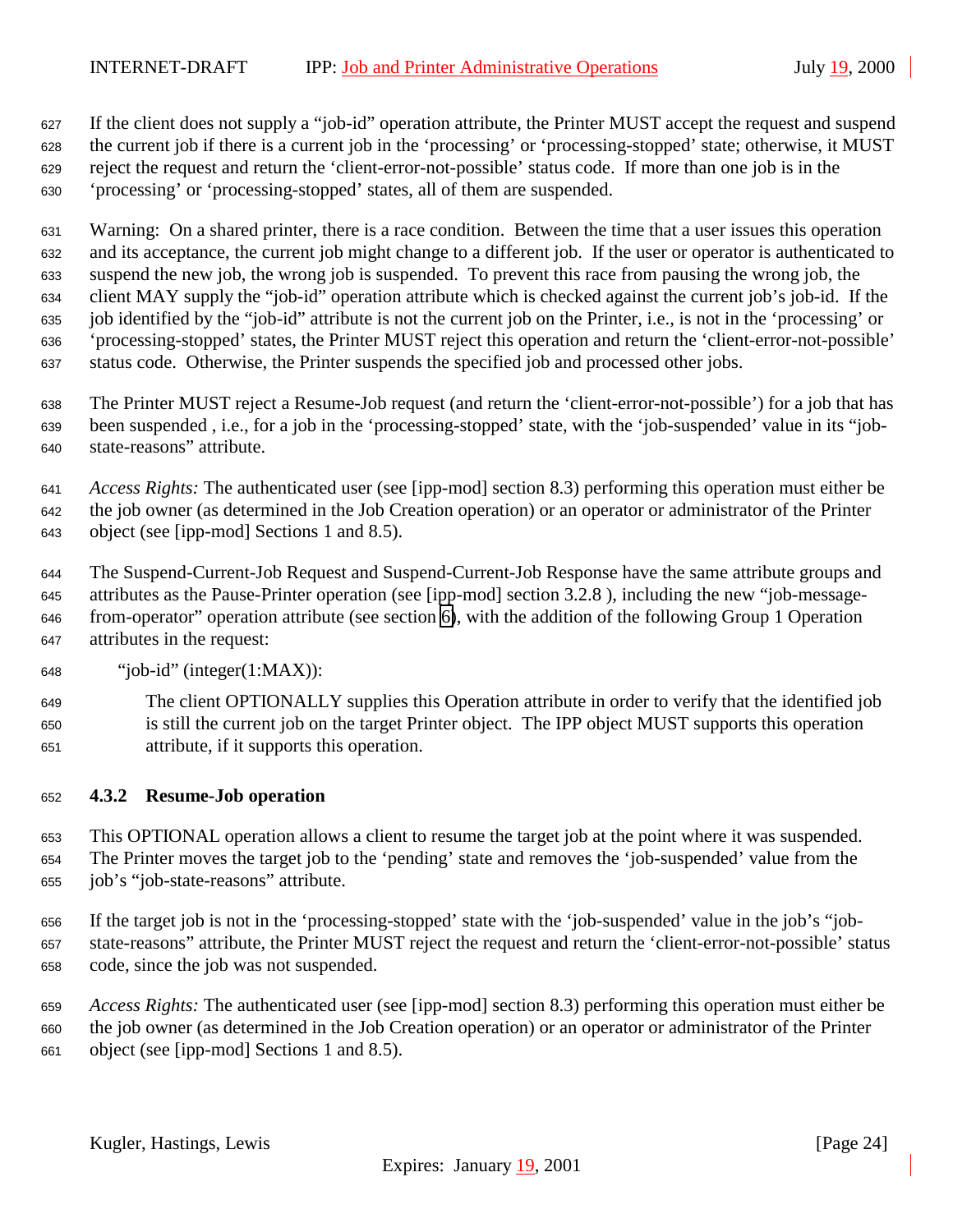<span id="page-23-0"></span> If the client does not supply a "job-id" operation attribute, the Printer MUST accept the request and suspend the current job if there is a current job in the 'processing' or 'processing-stopped' state; otherwise, it MUST reject the request and return the 'client-error-not-possible' status code. If more than one job is in the 'processing' or 'processing-stopped' states, all of them are suspended.

 Warning: On a shared printer, there is a race condition. Between the time that a user issues this operation and its acceptance, the current job might change to a different job. If the user or operator is authenticated to suspend the new job, the wrong job is suspended. To prevent this race from pausing the wrong job, the client MAY supply the "job-id" operation attribute which is checked against the current job's job-id. If the job identified by the "job-id" attribute is not the current job on the Printer, i.e., is not in the 'processing' or 'processing-stopped' states, the Printer MUST reject this operation and return the 'client-error-not-possible' status code. Otherwise, the Printer suspends the specified job and processed other jobs.

 The Printer MUST reject a Resume-Job request (and return the 'client-error-not-possible') for a job that has been suspended , i.e., for a job in the 'processing-stopped' state, with the 'job-suspended' value in its "job-state-reasons" attribute.

 *Access Rights:* The authenticated user (see [ipp-mod] section 8.3) performing this operation must either be the job owner (as determined in the Job Creation operation) or an operator or administrator of the Printer object (see [ipp-mod] Sections 1 and 8.5).

 The Suspend-Current-Job Request and Suspend-Current-Job Response have the same attribute groups and attributes as the Pause-Printer operation (see [ipp-mod] section 3.2.8 ), including the new "job-message- from-operator" operation attribute (see section [6\)](#page-28-0), with the addition of the following Group 1 Operation attributes in the request:

"job-id" (integer(1:MAX)):

 The client OPTIONALLY supplies this Operation attribute in order to verify that the identified job is still the current job on the target Printer object. The IPP object MUST supports this operation attribute, if it supports this operation.

# **4.3.2 Resume-Job operation**

 This OPTIONAL operation allows a client to resume the target job at the point where it was suspended. The Printer moves the target job to the 'pending' state and removes the 'job-suspended' value from the job's "job-state-reasons" attribute.

 If the target job is not in the 'processing-stopped' state with the 'job-suspended' value in the job's "job- state-reasons" attribute, the Printer MUST reject the request and return the 'client-error-not-possible' status code, since the job was not suspended.

 *Access Rights:* The authenticated user (see [ipp-mod] section 8.3) performing this operation must either be the job owner (as determined in the Job Creation operation) or an operator or administrator of the Printer object (see [ipp-mod] Sections 1 and 8.5).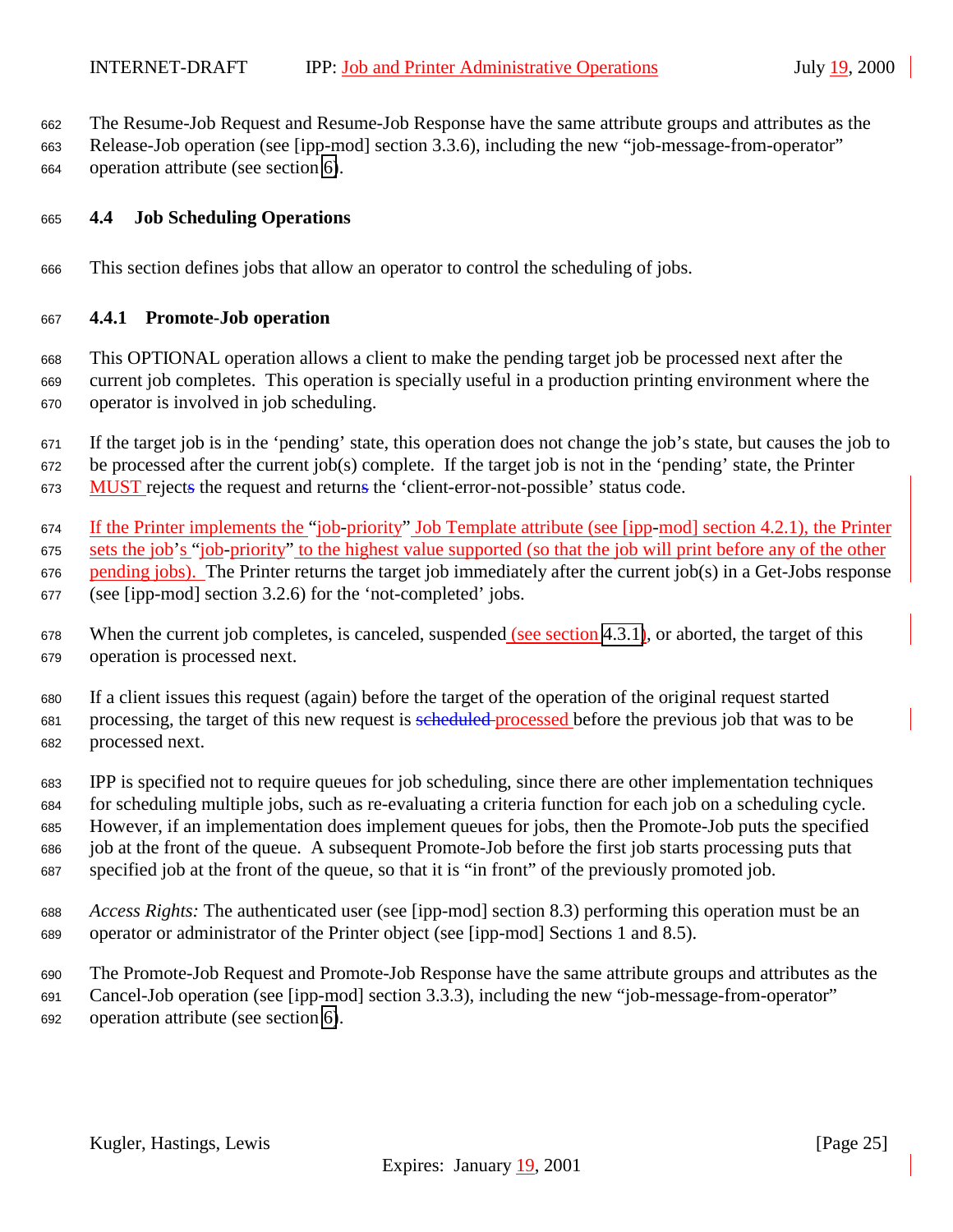<span id="page-24-0"></span>The Resume-Job Request and Resume-Job Response have the same attribute groups and attributes as the

 Release-Job operation (see [ipp-mod] section 3.3.6), including the new "job-message-from-operator" operation attribute (see section [6\)](#page-28-0).

#### **4.4 Job Scheduling Operations**

This section defines jobs that allow an operator to control the scheduling of jobs.

#### **4.4.1 Promote-Job operation**

 This OPTIONAL operation allows a client to make the pending target job be processed next after the current job completes. This operation is specially useful in a production printing environment where the operator is involved in job scheduling.

 If the target job is in the 'pending' state, this operation does not change the job's state, but causes the job to be processed after the current job(s) complete. If the target job is not in the 'pending' state, the Printer MUST rejects the request and returns the 'client-error-not-possible' status code.

If the Printer implements the "job-priority" Job Template attribute (see [ipp-mod] section 4.2.1), the Printer

sets the job's "job-priority" to the highest value supported (so that the job will print before any of the other

pending jobs). The Printer returns the target job immediately after the current job(s) in a Get-Jobs response

(see [ipp-mod] section 3.2.6) for the 'not-completed' jobs.

678 When the current job completes, is canceled, suspended (see section [4.3.1\)](#page-22-0), or aborted, the target of this operation is processed next.

 If a client issues this request (again) before the target of the operation of the original request started 681 processing, the target of this new request is seen beforessed before the previous job that was to be processed next.

 IPP is specified not to require queues for job scheduling, since there are other implementation techniques for scheduling multiple jobs, such as re-evaluating a criteria function for each job on a scheduling cycle. However, if an implementation does implement queues for jobs, then the Promote-Job puts the specified job at the front of the queue. A subsequent Promote-Job before the first job starts processing puts that specified job at the front of the queue, so that it is "in front" of the previously promoted job.

- *Access Rights:* The authenticated user (see [ipp-mod] section 8.3) performing this operation must be an operator or administrator of the Printer object (see [ipp-mod] Sections 1 and 8.5).
- The Promote-Job Request and Promote-Job Response have the same attribute groups and attributes as the

 Cancel-Job operation (see [ipp-mod] section 3.3.3), including the new "job-message-from-operator" operation attribute (see section [6\)](#page-28-0).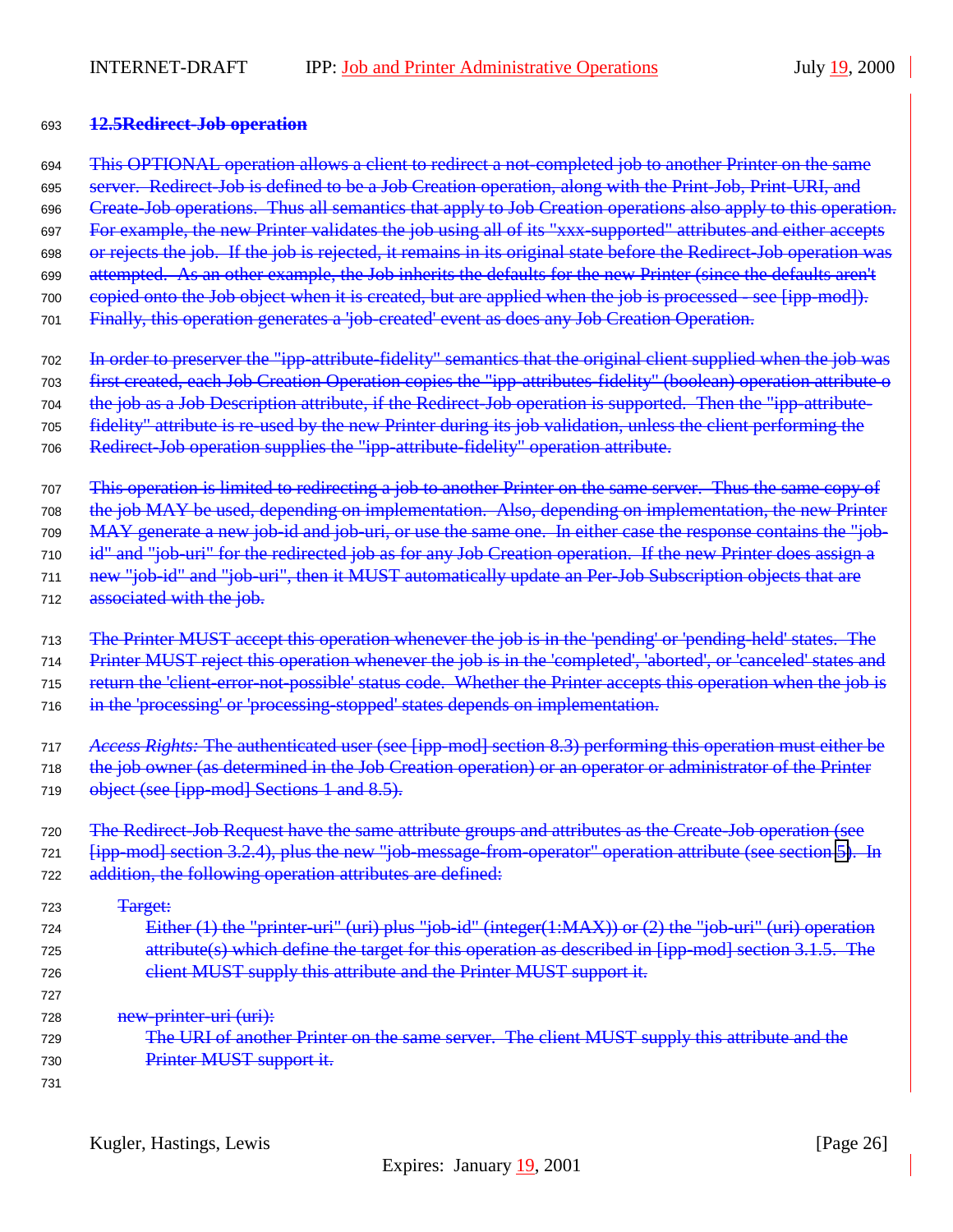#### <span id="page-25-0"></span><sup>693</sup> **12.5Redirect-Job operation**

- <sup>694</sup> This OPTIONAL operation allows a client to redirect a not-completed job to another Printer on the same
- 695 server. Redirect-Job is defined to be a Job Creation operation, along with the Print-Job, Print-URI, and
- 696 Create-Job operations. Thus all semantics that apply to Job Creation operations also apply to this operation.
- 697 For example, the new Printer validates the job using all of its "xxx-supported" attributes and either accepts
- 698 or rejects the job. If the job is rejected, it remains in its original state before the Redirect-Job operation was
- <sup>699</sup> attempted. As an other example, the Job inherits the defaults for the new Printer (since the defaults aren't
- 700 copied onto the Job object when it is created, but are applied when the job is processed see [ipp-mod]).
- <sup>701</sup> Finally, this operation generates a 'job-created' event as does any Job Creation Operation.
- 702 In order to preserver the "ipp-attribute-fidelity" semantics that the original client supplied when the job was
- <sup>703</sup> first created, each Job Creation Operation copies the "ipp-attributes-fidelity" (boolean) operation attribute o
- <sup>704</sup> the job as a Job Description attribute, if the Redirect-Job operation is supported. Then the "ipp-attribute-
- 705 fidelity" attribute is re-used by the new Printer during its job validation, unless the client performing the
- <sup>706</sup> Redirect-Job operation supplies the "ipp-attribute-fidelity" operation attribute.
- 707 This operation is limited to redirecting a job to another Printer on the same server. Thus the same copy of <sup>708</sup> the job MAY be used, depending on implementation. Also, depending on implementation, the new Printer
- <sup>709</sup> MAY generate a new job-id and job-uri, or use the same one. In either case the response contains the "job-
- 710 id" and "job-uri" for the redirected job as for any Job Creation operation. If the new Printer does assign a
- 711 new "job-id" and "job-uri", then it MUST automatically update an Per-Job Subscription objects that are
- 712 associated with the job.
- <sup>713</sup> The Printer MUST accept this operation whenever the job is in the 'pending' or 'pending-held' states. The
- 714 Printer MUST reject this operation whenever the job is in the 'completed', 'aborted', or 'canceled' states and
- 715 return the 'client-error-not-possible' status code. Whether the Printer accepts this operation when the job is
- 716 in the 'processing' or 'processing-stopped' states depends on implementation.
- <sup>717</sup> *Access Rights:* The authenticated user (see [ipp-mod] section 8.3) performing this operation must either be
- 718 the job owner (as determined in the Job Creation operation) or an operator or administrator of the Printer
- 719 object (see [ipp-mod] Sections 1 and 8.5).
- 720 The Redirect-Job Request have the same attribute groups and attributes as the Create-Job operation (see 721 [ipp-mod] section 3.2.4), plus the new "job-message-from-operator" operation attribute (see section [5\)](#page-28-0). In 722 addition, the following operation attributes are defined:
- 723 <del>Target:</del> <sup>724</sup> Either (1) the "printer-uri" (uri) plus "job-id" (integer(1:MAX)) or (2) the "job-uri" (uri) operation <sup>725</sup> attribute(s) which define the target for this operation as described in [ipp-mod] section 3.1.5. The 726 client MUST supply this attribute and the Printer MUST support it.
	- 727 728 <del>new-printer-uri (uri):</del>
	- 729 The URI of another Printer on the same server. The client MUST supply this attribute and the 730 Printer MUST support it.
	- 731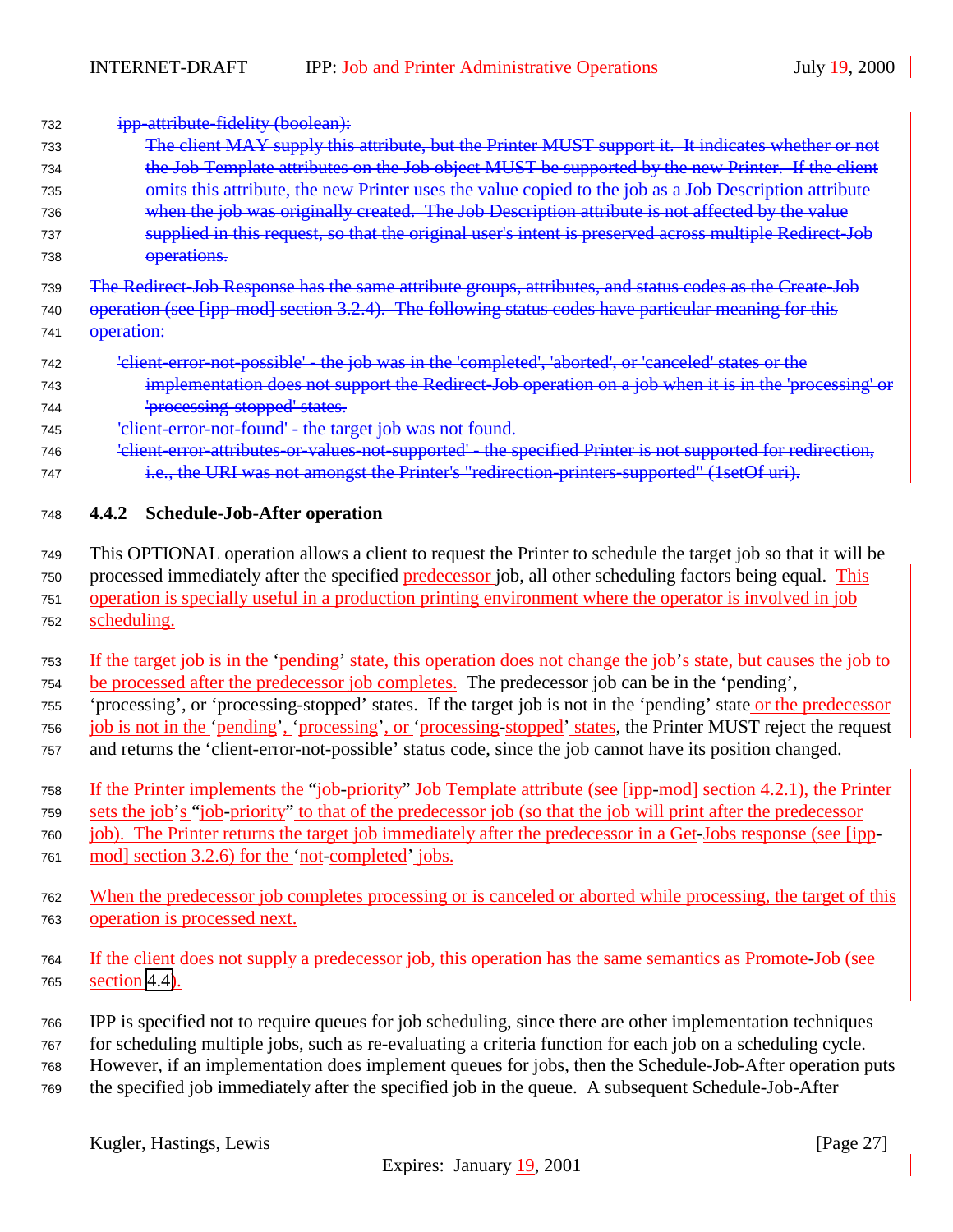<span id="page-26-0"></span>732 **ipp-attribute-fidelity (boolean):** 

| 733                      | The client MAY supply this attribute, but the Printer MUST support it. It indicates whether or not                                                                |
|--------------------------|-------------------------------------------------------------------------------------------------------------------------------------------------------------------|
| 734                      | the Job Template attributes on the Job object MUST be supported by the new Printer. If the client                                                                 |
| 735                      | omits this attribute, the new Printer uses the value copied to the job as a Job Description attribute                                                             |
| 736                      | when the job was originally created. The Job Description attribute is not affected by the value                                                                   |
| 737                      | supplied in this request, so that the original user's intent is preserved across multiple Redirect-Job                                                            |
| 738                      | operations.                                                                                                                                                       |
| 739                      | The Redirect Job Response has the same attribute groups, attributes, and status codes as the Create Job                                                           |
| 740                      | operation (see [ipp-mod] section 3.2.4). The following status codes have particular meaning for this                                                              |
| 741                      | operation:                                                                                                                                                        |
| 742                      | 'elient-error-not-possible' - the job was in the 'completed', 'aborted', or 'canceled' states or the                                                              |
| 743                      | implementation does not support the Redirect Job operation on a job when it is in the 'processing' or                                                             |
| 744                      | 'processing stopped' states.                                                                                                                                      |
| 745                      | 'elient-error-not-found' - the target job was not found.                                                                                                          |
| 746                      | 'elient-error-attributes-or-values-not-supported' - the specified Printer is not supported for redirection,                                                       |
| 747                      | i.e., the URI was not amongst the Printer's "redirection-printers-supported" (1setOf uri).                                                                        |
|                          |                                                                                                                                                                   |
| 748                      | 4.4.2 Schedule-Job-After operation                                                                                                                                |
|                          |                                                                                                                                                                   |
| 749                      | This OPTIONAL operation allows a client to request the Printer to schedule the target job so that it will be                                                      |
| 750                      | processed immediately after the specified predecessor job, all other scheduling factors being equal. This                                                         |
| 751                      | operation is specially useful in a production printing environment where the operator is involved in job                                                          |
| 752                      | scheduling.                                                                                                                                                       |
| 753                      | If the target job is in the 'pending' state, this operation does not change the job's state, but causes the job to                                                |
| 754                      | be processed after the predecessor job completes. The predecessor job can be in the 'pending',                                                                    |
| 755                      | 'processing', or 'processing-stopped' states. If the target job is not in the 'pending' state or the predecessor                                                  |
| 756                      | job is not in the 'pending', 'processing', or 'processing-stopped' states, the Printer MUST reject the request                                                    |
| 757                      | and returns the 'client-error-not-possible' status code, since the job cannot have its position changed.                                                          |
|                          |                                                                                                                                                                   |
| 758                      | If the Printer implements the "job-priority" Job Template attribute (see [ipp-mod] section 4.2.1), the Printer                                                    |
| 759                      | sets the job's "job priority" to that of the predecessor job (so that the job will print after the predecessor                                                    |
| 760                      | job). The Printer returns the target job immediately after the predecessor in a Get-Jobs response (see [ipp-<br>mod] section 3.2.6) for the 'not-completed' jobs. |
| 761                      |                                                                                                                                                                   |
| 762                      | When the predecessor job completes processing or is canceled or aborted while processing, the target of this                                                      |
| 763                      | operation is processed next.                                                                                                                                      |
|                          |                                                                                                                                                                   |
| 764                      | If the client does not supply a predecessor job, this operation has the same semantics as Promote-Job (see                                                        |
| 765                      | section $4.4$ ).                                                                                                                                                  |
|                          | IPP is specified not to require queues for job scheduling, since there are other implementation techniques                                                        |
| 766                      | for scheduling multiple jobs, such as re-evaluating a criteria function for each job on a scheduling cycle.                                                       |
| 767<br>768               | However, if an implementation does implement queues for jobs, then the Schedule-Job-After operation puts                                                          |
| $\overline{\phantom{a}}$ | the greatfied ich immediately efter the greatfied ich in the guesse. A gybecquert Cabadyle Job After                                                              |

<sup>769</sup> the specified job immediately after the specified job in the queue. A subsequent Schedule-Job-After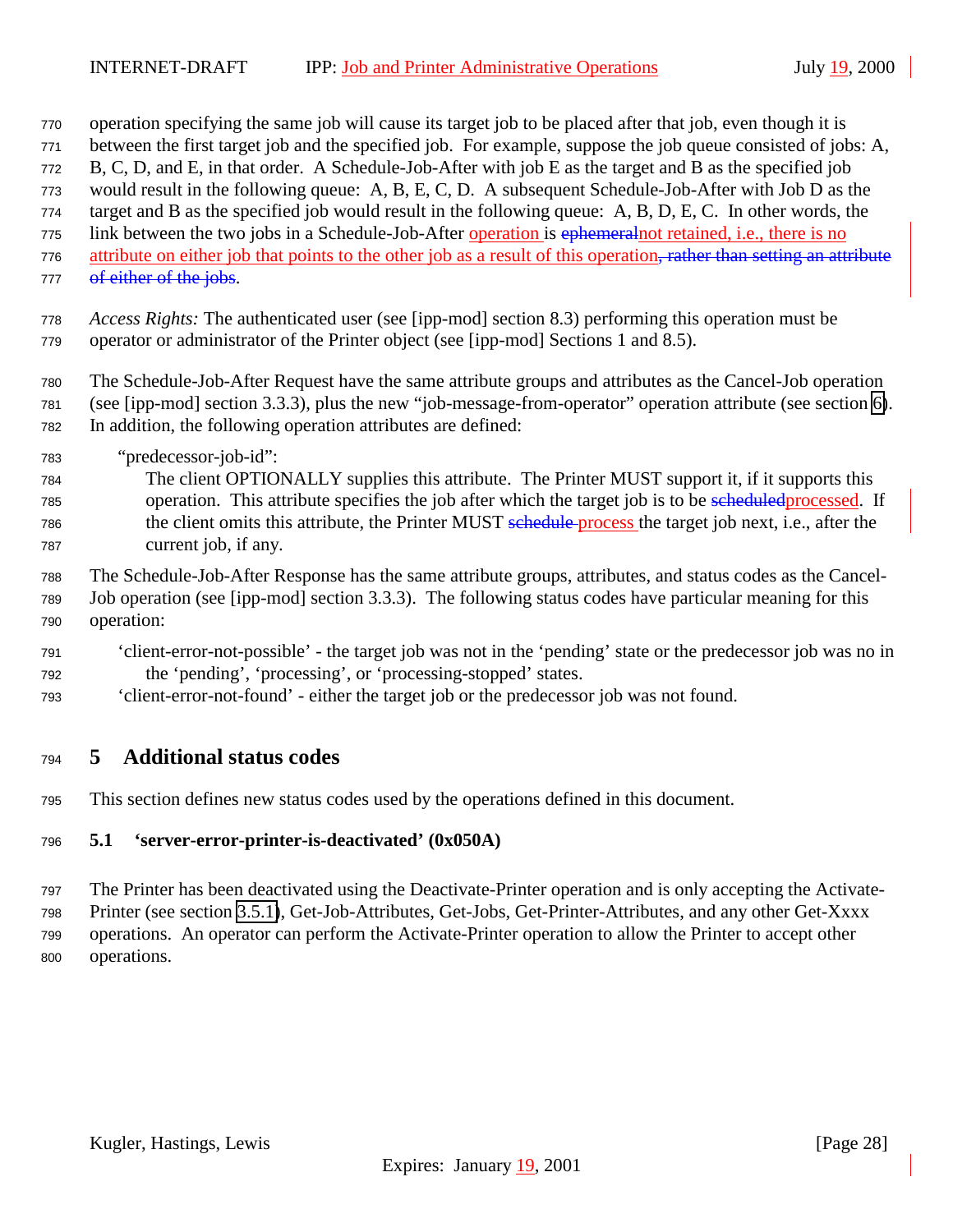- <span id="page-27-0"></span>operation specifying the same job will cause its target job to be placed after that job, even though it is
- between the first target job and the specified job. For example, suppose the job queue consisted of jobs: A,
- B, C, D, and E, in that order. A Schedule-Job-After with job E as the target and B as the specified job
- would result in the following queue: A, B, E, C, D. A subsequent Schedule-Job-After with Job D as the
- target and B as the specified job would result in the following queue: A, B, D, E, C. In other words, the 775 link between the two jobs in a Schedule-Job-After operation is ephemeral not retained, i.e., there is no
- 776 attribute on either job that points to the other job as a result of this operation, rather than setting an attribute
- 777 of either of the jobs.
- *Access Rights:* The authenticated user (see [ipp-mod] section 8.3) performing this operation must be operator or administrator of the Printer object (see [ipp-mod] Sections 1 and 8.5).
- The Schedule-Job-After Request have the same attribute groups and attributes as the Cancel-Job operation (see [ipp-mod] section 3.3.3), plus the new "job-message-from-operator" operation attribute (see section [6\)](#page-28-0). In addition, the following operation attributes are defined:
- "predecessor-job-id":
- The client OPTIONALLY supplies this attribute. The Printer MUST support it, if it supports this 785 operation. This attribute specifies the job after which the target job is to be scheduled processed. If 786 the client omits this attribute, the Printer MUST schedule process the target job next, i.e., after the current job, if any.
- The Schedule-Job-After Response has the same attribute groups, attributes, and status codes as the Cancel- Job operation (see [ipp-mod] section 3.3.3). The following status codes have particular meaning for this operation:
- 'client-error-not-possible' the target job was not in the 'pending' state or the predecessor job was no in the 'pending', 'processing', or 'processing-stopped' states.
- 'client-error-not-found' either the target job or the predecessor job was not found.

# **5 Additional status codes**

This section defines new status codes used by the operations defined in this document.

# **5.1 'server-error-printer-is-deactivated' (0x050A)**

- The Printer has been deactivated using the Deactivate-Printer operation and is only accepting the Activate-
- Printer (see section [3.5.1\)](#page-19-0), Get-Job-Attributes, Get-Jobs, Get-Printer-Attributes, and any other Get-Xxxx operations. An operator can perform the Activate-Printer operation to allow the Printer to accept other operations.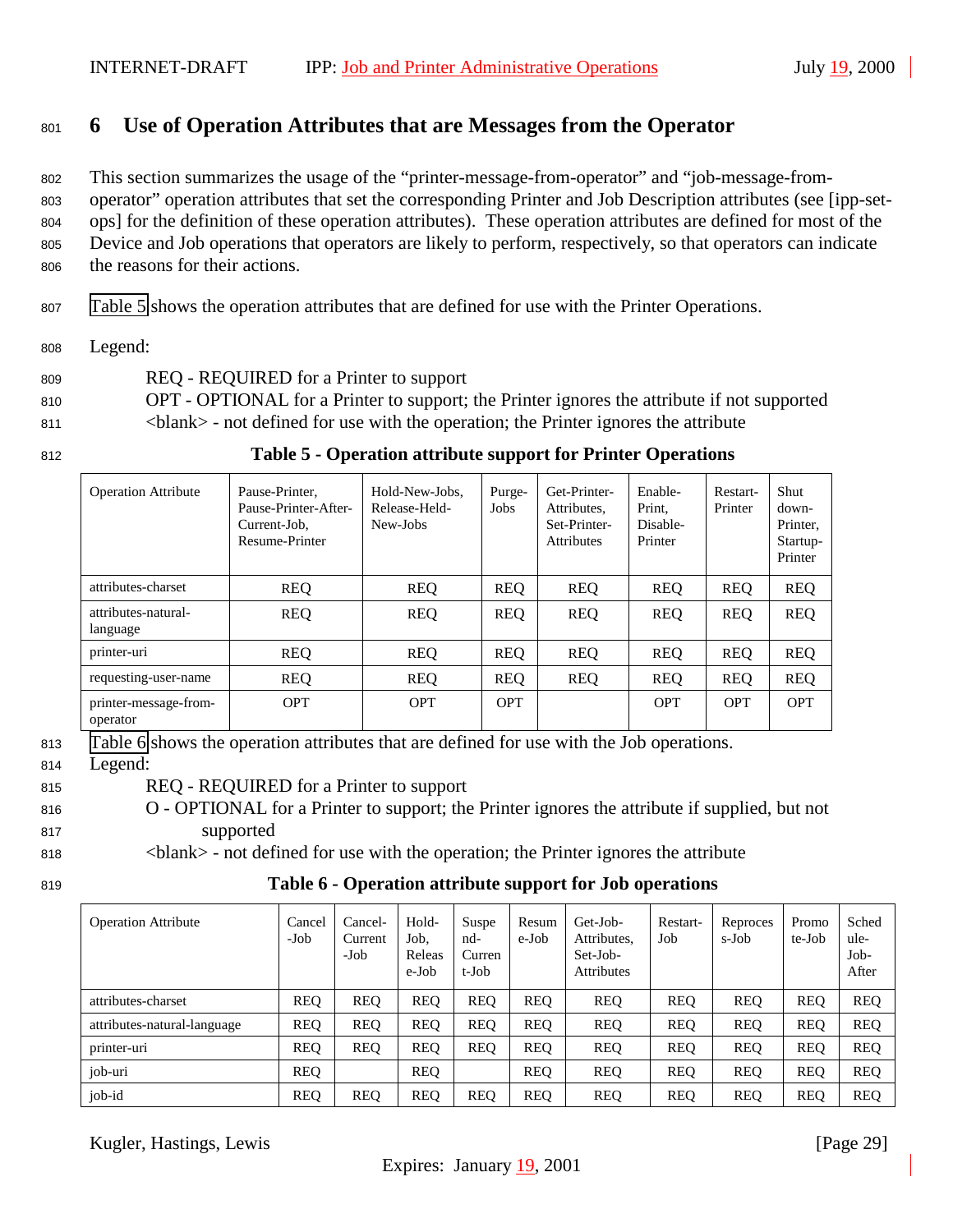# <span id="page-28-0"></span><sup>801</sup> **6 Use of Operation Attributes that are Messages from the Operator**

 This section summarizes the usage of the "printer-message-from-operator" and "job-message-from- operator" operation attributes that set the corresponding Printer and Job Description attributes (see [ipp-set- ops] for the definition of these operation attributes). These operation attributes are defined for most of the Device and Job operations that operators are likely to perform, respectively, so that operators can indicate the reasons for their actions.

<sup>807</sup> Table 5 shows the operation attributes that are defined for use with the Printer Operations.

<sup>808</sup> Legend:

<sup>809</sup> REQ - REQUIRED for a Printer to support

<sup>810</sup> OPT - OPTIONAL for a Printer to support; the Printer ignores the attribute if not supported <sup>811</sup> <blank> - not defined for use with the operation; the Printer ignores the attribute

<sup>812</sup> **Table 5 - Operation attribute support for Printer Operations**

| <b>Operation Attribute</b>        | Pause-Printer,<br>Pause-Printer-After-<br>Current-Job.<br>Resume-Printer | Hold-New-Jobs.<br>Release-Held-<br>New-Jobs | Purge-<br>Jobs | Get-Printer-<br>Attributes.<br>Set-Printer-<br><b>Attributes</b> | Enable-<br>Print,<br>Disable-<br>Printer | Restart-<br>Printer | Shut<br>down-<br>Printer.<br>Startup-<br>Printer |
|-----------------------------------|--------------------------------------------------------------------------|---------------------------------------------|----------------|------------------------------------------------------------------|------------------------------------------|---------------------|--------------------------------------------------|
| attributes-charset                | <b>REQ</b>                                                               | <b>REQ</b>                                  | <b>REQ</b>     | <b>REQ</b>                                                       | <b>REO</b>                               | <b>REQ</b>          | <b>REQ</b>                                       |
| attributes-natural-<br>language   | <b>REQ</b>                                                               | <b>REQ</b>                                  | <b>REQ</b>     | <b>REQ</b>                                                       | <b>REO</b>                               | <b>REQ</b>          | <b>REQ</b>                                       |
| printer-uri                       | <b>REQ</b>                                                               | <b>REO</b>                                  | <b>REQ</b>     | <b>REQ</b>                                                       | <b>REO</b>                               | <b>REO</b>          | <b>REQ</b>                                       |
| requesting-user-name              | <b>REQ</b>                                                               | <b>REQ</b>                                  | <b>REQ</b>     | <b>REQ</b>                                                       | <b>REO</b>                               | <b>REQ</b>          | <b>REQ</b>                                       |
| printer-message-from-<br>operator | <b>OPT</b>                                                               | <b>OPT</b>                                  | <b>OPT</b>     |                                                                  | <b>OPT</b>                               | <b>OPT</b>          | <b>OPT</b>                                       |

<sup>813</sup> Table 6 shows the operation attributes that are defined for use with the Job operations.

<sup>814</sup> Legend:

- <sup>815</sup> REQ REQUIRED for a Printer to support
- <sup>816</sup> O OPTIONAL for a Printer to support; the Printer ignores the attribute if supplied, but not <sup>817</sup> supported
- <sup>818</sup> <blank> not defined for use with the operation; the Printer ignores the attribute
- 

<sup>819</sup> **Table 6 - Operation attribute support for Job operations**

| <b>Operation Attribute</b>  | Cancel<br>-Job | Cancel-<br>Current<br>-Job | Hold-<br>Job.<br>Releas<br>e-Job | Suspe<br>nd-<br>Curren<br>t-Job | Resum<br>e-Job | Get-Job-<br>Attributes,<br>Set-Job-<br><b>Attributes</b> | Restart-<br>Job | Reproces<br>s-Job | Promo<br>te-Job | Sched<br>ule-<br>$Job-$<br>After |
|-----------------------------|----------------|----------------------------|----------------------------------|---------------------------------|----------------|----------------------------------------------------------|-----------------|-------------------|-----------------|----------------------------------|
| attributes-charset          | <b>REO</b>     | <b>REO</b>                 | <b>REO</b>                       | <b>REO</b>                      | <b>REO</b>     | <b>REO</b>                                               | <b>REO</b>      | <b>REO</b>        | <b>REO</b>      | <b>REO</b>                       |
| attributes-natural-language | <b>REQ</b>     | <b>REO</b>                 | <b>REQ</b>                       | <b>REQ</b>                      | <b>REO</b>     | <b>REQ</b>                                               | <b>REQ</b>      | <b>REQ</b>        | <b>REQ</b>      | <b>REO</b>                       |
| printer-uri                 | <b>REQ</b>     | <b>REO</b>                 | <b>REO</b>                       | <b>REO</b>                      | <b>REO</b>     | <b>REO</b>                                               | <b>REQ</b>      | <b>REQ</b>        | <b>REQ</b>      | <b>REO</b>                       |
| job-uri                     | <b>REO</b>     |                            | <b>REO</b>                       |                                 | <b>REO</b>     | <b>REQ</b>                                               | <b>REQ</b>      | <b>REQ</b>        | <b>REQ</b>      | <b>REO</b>                       |
| job-id                      | <b>REO</b>     | <b>REO</b>                 | <b>REO</b>                       | <b>REO</b>                      | <b>REO</b>     | <b>REO</b>                                               | <b>REO</b>      | <b>REO</b>        | <b>REO</b>      | <b>REO</b>                       |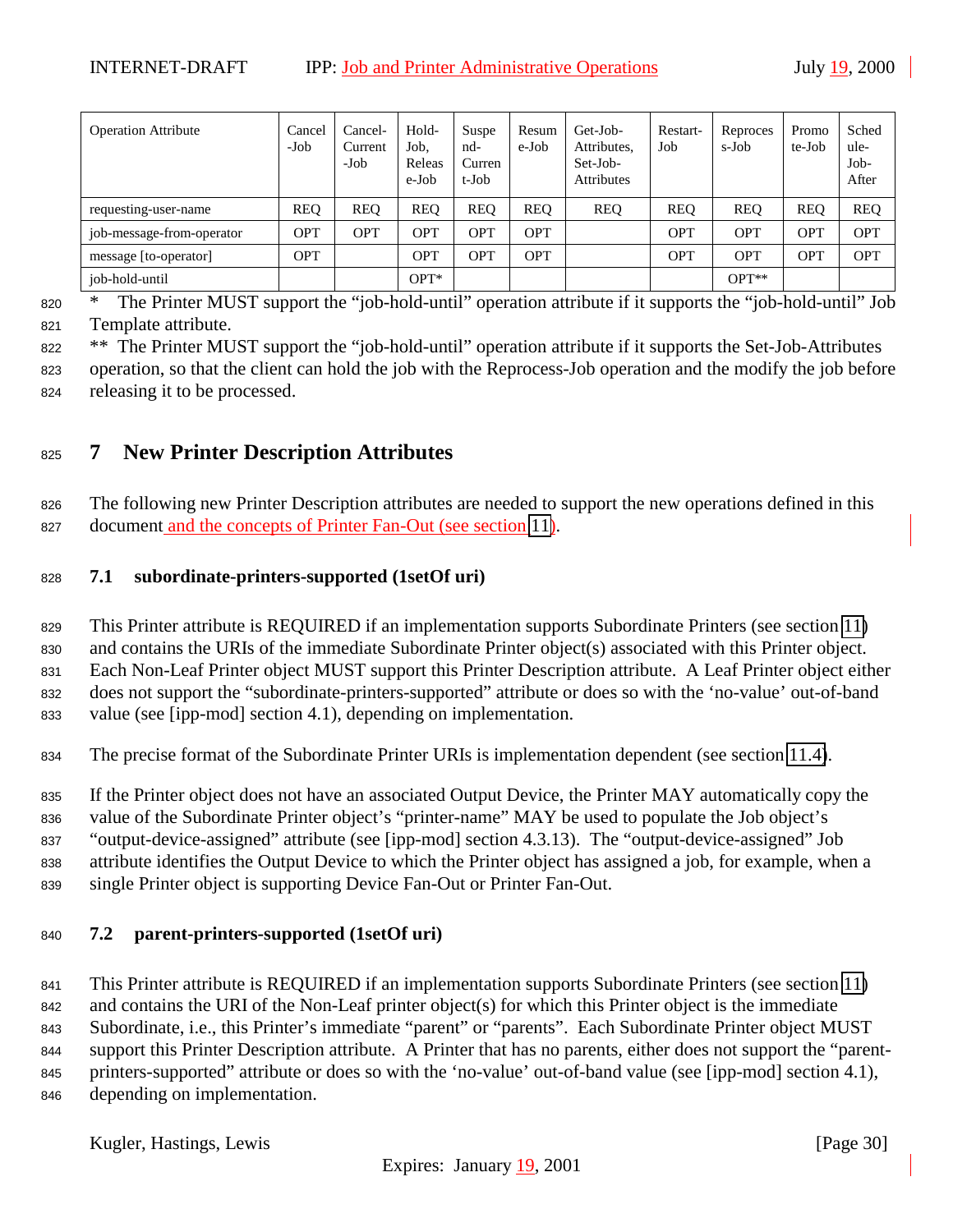<span id="page-29-0"></span>

| <b>Operation Attribute</b> | Cancel<br>-Job | Cancel-<br>Current<br>$-Job$ | Hold-<br>Job.<br>Releas<br>e-Job | Suspe<br>nd-<br>Curren<br>t-Job | Resum<br>e-Job | Get-Job-<br>Attributes,<br>Set-Job-<br>Attributes | Restart-<br>Job | Reproces<br>s-Job | Promo<br>te-Job | Sched<br>ule-<br>Job-<br>After |
|----------------------------|----------------|------------------------------|----------------------------------|---------------------------------|----------------|---------------------------------------------------|-----------------|-------------------|-----------------|--------------------------------|
| requesting-user-name       | <b>REQ</b>     | <b>REO</b>                   | <b>REO</b>                       | <b>REQ</b>                      | <b>REO</b>     | <b>REQ</b>                                        | <b>REQ</b>      | <b>REQ</b>        | <b>REQ</b>      | <b>REQ</b>                     |
| job-message-from-operator  | OPT            | OPT                          | OPT                              | <b>OPT</b>                      | <b>OPT</b>     |                                                   | <b>OPT</b>      | <b>OPT</b>        | OPT             | <b>OPT</b>                     |
| message [to-operator]      | OPT            |                              | OPT                              | OPT                             | <b>OPT</b>     |                                                   | <b>OPT</b>      | <b>OPT</b>        | <b>OPT</b>      | <b>OPT</b>                     |
| job-hold-until             |                |                              | $OPT^*$                          |                                 |                |                                                   |                 | $OPT**$           |                 |                                |

<sup>820</sup> \* The Printer MUST support the "job-hold-until" operation attribute if it supports the "job-hold-until" Job <sup>821</sup> Template attribute.

<sup>822</sup> \*\* The Printer MUST support the "job-hold-until" operation attribute if it supports the Set-Job-Attributes

<sup>823</sup> operation, so that the client can hold the job with the Reprocess-Job operation and the modify the job before <sup>824</sup> releasing it to be processed.

# <sup>825</sup> **7 New Printer Description Attributes**

<sup>826</sup> The following new Printer Description attributes are needed to support the new operations defined in this <sup>827</sup> document and the concepts of Printer Fan-Out (see section [11\)](#page-31-0).

# <sup>828</sup> **7.1 subordinate-printers-supported (1setOf uri)**

 This Printer attribute is REQUIRED if an implementation supports Subordinate Printers (see section [11\)](#page-31-0) and contains the URIs of the immediate Subordinate Printer object(s) associated with this Printer object. Each Non-Leaf Printer object MUST support this Printer Description attribute. A Leaf Printer object either does not support the "subordinate-printers-supported" attribute or does so with the 'no-value' out-of-band value (see [ipp-mod] section 4.1), depending on implementation.

<sup>834</sup> The precise format of the Subordinate Printer URIs is implementation dependent (see section [11.4\)](#page-32-0).

<sup>835</sup> If the Printer object does not have an associated Output Device, the Printer MAY automatically copy the

<sup>836</sup> value of the Subordinate Printer object's "printer-name" MAY be used to populate the Job object's

<sup>837</sup> "output-device-assigned" attribute (see [ipp-mod] section 4.3.13). The "output-device-assigned" Job

<sup>838</sup> attribute identifies the Output Device to which the Printer object has assigned a job, for example, when a <sup>839</sup> single Printer object is supporting Device Fan-Out or Printer Fan-Out.

# <sup>840</sup> **7.2 parent-printers-supported (1setOf uri)**

 This Printer attribute is REQUIRED if an implementation supports Subordinate Printers (see section [11\)](#page-31-0) and contains the URI of the Non-Leaf printer object(s) for which this Printer object is the immediate Subordinate, i.e., this Printer's immediate "parent" or "parents". Each Subordinate Printer object MUST support this Printer Description attribute. A Printer that has no parents, either does not support the "parent- printers-supported" attribute or does so with the 'no-value' out-of-band value (see [ipp-mod] section 4.1), depending on implementation.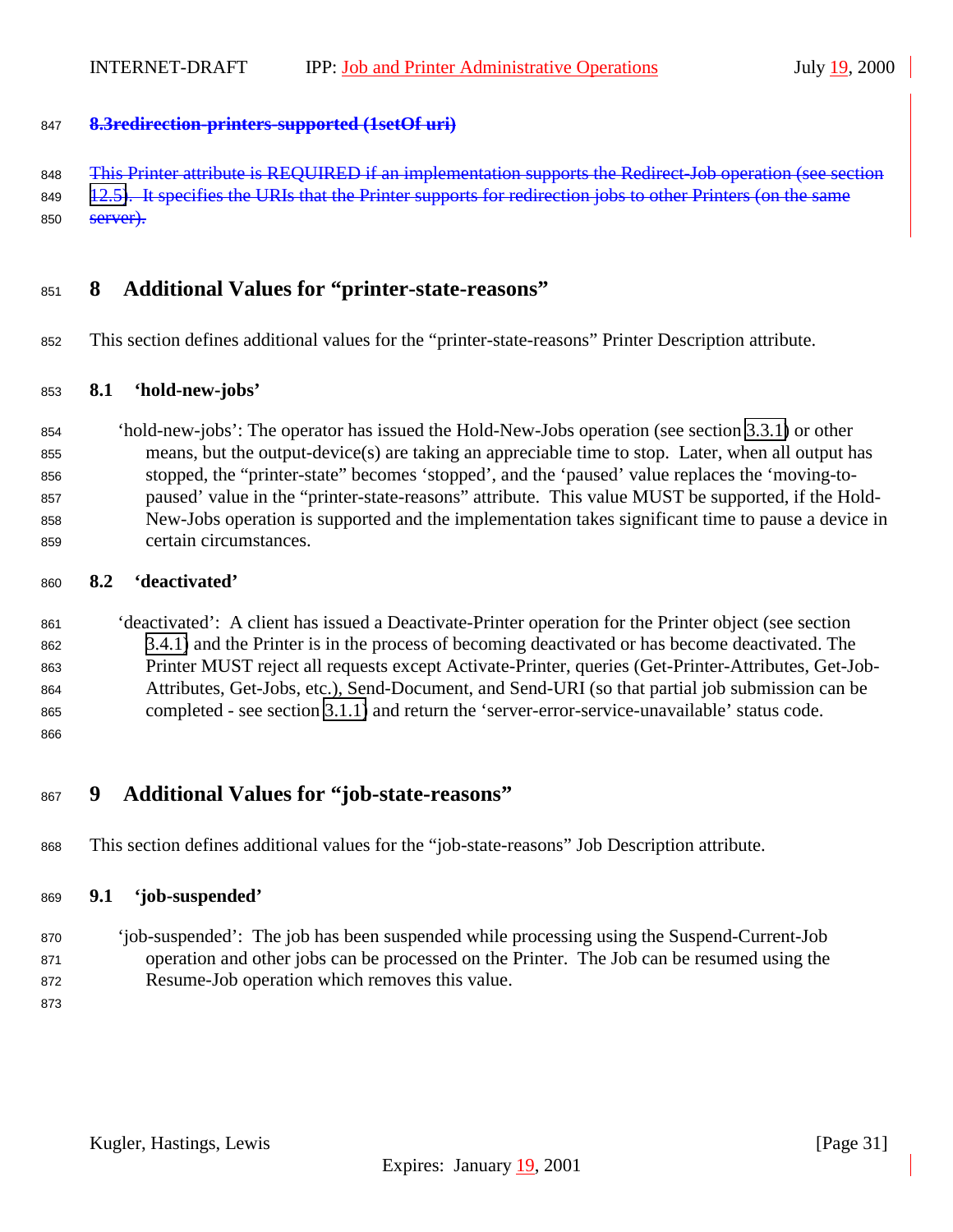#### <span id="page-30-0"></span>**8.3redirection-printers-supported (1setOf uri)**

848 This Printer attribute is REQUIRED if an implementation supports the Redirect-Job operation (see section

[12.5\)](#page-25-0). It specifies the URIs that the Printer supports for redirection jobs to other Printers (on the same 850 <del>server).</del>

# **8 Additional Values for "printer-state-reasons"**

This section defines additional values for the "printer-state-reasons" Printer Description attribute.

#### **8.1 'hold-new-jobs'**

 'hold-new-jobs': The operator has issued the Hold-New-Jobs operation (see section [3.3.1\)](#page-16-0) or other means, but the output-device(s) are taking an appreciable time to stop. Later, when all output has stopped, the "printer-state" becomes 'stopped', and the 'paused' value replaces the 'moving-to- paused' value in the "printer-state-reasons" attribute. This value MUST be supported, if the Hold- New-Jobs operation is supported and the implementation takes significant time to pause a device in certain circumstances.

#### **8.2 'deactivated'**

 'deactivated': A client has issued a Deactivate-Printer operation for the Printer object (see section [3.4.1\)](#page-18-0) and the Printer is in the process of becoming deactivated or has become deactivated. The Printer MUST reject all requests except Activate-Printer, queries (Get-Printer-Attributes, Get-Job- Attributes, Get-Jobs, etc.), Send-Document, and Send-URI (so that partial job submission can be completed - see section [3.1.1\)](#page-13-0) and return the 'server-error-service-unavailable' status code.

# **9 Additional Values for "job-state-reasons"**

This section defines additional values for the "job-state-reasons" Job Description attribute.

#### **9.1 'job-suspended'**

- 'job-suspended': The job has been suspended while processing using the Suspend-Current-Job operation and other jobs can be processed on the Printer. The Job can be resumed using the Resume-Job operation which removes this value.
-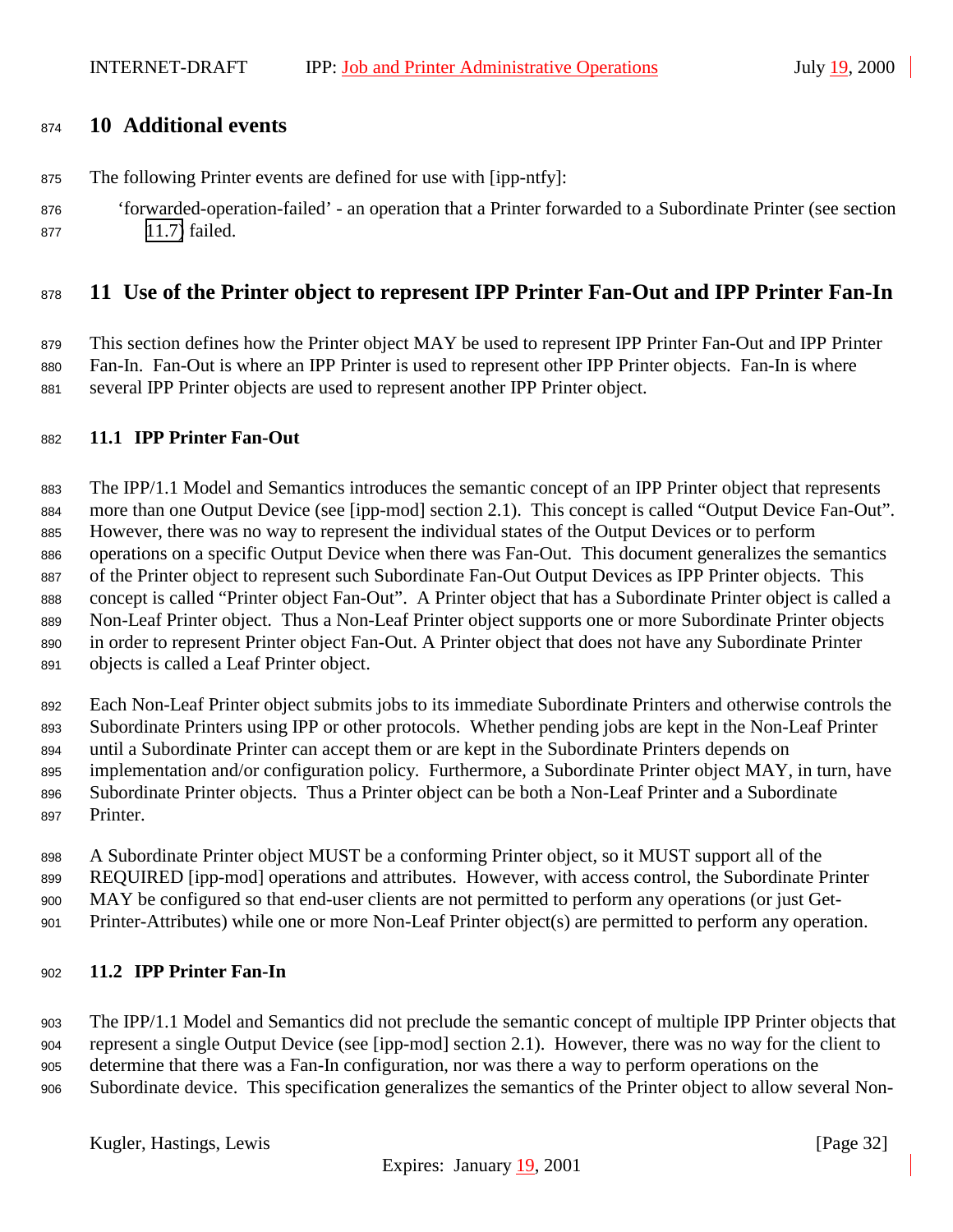# <span id="page-31-0"></span>**10 Additional events**

- The following Printer events are defined for use with [ipp-ntfy]:
- 'forwarded-operation-failed' an operation that a Printer forwarded to a Subordinate Printer (see section [11.7\)](#page-36-0) failed.

# **11 Use of the Printer object to represent IPP Printer Fan-Out and IPP Printer Fan-In**

 This section defines how the Printer object MAY be used to represent IPP Printer Fan-Out and IPP Printer Fan-In. Fan-Out is where an IPP Printer is used to represent other IPP Printer objects. Fan-In is where several IPP Printer objects are used to represent another IPP Printer object.

#### **11.1 IPP Printer Fan-Out**

 The IPP/1.1 Model and Semantics introduces the semantic concept of an IPP Printer object that represents more than one Output Device (see [ipp-mod] section 2.1). This concept is called "Output Device Fan-Out". However, there was no way to represent the individual states of the Output Devices or to perform operations on a specific Output Device when there was Fan-Out. This document generalizes the semantics of the Printer object to represent such Subordinate Fan-Out Output Devices as IPP Printer objects. This concept is called "Printer object Fan-Out". A Printer object that has a Subordinate Printer object is called a Non-Leaf Printer object. Thus a Non-Leaf Printer object supports one or more Subordinate Printer objects in order to represent Printer object Fan-Out. A Printer object that does not have any Subordinate Printer objects is called a Leaf Printer object.

 Each Non-Leaf Printer object submits jobs to its immediate Subordinate Printers and otherwise controls the Subordinate Printers using IPP or other protocols. Whether pending jobs are kept in the Non-Leaf Printer until a Subordinate Printer can accept them or are kept in the Subordinate Printers depends on implementation and/or configuration policy. Furthermore, a Subordinate Printer object MAY, in turn, have Subordinate Printer objects. Thus a Printer object can be both a Non-Leaf Printer and a Subordinate Printer.

 A Subordinate Printer object MUST be a conforming Printer object, so it MUST support all of the REQUIRED [ipp-mod] operations and attributes. However, with access control, the Subordinate Printer MAY be configured so that end-user clients are not permitted to perform any operations (or just Get-Printer-Attributes) while one or more Non-Leaf Printer object(s) are permitted to perform any operation.

#### **11.2 IPP Printer Fan-In**

 The IPP/1.1 Model and Semantics did not preclude the semantic concept of multiple IPP Printer objects that represent a single Output Device (see [ipp-mod] section 2.1). However, there was no way for the client to determine that there was a Fan-In configuration, nor was there a way to perform operations on the Subordinate device. This specification generalizes the semantics of the Printer object to allow several Non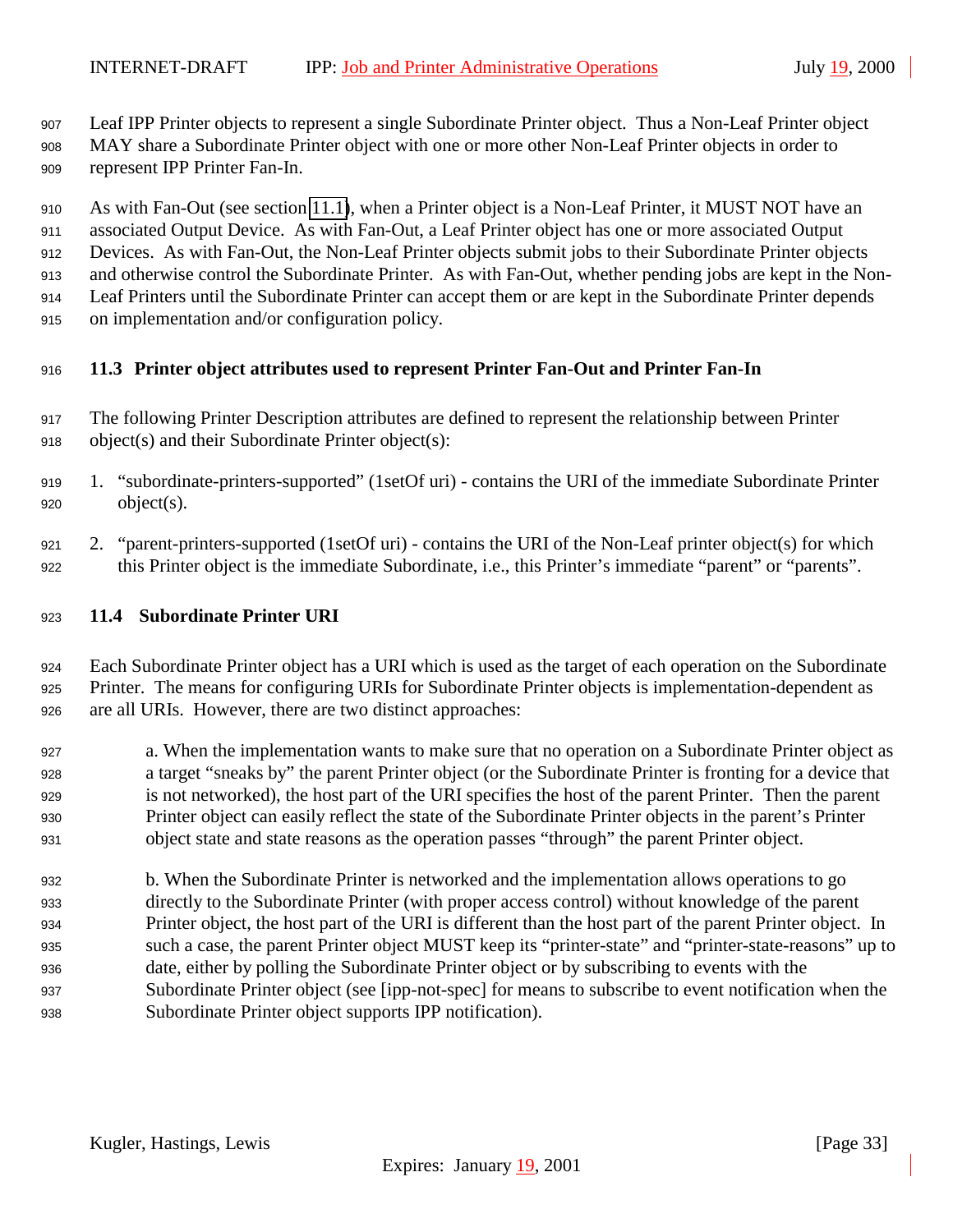<span id="page-32-0"></span>Leaf IPP Printer objects to represent a single Subordinate Printer object. Thus a Non-Leaf Printer object

 MAY share a Subordinate Printer object with one or more other Non-Leaf Printer objects in order to represent IPP Printer Fan-In.

 As with Fan-Out (see section [11.1\)](#page-31-0), when a Printer object is a Non-Leaf Printer, it MUST NOT have an associated Output Device. As with Fan-Out, a Leaf Printer object has one or more associated Output Devices. As with Fan-Out, the Non-Leaf Printer objects submit jobs to their Subordinate Printer objects and otherwise control the Subordinate Printer. As with Fan-Out, whether pending jobs are kept in the Non- Leaf Printers until the Subordinate Printer can accept them or are kept in the Subordinate Printer depends on implementation and/or configuration policy.

## **11.3 Printer object attributes used to represent Printer Fan-Out and Printer Fan-In**

- The following Printer Description attributes are defined to represent the relationship between Printer object(s) and their Subordinate Printer object(s):
- 1. "subordinate-printers-supported" (1setOf uri) contains the URI of the immediate Subordinate Printer object(s).
- 2. "parent-printers-supported (1setOf uri) contains the URI of the Non-Leaf printer object(s) for which this Printer object is the immediate Subordinate, i.e., this Printer's immediate "parent" or "parents".

## **11.4 Subordinate Printer URI**

 Each Subordinate Printer object has a URI which is used as the target of each operation on the Subordinate Printer. The means for configuring URIs for Subordinate Printer objects is implementation-dependent as are all URIs. However, there are two distinct approaches:

- a. When the implementation wants to make sure that no operation on a Subordinate Printer object as a target "sneaks by" the parent Printer object (or the Subordinate Printer is fronting for a device that is not networked), the host part of the URI specifies the host of the parent Printer. Then the parent Printer object can easily reflect the state of the Subordinate Printer objects in the parent's Printer object state and state reasons as the operation passes "through" the parent Printer object.
- b. When the Subordinate Printer is networked and the implementation allows operations to go directly to the Subordinate Printer (with proper access control) without knowledge of the parent Printer object, the host part of the URI is different than the host part of the parent Printer object. In such a case, the parent Printer object MUST keep its "printer-state" and "printer-state-reasons" up to date, either by polling the Subordinate Printer object or by subscribing to events with the Subordinate Printer object (see [ipp-not-spec] for means to subscribe to event notification when the Subordinate Printer object supports IPP notification).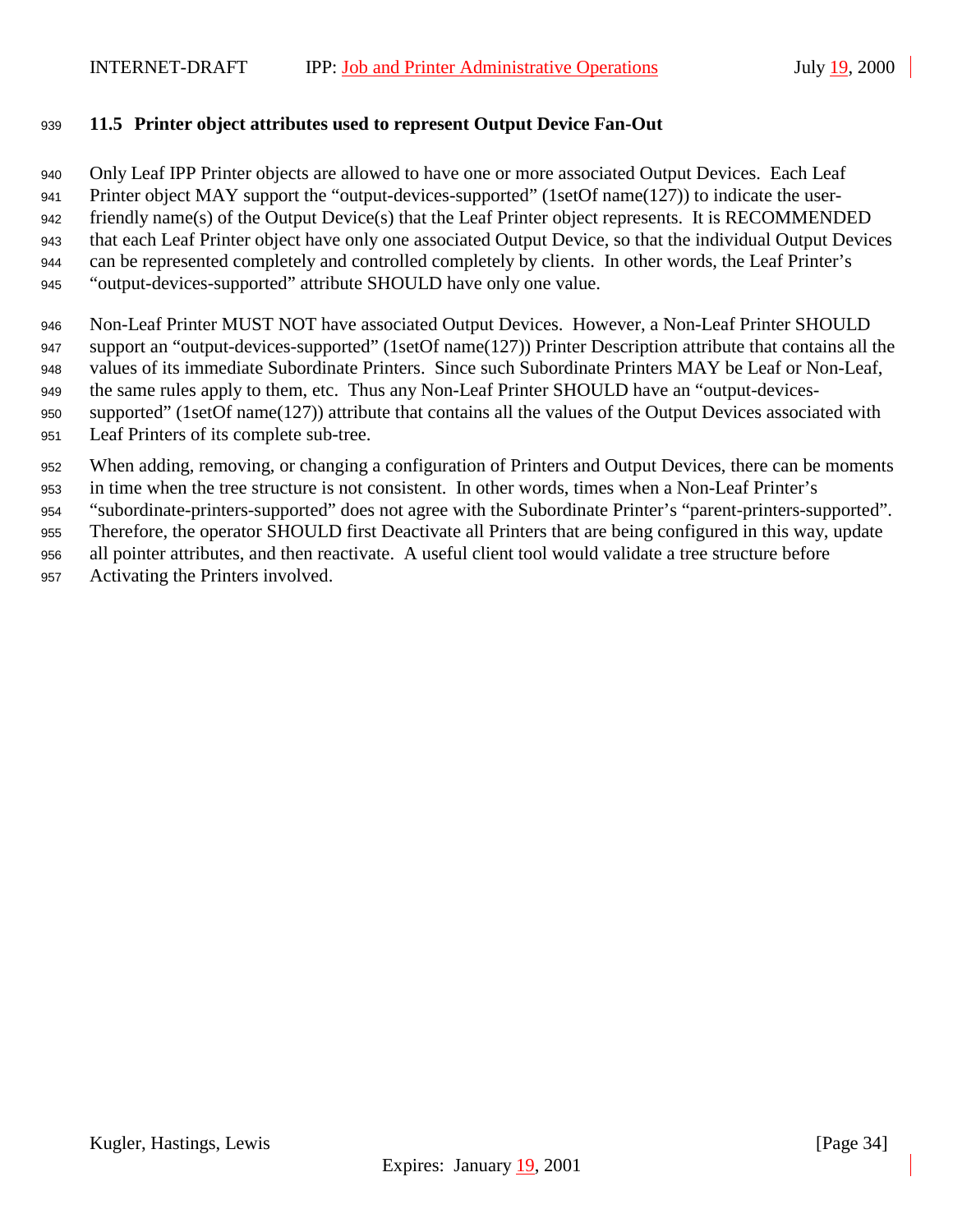## <span id="page-33-0"></span>**11.5 Printer object attributes used to represent Output Device Fan-Out**

 Only Leaf IPP Printer objects are allowed to have one or more associated Output Devices. Each Leaf Printer object MAY support the "output-devices-supported" (1setOf name(127)) to indicate the user- friendly name(s) of the Output Device(s) that the Leaf Printer object represents. It is RECOMMENDED that each Leaf Printer object have only one associated Output Device, so that the individual Output Devices can be represented completely and controlled completely by clients. In other words, the Leaf Printer's "output-devices-supported" attribute SHOULD have only one value.

- Non-Leaf Printer MUST NOT have associated Output Devices. However, a Non-Leaf Printer SHOULD 947 support an "output-devices-supported" (1setOf name(127)) Printer Description attribute that contains all the values of its immediate Subordinate Printers. Since such Subordinate Printers MAY be Leaf or Non-Leaf, 949 the same rules apply to them, etc. Thus any Non-Leaf Printer SHOULD have an "output-devices- supported" (1setOf name(127)) attribute that contains all the values of the Output Devices associated with Leaf Printers of its complete sub-tree.
- When adding, removing, or changing a configuration of Printers and Output Devices, there can be moments

 in time when the tree structure is not consistent. In other words, times when a Non-Leaf Printer's "subordinate-printers-supported" does not agree with the Subordinate Printer's "parent-printers-supported".

- Therefore, the operator SHOULD first Deactivate all Printers that are being configured in this way, update
- all pointer attributes, and then reactivate. A useful client tool would validate a tree structure before
- Activating the Printers involved.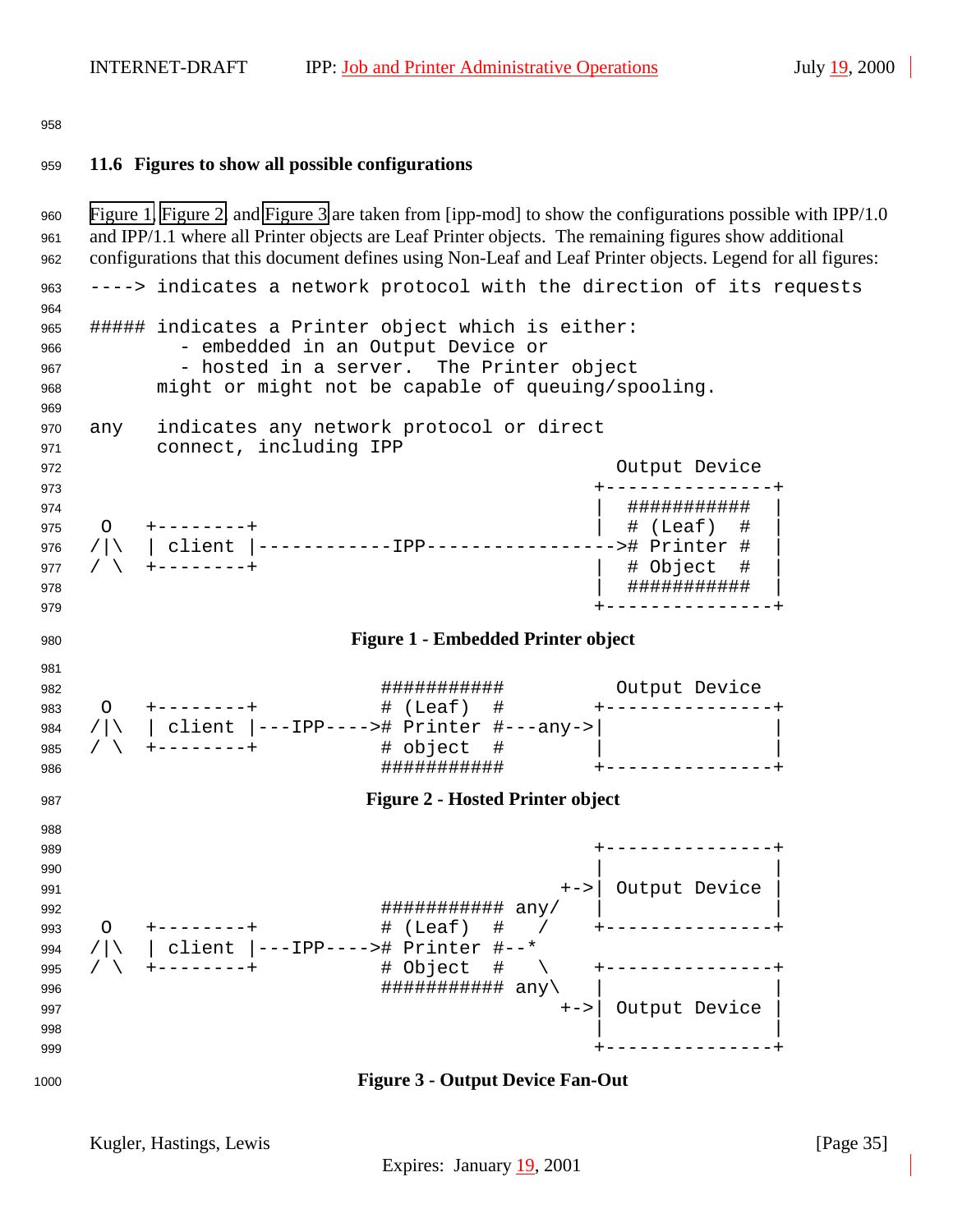<span id="page-34-0"></span>

#### **11.6 Figures to show all possible configurations**

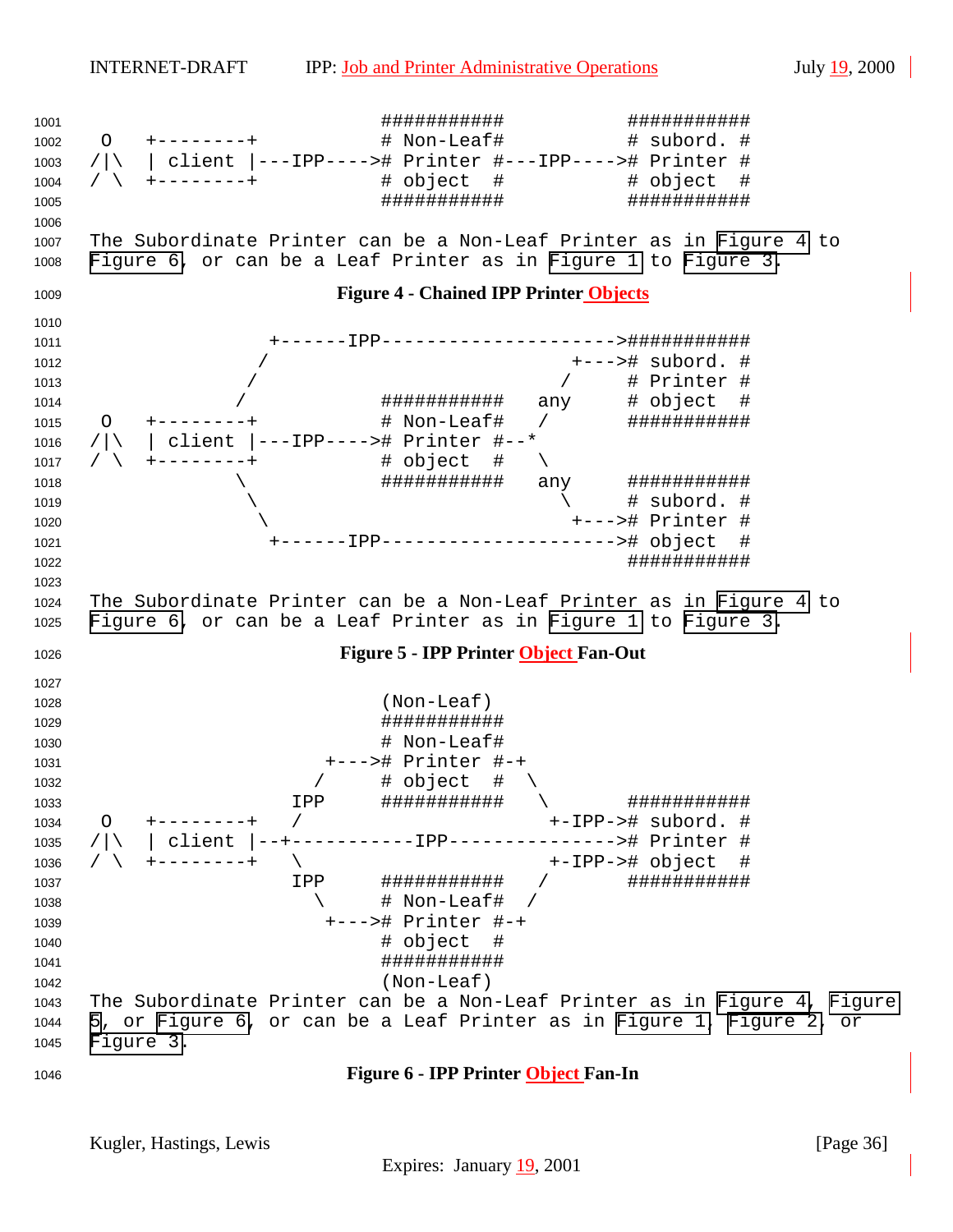<span id="page-35-0"></span> ########### ########### O +--------+ # Non-Leaf# # subord. # /|\ | client |---IPP----># Printer #---IPP----># Printer # / \ +--------+ # object # # object # ########### ########### The Subordinate Printer can be a Non-Leaf Printer as in Figure 4 to Figure 6, or can be a Leaf Printer as in [Figure 1](#page-34-0) to [Figure 3.](#page-34-0) **Figure 4 - Chained IPP Printer Objects** +------IPP--------------------->########### / +---># subord. # / / # Printer # / ########### any # object # O +--------+ # Non-Leaf# / ########### /|\ | client |---IPP----># Printer #--\* / \ +--------+ # object # \ \ ########### any ###########  $\qquad \qquad \backslash$  \ +---># Printer # +------IPP---------------------># object # ########### The Subordinate Printer can be a Non-Leaf Printer as in Figure 4 to Figure 6, or can be a Leaf Printer as in [Figure 1](#page-34-0) to [Figure 3.](#page-34-0) **Figure 5 - IPP Printer Object Fan-Out** (Non-Leaf) ########### # Non-Leaf# +---># Printer #-+ 1032 / # object # \ IPP ########### \ ########### O +--------+ / +-IPP-># subord. # /|\ | client |--+-----------IPP---------------># Printer # / \ +--------+ \ +-IPP-># object # IPP ########### / ###########  $\qquad \qquad \qquad +$  Non-Leaf# / +---># Printer #-+ # object # ########### (Non-Leaf) The Subordinate Printer can be a Non-Leaf Printer as in Figure 4, Figure 5, or Figure 6, or can be a Leaf Printer as in [Figure 1, Figure 2,](#page-34-0) or [Figure 3.](#page-34-0) **Figure 6 - IPP Printer Object Fan-In**

Kugler, Hastings, Lewis [Page 36]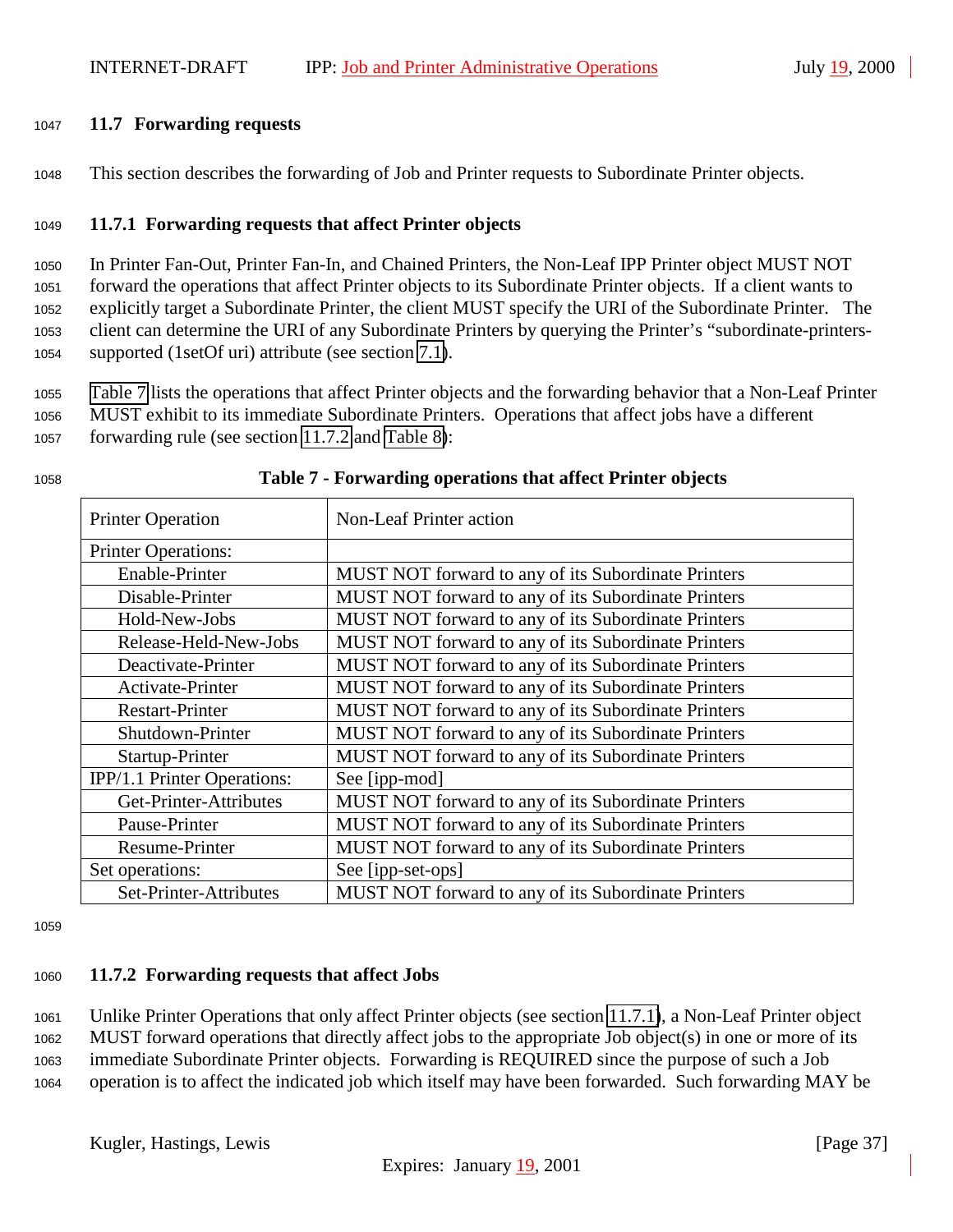#### <span id="page-36-0"></span><sup>1047</sup> **11.7 Forwarding requests**

<sup>1048</sup> This section describes the forwarding of Job and Printer requests to Subordinate Printer objects.

#### <sup>1049</sup> **11.7.1 Forwarding requests that affect Printer objects**

 In Printer Fan-Out, Printer Fan-In, and Chained Printers, the Non-Leaf IPP Printer object MUST NOT forward the operations that affect Printer objects to its Subordinate Printer objects. If a client wants to explicitly target a Subordinate Printer, the client MUST specify the URI of the Subordinate Printer. The client can determine the URI of any Subordinate Printers by querying the Printer's "subordinate-printers-supported (1setOf uri) attribute (see section [7.1\)](#page-29-0).

<sup>1055</sup> Table 7 lists the operations that affect Printer objects and the forwarding behavior that a Non-Leaf Printer <sup>1056</sup> MUST exhibit to its immediate Subordinate Printers. Operations that affect jobs have a different

<sup>1057</sup> forwarding rule (see section 11.7.2 and [Table 8\)](#page-37-0):

| <b>Printer Operation</b>    | Non-Leaf Printer action                             |
|-----------------------------|-----------------------------------------------------|
| <b>Printer Operations:</b>  |                                                     |
| Enable-Printer              | MUST NOT forward to any of its Subordinate Printers |
| Disable-Printer             | MUST NOT forward to any of its Subordinate Printers |
| Hold-New-Jobs               | MUST NOT forward to any of its Subordinate Printers |
| Release-Held-New-Jobs       | MUST NOT forward to any of its Subordinate Printers |
| Deactivate-Printer          | MUST NOT forward to any of its Subordinate Printers |
| Activate-Printer            | MUST NOT forward to any of its Subordinate Printers |
| <b>Restart-Printer</b>      | MUST NOT forward to any of its Subordinate Printers |
| Shutdown-Printer            | MUST NOT forward to any of its Subordinate Printers |
| Startup-Printer             | MUST NOT forward to any of its Subordinate Printers |
| IPP/1.1 Printer Operations: | See [ipp-mod]                                       |
| Get-Printer-Attributes      | MUST NOT forward to any of its Subordinate Printers |
| Pause-Printer               | MUST NOT forward to any of its Subordinate Printers |
| Resume-Printer              | MUST NOT forward to any of its Subordinate Printers |
| Set operations:             | See [ipp-set-ops]                                   |
| Set-Printer-Attributes      | MUST NOT forward to any of its Subordinate Printers |

#### <sup>1058</sup> **Table 7 - Forwarding operations that affect Printer objects**

1059

#### <sup>1060</sup> **11.7.2 Forwarding requests that affect Jobs**

<sup>1061</sup> Unlike Printer Operations that only affect Printer objects (see section 11.7.1), a Non-Leaf Printer object <sup>1062</sup> MUST forward operations that directly affect jobs to the appropriate Job object(s) in one or more of its <sup>1063</sup> immediate Subordinate Printer objects. Forwarding is REQUIRED since the purpose of such a Job

<sup>1064</sup> operation is to affect the indicated job which itself may have been forwarded. Such forwarding MAY be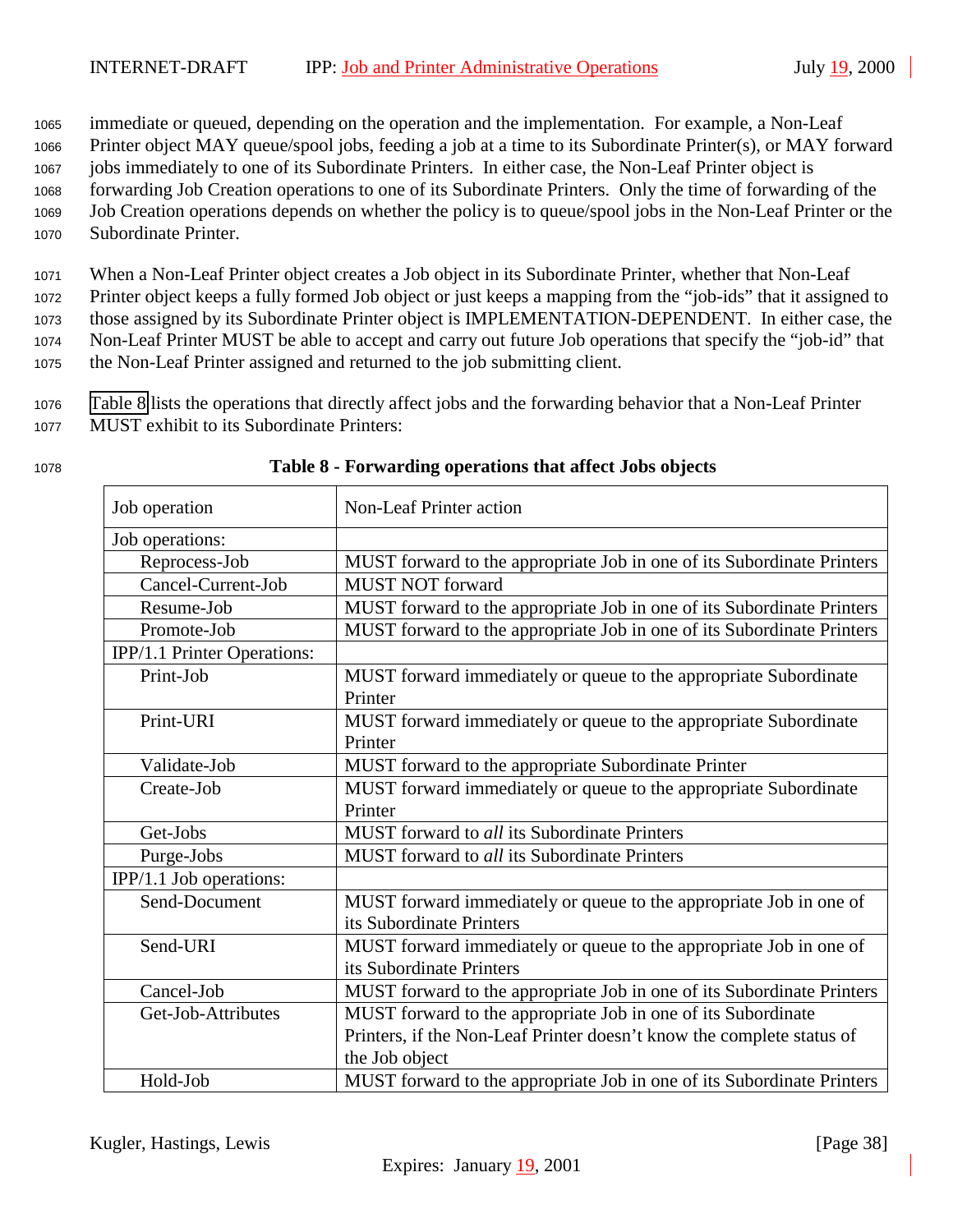<span id="page-37-0"></span><sup>1065</sup> immediate or queued, depending on the operation and the implementation. For example, a Non-Leaf

<sup>1066</sup> Printer object MAY queue/spool jobs, feeding a job at a time to its Subordinate Printer(s), or MAY forward

<sup>1067</sup> jobs immediately to one of its Subordinate Printers. In either case, the Non-Leaf Printer object is

- <sup>1068</sup> forwarding Job Creation operations to one of its Subordinate Printers. Only the time of forwarding of the
- <sup>1069</sup> Job Creation operations depends on whether the policy is to queue/spool jobs in the Non-Leaf Printer or the
- <sup>1070</sup> Subordinate Printer.

<sup>1071</sup> When a Non-Leaf Printer object creates a Job object in its Subordinate Printer, whether that Non-Leaf <sup>1072</sup> Printer object keeps a fully formed Job object or just keeps a mapping from the "job-ids" that it assigned to

<sup>1073</sup> those assigned by its Subordinate Printer object is IMPLEMENTATION-DEPENDENT. In either case, the

<sup>1074</sup> Non-Leaf Printer MUST be able to accept and carry out future Job operations that specify the "job-id" that

<sup>1075</sup> the Non-Leaf Printer assigned and returned to the job submitting client.

<sup>1076</sup> Table 8 lists the operations that directly affect jobs and the forwarding behavior that a Non-Leaf Printer <sup>1077</sup> MUST exhibit to its Subordinate Printers:

| Job operation               | Non-Leaf Printer action                                                |
|-----------------------------|------------------------------------------------------------------------|
| Job operations:             |                                                                        |
| Reprocess-Job               | MUST forward to the appropriate Job in one of its Subordinate Printers |
| Cancel-Current-Job          | <b>MUST NOT forward</b>                                                |
| Resume-Job                  | MUST forward to the appropriate Job in one of its Subordinate Printers |
| Promote-Job                 | MUST forward to the appropriate Job in one of its Subordinate Printers |
| IPP/1.1 Printer Operations: |                                                                        |
| Print-Job                   | MUST forward immediately or queue to the appropriate Subordinate       |
|                             | Printer                                                                |
| Print-URI                   | MUST forward immediately or queue to the appropriate Subordinate       |
|                             | Printer                                                                |
| Validate-Job                | MUST forward to the appropriate Subordinate Printer                    |
| Create-Job                  | MUST forward immediately or queue to the appropriate Subordinate       |
|                             | Printer                                                                |
| Get-Jobs                    | MUST forward to all its Subordinate Printers                           |
| Purge-Jobs                  | <b>MUST</b> forward to all its Subordinate Printers                    |
| IPP/1.1 Job operations:     |                                                                        |
| Send-Document               | MUST forward immediately or queue to the appropriate Job in one of     |
|                             | its Subordinate Printers                                               |
| Send-URI                    | MUST forward immediately or queue to the appropriate Job in one of     |
|                             | its Subordinate Printers                                               |
| Cancel-Job                  | MUST forward to the appropriate Job in one of its Subordinate Printers |
| Get-Job-Attributes          | MUST forward to the appropriate Job in one of its Subordinate          |
|                             | Printers, if the Non-Leaf Printer doesn't know the complete status of  |
|                             | the Job object                                                         |
| Hold-Job                    | MUST forward to the appropriate Job in one of its Subordinate Printers |

#### <sup>1078</sup> **Table 8 - Forwarding operations that affect Jobs objects**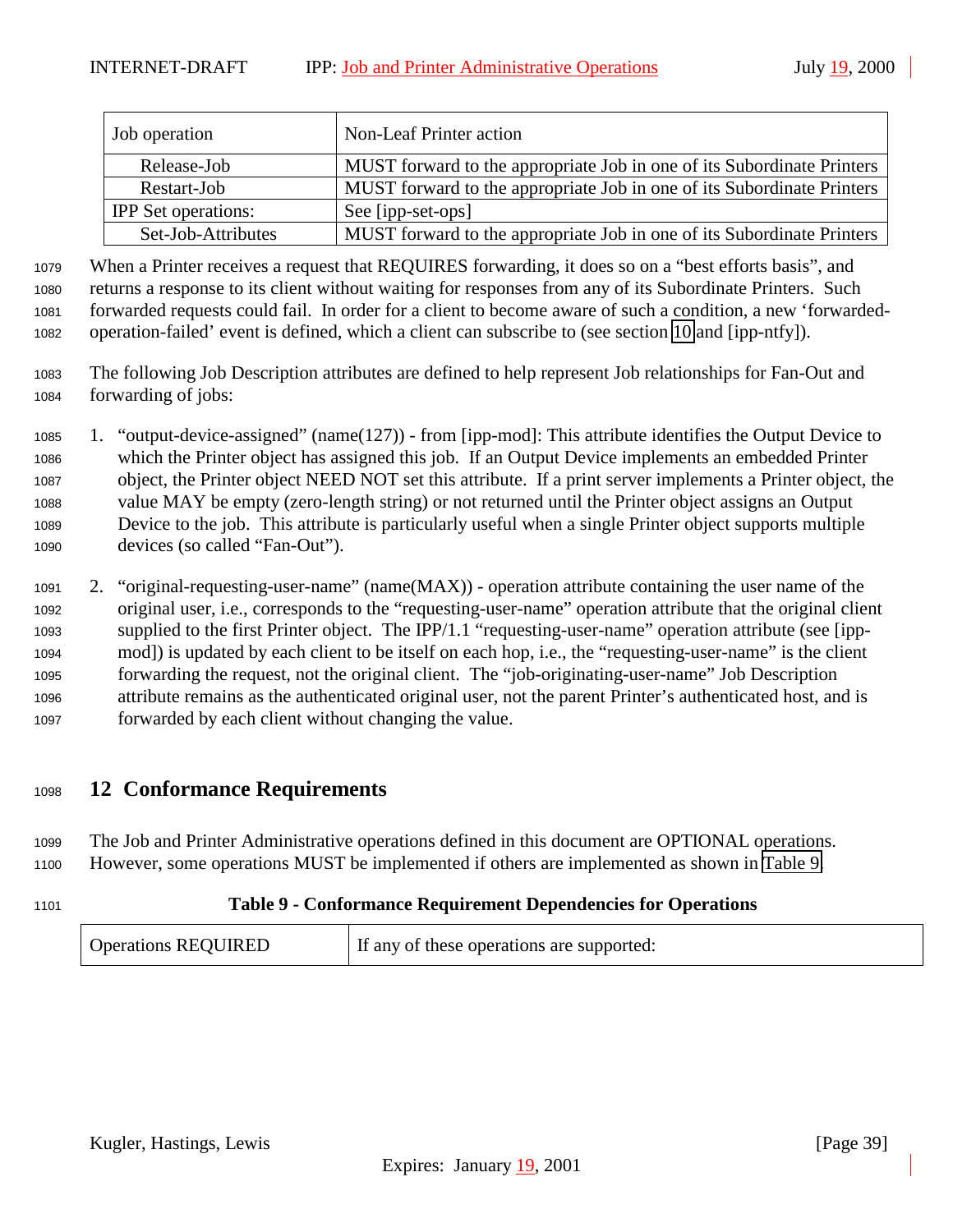<span id="page-38-0"></span>

| Job operation              | Non-Leaf Printer action                                                |
|----------------------------|------------------------------------------------------------------------|
| Release-Job                | MUST forward to the appropriate Job in one of its Subordinate Printers |
| Restart-Job                | MUST forward to the appropriate Job in one of its Subordinate Printers |
| <b>IPP</b> Set operations: | See [ipp-set-ops]                                                      |
| Set-Job-Attributes         | MUST forward to the appropriate Job in one of its Subordinate Printers |

 When a Printer receives a request that REQUIRES forwarding, it does so on a "best efforts basis", and returns a response to its client without waiting for responses from any of its Subordinate Printers. Such forwarded requests could fail. In order for a client to become aware of such a condition, a new 'forwarded-operation-failed' event is defined, which a client can subscribe to (see section [10](#page-31-0) and [ipp-ntfy]).

- The following Job Description attributes are defined to help represent Job relationships for Fan-Out and forwarding of jobs:
- 1. "output-device-assigned" (name(127)) from [ipp-mod]: This attribute identifies the Output Device to which the Printer object has assigned this job. If an Output Device implements an embedded Printer object, the Printer object NEED NOT set this attribute. If a print server implements a Printer object, the value MAY be empty (zero-length string) or not returned until the Printer object assigns an Output Device to the job. This attribute is particularly useful when a single Printer object supports multiple devices (so called "Fan-Out").
- 2. "original-requesting-user-name" (name(MAX)) operation attribute containing the user name of the original user, i.e., corresponds to the "requesting-user-name" operation attribute that the original client supplied to the first Printer object. The IPP/1.1 "requesting-user-name" operation attribute (see [ipp- mod]) is updated by each client to be itself on each hop, i.e., the "requesting-user-name" is the client forwarding the request, not the original client. The "job-originating-user-name" Job Description attribute remains as the authenticated original user, not the parent Printer's authenticated host, and is forwarded by each client without changing the value.

# **12 Conformance Requirements**

 The Job and Printer Administrative operations defined in this document are OPTIONAL operations. However, some operations MUST be implemented if others are implemented as shown in Table 9.

# **Table 9 - Conformance Requirement Dependencies for Operations**

| <b>Operations REQUIRED</b> | If any of these operations are supported: |
|----------------------------|-------------------------------------------|
|----------------------------|-------------------------------------------|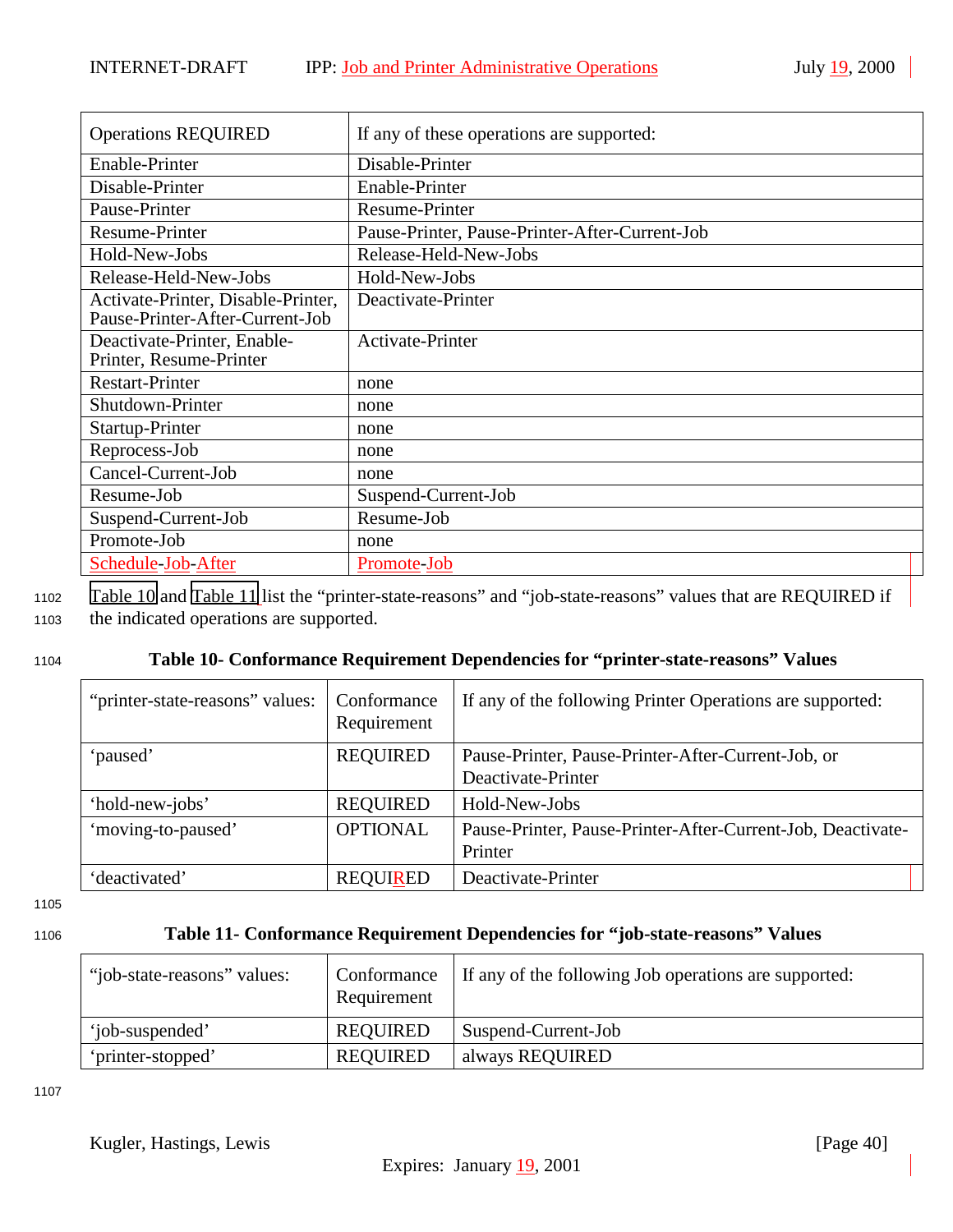<span id="page-39-0"></span>

| <b>Operations REQUIRED</b>                                            | If any of these operations are supported:      |
|-----------------------------------------------------------------------|------------------------------------------------|
| Enable-Printer                                                        | Disable-Printer                                |
| Disable-Printer                                                       | Enable-Printer                                 |
| Pause-Printer                                                         | Resume-Printer                                 |
| <b>Resume-Printer</b>                                                 | Pause-Printer, Pause-Printer-After-Current-Job |
| Hold-New-Jobs                                                         | Release-Held-New-Jobs                          |
| Release-Held-New-Jobs                                                 | Hold-New-Jobs                                  |
| Activate-Printer, Disable-Printer,<br>Pause-Printer-After-Current-Job | Deactivate-Printer                             |
| Deactivate-Printer, Enable-<br>Printer, Resume-Printer                | <b>Activate-Printer</b>                        |
| <b>Restart-Printer</b>                                                | none                                           |
| Shutdown-Printer                                                      | none                                           |
| Startup-Printer                                                       | none                                           |
| Reprocess-Job                                                         | none                                           |
| Cancel-Current-Job                                                    | none                                           |
| Resume-Job                                                            | Suspend-Current-Job                            |
| Suspend-Current-Job                                                   | Resume-Job                                     |
| Promote-Job                                                           | none                                           |
| Schedule-Job-After                                                    | Promote-Job                                    |

<sup>1102</sup> Table 10 and Table 11 list the "printer-state-reasons" and "job-state-reasons" values that are REQUIRED if <sup>1103</sup> the indicated operations are supported.

#### <sup>1104</sup> **Table 10- Conformance Requirement Dependencies for "printer-state-reasons" Values**

| "printer-state-reasons" values: | Conformance<br>Requirement | If any of the following Printer Operations are supported:                |  |
|---------------------------------|----------------------------|--------------------------------------------------------------------------|--|
| 'paused'                        | <b>REQUIRED</b>            | Pause-Printer, Pause-Printer-After-Current-Job, or<br>Deactivate-Printer |  |
| 'hold-new-jobs'                 | <b>REQUIRED</b>            | Hold-New-Jobs                                                            |  |
| 'moving-to-paused'              | <b>OPTIONAL</b>            | Pause-Printer, Pause-Printer-After-Current-Job, Deactivate-<br>Printer   |  |
| 'deactivated'                   | <b>REQUIRED</b>            | Deactivate-Printer                                                       |  |

1105

#### <sup>1106</sup> **Table 11- Conformance Requirement Dependencies for "job-state-reasons" Values**

| "job-state-reasons" values: | Conformance<br>Requirement | If any of the following Job operations are supported: |
|-----------------------------|----------------------------|-------------------------------------------------------|
| 'iob-suspended'             | <b>REQUIRED</b>            | Suspend-Current-Job                                   |
| 'printer-stopped'           | <b>REQUIRED</b>            | always REQUIRED                                       |

1107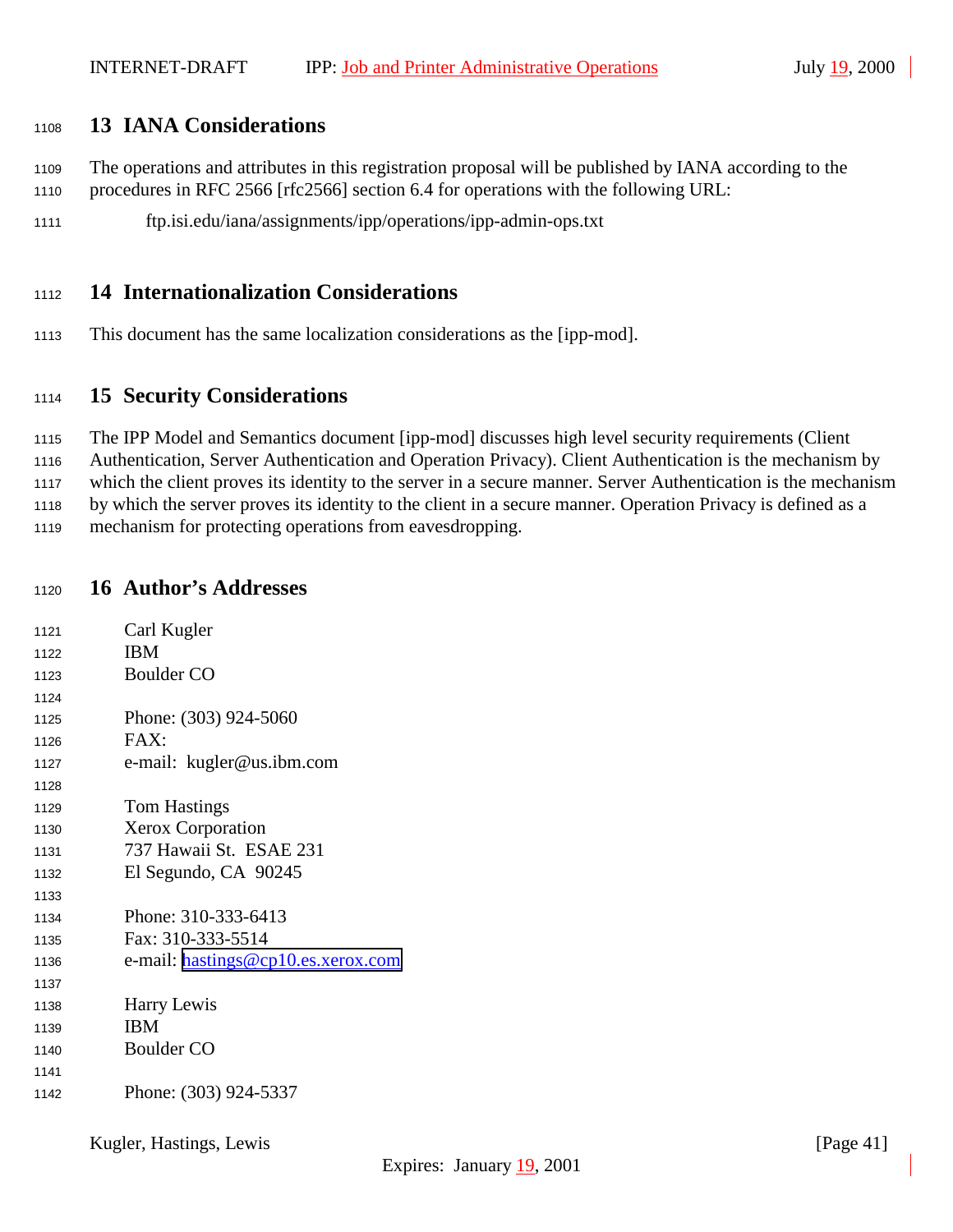# <span id="page-40-0"></span>**13 IANA Considerations**

- The operations and attributes in this registration proposal will be published by IANA according to the procedures in RFC 2566 [rfc2566] section 6.4 for operations with the following URL:
- ftp.isi.edu/iana/assignments/ipp/operations/ipp-admin-ops.txt

# **14 Internationalization Considerations**

This document has the same localization considerations as the [ipp-mod].

# **15 Security Considerations**

The IPP Model and Semantics document [ipp-mod] discusses high level security requirements (Client

Authentication, Server Authentication and Operation Privacy). Client Authentication is the mechanism by

which the client proves its identity to the server in a secure manner. Server Authentication is the mechanism

 by which the server proves its identity to the client in a secure manner. Operation Privacy is defined as a mechanism for protecting operations from eavesdropping.

## **16 Author's Addresses**

| 1121 | Carl Kugler                        |
|------|------------------------------------|
| 1122 | <b>IBM</b>                         |
| 1123 | <b>Boulder CO</b>                  |
| 1124 |                                    |
| 1125 | Phone: (303) 924-5060              |
| 1126 | FAX:                               |
| 1127 | e-mail: kugler@us.ibm.com          |
| 1128 |                                    |
| 1129 | <b>Tom Hastings</b>                |
| 1130 | <b>Xerox Corporation</b>           |
| 1131 | 737 Hawaii St. ESAE 231            |
| 1132 | El Segundo, CA 90245               |
| 1133 |                                    |
| 1134 | Phone: 310-333-6413                |
| 1135 | Fax: 310-333-5514                  |
| 1136 | e-mail: hastings@cp10.es.xerox.com |
| 1137 |                                    |
| 1138 | Harry Lewis                        |
| 1139 | <b>IBM</b>                         |
| 1140 | <b>Boulder CO</b>                  |
| 1141 |                                    |
| 1142 | Phone: (303) 924-5337              |

Kugler, Hastings, Lewis [Page 41]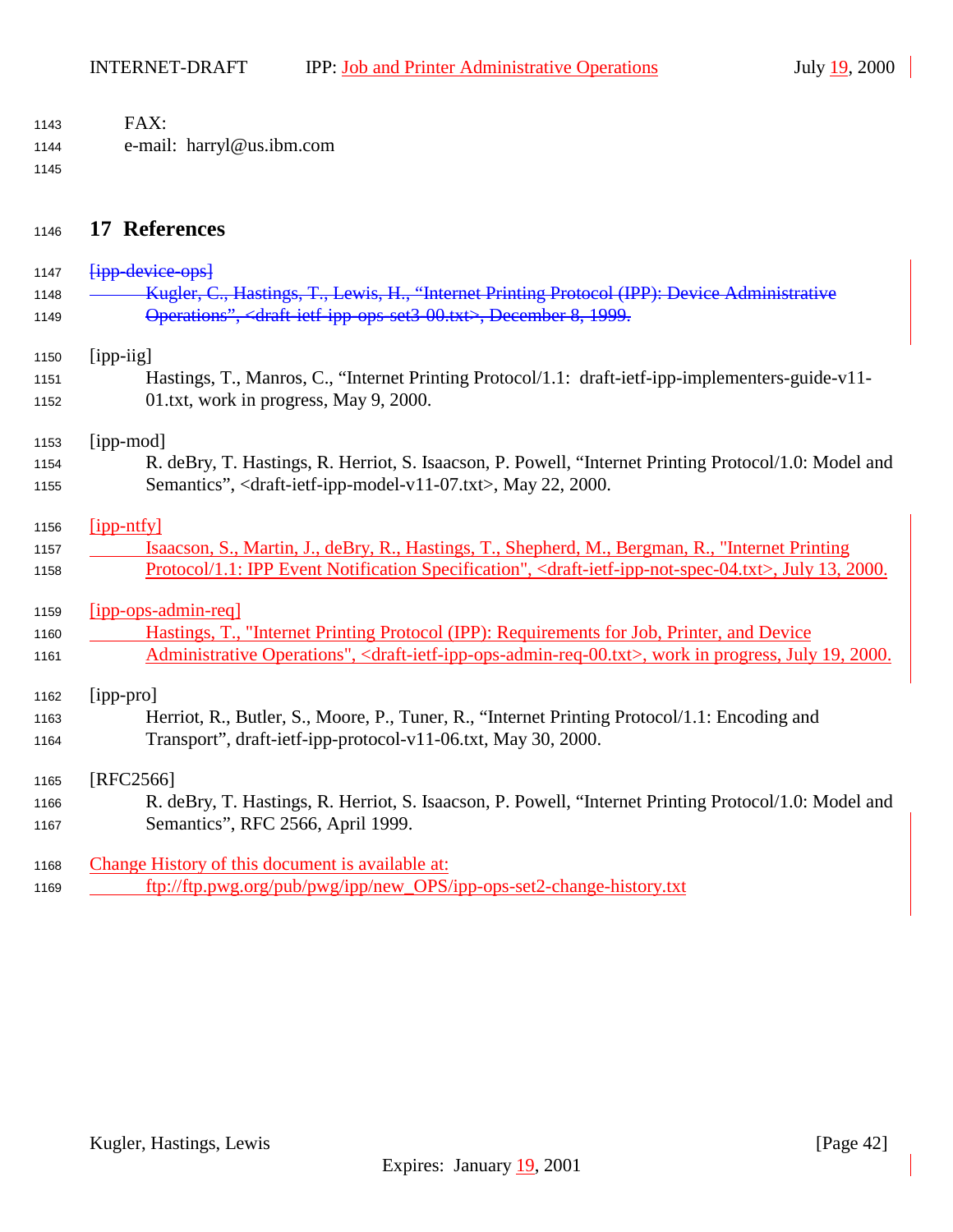<span id="page-41-0"></span>

| 1143 | FAX:                                                                                                                                      |
|------|-------------------------------------------------------------------------------------------------------------------------------------------|
| 1144 | e-mail: harryl@us.ibm.com                                                                                                                 |
| 1145 |                                                                                                                                           |
| 1146 | 17 References                                                                                                                             |
| 1147 | <b>Fipp-device-ops</b>                                                                                                                    |
| 1148 | Kugler, C., Hastings, T., Lewis, H., "Internet Printing Protocol (IPP): Device Administrative                                             |
| 1149 | Operations", <draft 00.txt="" ipp="" jetf="" ops="" set3="">, December 8, 1999.</draft>                                                   |
| 1150 | $[$ ipp-iig]                                                                                                                              |
| 1151 | Hastings, T., Manros, C., "Internet Printing Protocol/1.1: draft-ietf-ipp-implementers-guide-v11-                                         |
| 1152 | 01.txt, work in progress, May 9, 2000.                                                                                                    |
| 1153 | [ipp-mod]                                                                                                                                 |
| 1154 | R. deBry, T. Hastings, R. Herriot, S. Isaacson, P. Powell, "Internet Printing Protocol/1.0: Model and                                     |
| 1155 | Semantics", <draft-ietf-ipp-model-v11-07.txt>, May 22, 2000.</draft-ietf-ipp-model-v11-07.txt>                                            |
| 1156 | [ipp-ntfy]                                                                                                                                |
| 1157 | Isaacson, S., Martin, J., deBry, R., Hastings, T., Shepherd, M., Bergman, R., "Internet Printing                                          |
| 1158 | Protocol/1.1: IPP Event Notification Specification", <draft-ietf-ipp-not-spec-04.txt>, July 13, 2000.</draft-ietf-ipp-not-spec-04.txt>    |
| 1159 | $[$ ipp-ops-admin-req]                                                                                                                    |
| 1160 | Hastings, T., "Internet Printing Protocol (IPP): Requirements for Job, Printer, and Device                                                |
| 1161 | Administrative Operations", <draft-ietf-ipp-ops-admin-req-00.txt>, work in progress, July 19, 2000.</draft-ietf-ipp-ops-admin-req-00.txt> |
| 1162 | [ipp-pro]                                                                                                                                 |
| 1163 | Herriot, R., Butler, S., Moore, P., Tuner, R., "Internet Printing Protocol/1.1: Encoding and                                              |
| 1164 | Transport", draft-ietf-ipp-protocol-v11-06.txt, May 30, 2000.                                                                             |
| 1165 | [RFC2566]                                                                                                                                 |
| 1166 | R. deBry, T. Hastings, R. Herriot, S. Isaacson, P. Powell, "Internet Printing Protocol/1.0: Model and                                     |
| 1167 | Semantics", RFC 2566, April 1999.                                                                                                         |
| 1168 | Change History of this document is available at:                                                                                          |
| 1169 | ftp://ftp.pwg.org/pub/pwg/ipp/new_OPS/ipp-ops-set2-change-history.txt                                                                     |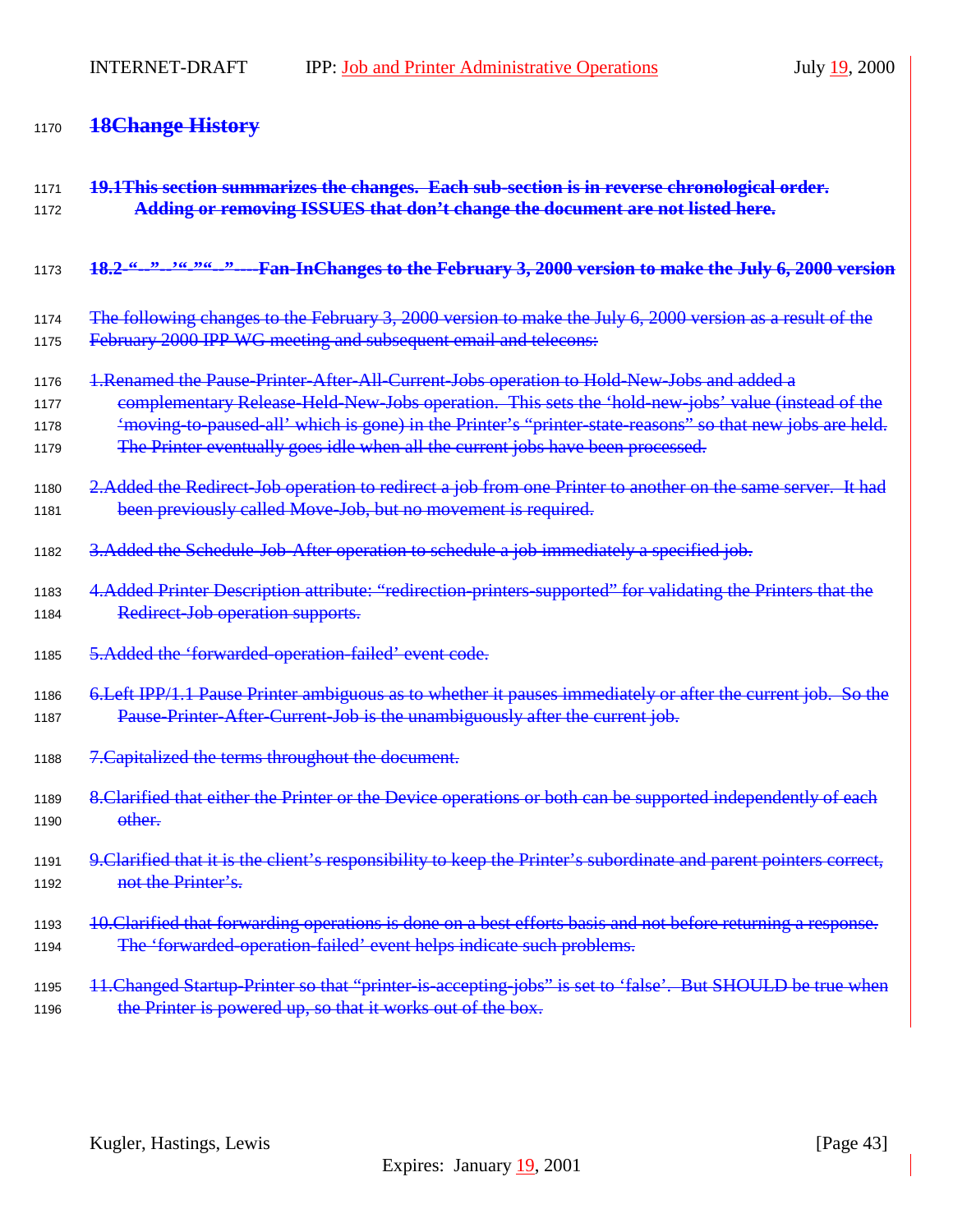# <sup>1170</sup> **18Change History**

| 1171 | 19.1This section summarizes the changes. Each sub-section is in reverse chronological order.                       |
|------|--------------------------------------------------------------------------------------------------------------------|
| 1172 | Adding or removing ISSUES that don't change the document are not listed here.                                      |
| 1173 | <u>18.2.66.39.366.3966.39</u><br>-Fan-InChanges to the February 3, 2000 version to make the July 6, 2000 version   |
| 1174 | The following changes to the February 3, 2000 version to make the July 6, 2000 version as a result of the          |
| 1175 | February 2000 IPP WG meeting and subsequent email and telecons:                                                    |
| 1176 | 1. Renamed the Pause-Printer-After-All-Current-Jobs operation to Hold-New-Jobs and added a                         |
| 1177 | complementary Release-Held-New-Jobs operation. This sets the 'hold-new-jobs' value (instead of the                 |
| 1178 | 'moving-to-paused-all' which is gone) in the Printer's "printer-state-reasons" so that new jobs are held.          |
| 1179 | The Printer eventually goes idle when all the current jobs have been processed.                                    |
| 1180 | 2. Added the Redirect Job operation to redirect a job from one Printer to another on the same server. It had       |
| 1181 | been previously called Move-Job, but no movement is required.                                                      |
| 1182 | 3. Added the Schedule-Job-After operation to schedule a job immediately a specified job.                           |
| 1183 | 4. Added Printer Description attribute: "redirection-printers supported" for validating the Printers that the      |
| 1184 | Redirect Job operation supports.                                                                                   |
| 1185 | 5. Added the 'forwarded-operation-failed' event code.                                                              |
| 1186 | 6. Left IPP/1.1 Pause Printer ambiguous as to whether it pauses immediately or after the current job. So the       |
| 1187 | Pause Printer After Current Job is the unambiguously after the current job.                                        |
| 1188 | 7. Capitalized the terms throughout the document.                                                                  |
| 1189 | 8. Clarified that either the Printer or the Device operations or both can be supported independently of each       |
| 1190 | other.                                                                                                             |
| 1191 | 9. Clarified that it is the client's responsibility to keep the Printer's subordinate and parent pointers correct, |
| 1192 | not the Printer's.                                                                                                 |
| 1193 | 10. Clarified that forwarding operations is done on a best efforts basis and not before returning a response.      |
| 1194 | The 'forwarded-operation-failed' event helps indicate such problems.                                               |
| 1195 | 11. Changed Startup Printer so that "printer is accepting jobs" is set to 'false'. But SHOULD be true when         |
| 1196 | the Printer is powered up, so that it works out of the box.                                                        |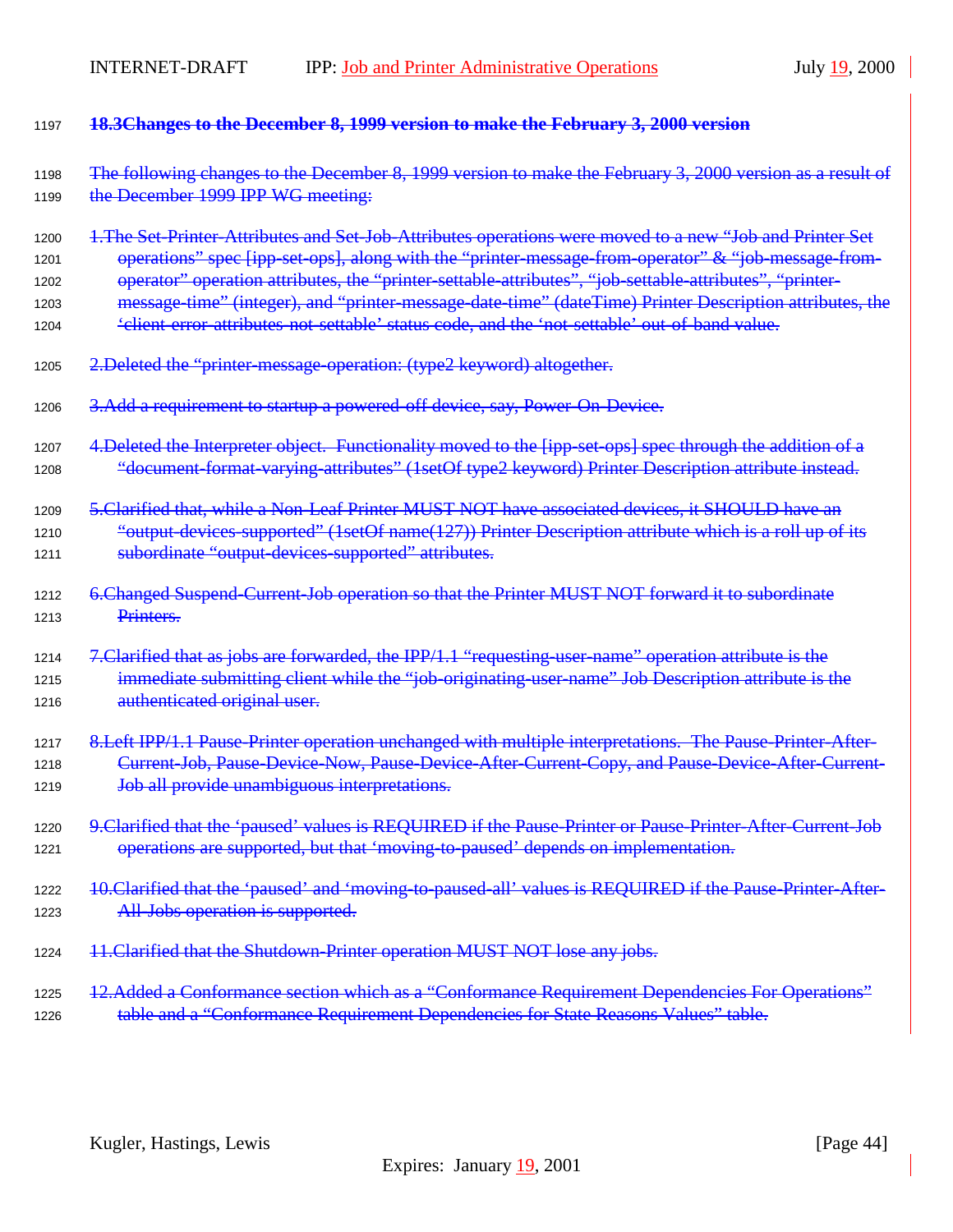| 1197         | 18.3Changes to the December 8, 1999 version to make the February 3, 2000 version                                                                                                                                |
|--------------|-----------------------------------------------------------------------------------------------------------------------------------------------------------------------------------------------------------------|
| 1198<br>1199 | The following changes to the December 8, 1999 version to make the February 3, 2000 version as a result of<br>the December 1999 IPP WG meeting:                                                                  |
| 1200         | 1. The Set Printer-Attributes and Set Job-Attributes operations were moved to a new "Job and Printer Set<br>operations" spec [ipp set ops], along with the "printer message from operator" & "job message from- |
| 1201         |                                                                                                                                                                                                                 |
| 1202         | operator" operation attributes, the "printer-settable-attributes", "job-settable-attributes", "printer-                                                                                                         |
| 1203<br>1204 | message-time" (integer), and "printer-message-date-time" (dateTime) Printer Description attributes, the<br><i>'elient error attributes not settable' status code, and the 'not settable' out of band value.</i> |
| 1205         | 2. Deleted the "printer message operation: (type2 keyword) altogether.                                                                                                                                          |
| 1206         | 3. Add a requirement to startup a powered-off device, say, Power-On-Device.                                                                                                                                     |
| 1207         | 4. Deleted the Interpreter object. Functionality moved to the [ipp-set-ops] spec through the addition of a                                                                                                      |
| 1208         | "document format varying attributes" (1setOf type2 keyword) Printer Description attribute instead.                                                                                                              |
| 1209         | 5. Clarified that, while a Non-Leaf Printer MUST NOT have associated devices, it SHOULD have an                                                                                                                 |
| 1210         | "output-devices-supported" (1setOf name(127)) Printer Description attribute which is a roll up of its                                                                                                           |
| 1211         | subordinate "output-devices-supported" attributes.                                                                                                                                                              |
| 1212<br>1213 | 6. Changed Suspend-Current-Job operation so that the Printer MUST NOT forward it to subordinate<br>Printers.                                                                                                    |
| 1214         | 7. Clarified that as jobs are forwarded, the IPP/1.1 "requesting-user-name" operation attribute is the                                                                                                          |
| 1215         | immediate submitting client while the "job-originating-user-name" Job Description attribute is the                                                                                                              |
| 1216         | authenticated original user.                                                                                                                                                                                    |
| 1217         | 8. Left IPP/1.1 Pause Printer operation unchanged with multiple interpretations. The Pause Printer-After-                                                                                                       |
| 1218         | Current Job, Pause Device Now, Pause Device After Current Copy, and Pause Device After Current                                                                                                                  |
| 1219         | Job all provide unambiguous interpretations.                                                                                                                                                                    |
| 1220         | 9. Clarified that the 'paused' values is REQUIRED if the Pause-Printer or Pause-Printer-After-Current-Job                                                                                                       |
| 1221         | operations are supported, but that 'moving to paused' depends on implementation.                                                                                                                                |
| 1222         | 10. Clarified that the 'paused' and 'moving to paused all' values is REQUIRED if the Pause Printer-After-                                                                                                       |
| 1223         | All-Jobs operation is supported.                                                                                                                                                                                |
| 1224         | 11. Clarified that the Shutdown-Printer operation MUST NOT lose any jobs.                                                                                                                                       |
| 1225         | 12.Added a Conformance section which as a "Conformance Requirement Dependencies For Operations"                                                                                                                 |
| 1226         | table and a "Conformance Requirement Dependencies for State Reasons Values" table.                                                                                                                              |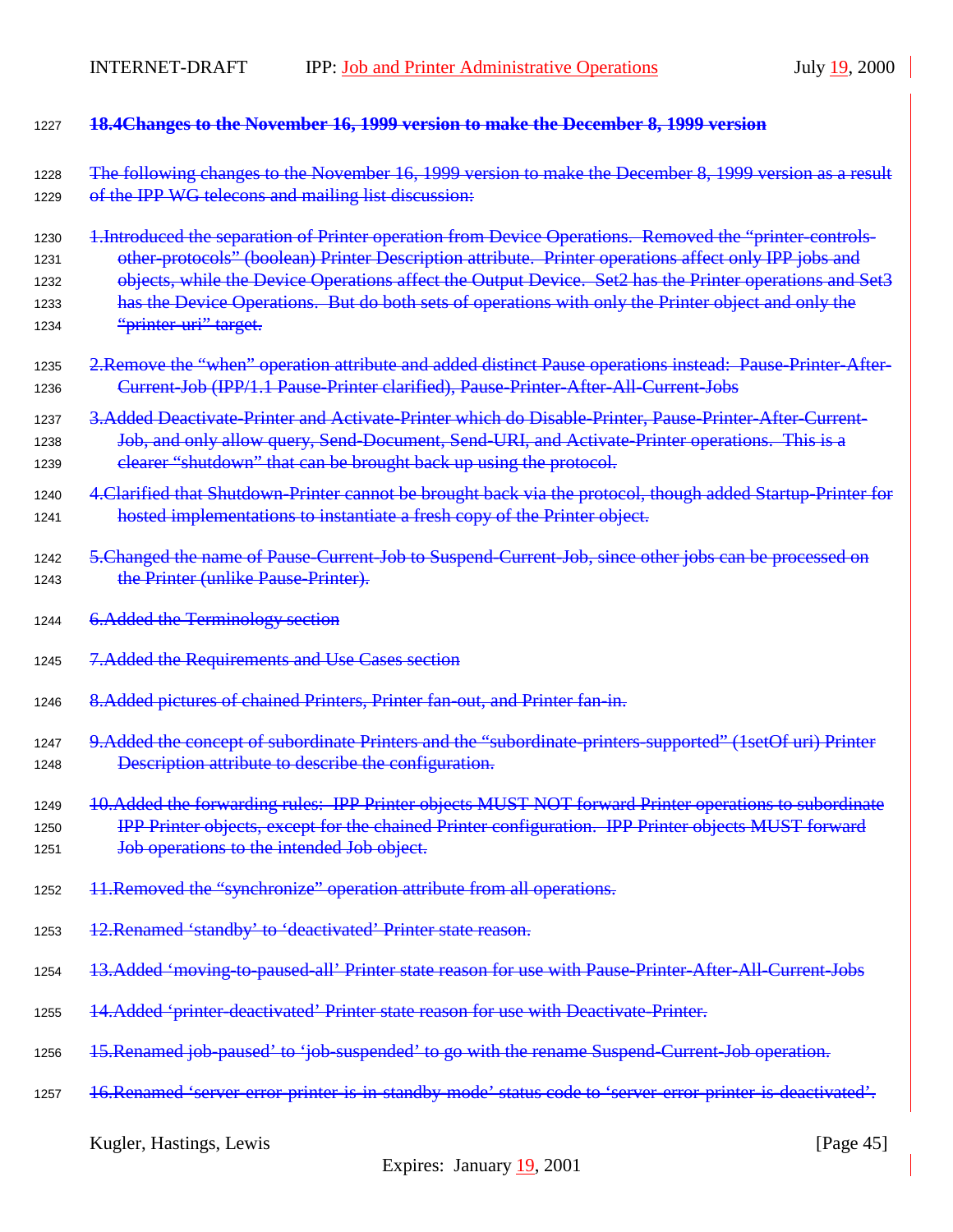| 1227 | 18.4Changes to the November 16, 1999 version to make the December 8, 1999 version                            |
|------|--------------------------------------------------------------------------------------------------------------|
| 1228 | The following changes to the November 16, 1999 version to make the December 8, 1999 version as a result      |
| 1229 | of the IPP WG telecons and mailing list discussion:                                                          |
| 1230 | 1. Introduced the separation of Printer operation from Device Operations. Removed the "printer controls-     |
| 1231 | other protocols" (boolean) Printer Description attribute. Printer operations affect only IPP jobs and        |
| 1232 | objects, while the Device Operations affect the Output Device. Set2 has the Printer operations and Set3      |
| 1233 | has the Device Operations. But do both sets of operations with only the Printer object and only the          |
| 1234 | "printer uri" target.                                                                                        |
| 1235 | 2. Remove the "when" operation attribute and added distinct Pause operations instead: Pause Printer-After-   |
| 1236 | Current-Job (IPP/1.1 Pause-Printer clarified), Pause-Printer-After-All-Current-Jobs                          |
| 1237 | 3. Added Deactivate Printer and Activate Printer which do Disable Printer, Pause Printer After Current-      |
| 1238 | Job, and only allow query, Send-Document, Send-URI, and Activate-Printer operations. This is a               |
| 1239 | elearer "shutdown" that can be brought back up using the protocol.                                           |
| 1240 | 4. Clarified that Shutdown-Printer cannot be brought back via the protocol, though added Startup-Printer for |
| 1241 | hosted implementations to instantiate a fresh copy of the Printer object.                                    |
| 1242 | 5. Changed the name of Pause Current Job to Suspend Current Job, since other jobs can be processed on        |
| 1243 | the Printer (unlike Pause Printer).                                                                          |
| 1244 | 6. Added the Terminology section                                                                             |
| 1245 | 7. Added the Requirements and Use Cases section                                                              |
| 1246 | 8. Added pictures of chained Printers, Printer fan-out, and Printer fan-in.                                  |
| 1247 | 9. Added the concept of subordinate Printers and the "subordinate printers supported" (1setOf uri) Printer   |
| 1248 | Description attribute to describe the configuration.                                                         |
| 1249 | 10. Added the forwarding rules: IPP Printer objects MUST NOT forward Printer operations to subordinate       |
| 1250 | IPP Printer objects, except for the chained Printer configuration. IPP Printer objects MUST forward          |
| 1251 | Job operations to the intended Job object.                                                                   |
| 1252 | 11. Removed the "synchronize" operation attribute from all operations.                                       |
| 1253 | 12. Renamed 'standby' to 'deactivated' Printer state reason.                                                 |
| 1254 | 13.Added 'moving-to-paused-all' Printer state reason for use with Pause-Printer-After-All-Current-Jobs       |
| 1255 | 14.Added 'printer deactivated' Printer state reason for use with Deactivate Printer.                         |
| 1256 | 15. Renamed job-paused' to 'job-suspended' to go with the rename Suspend-Current Job operation.              |
| 1257 | 16. Renamed 'server-error-printer-is-in-standby-mode' status code to 'server-error-printer-is-deactivated'.  |
|      | Kugler, Hastings, Lewis<br>[Page $45$ ]                                                                      |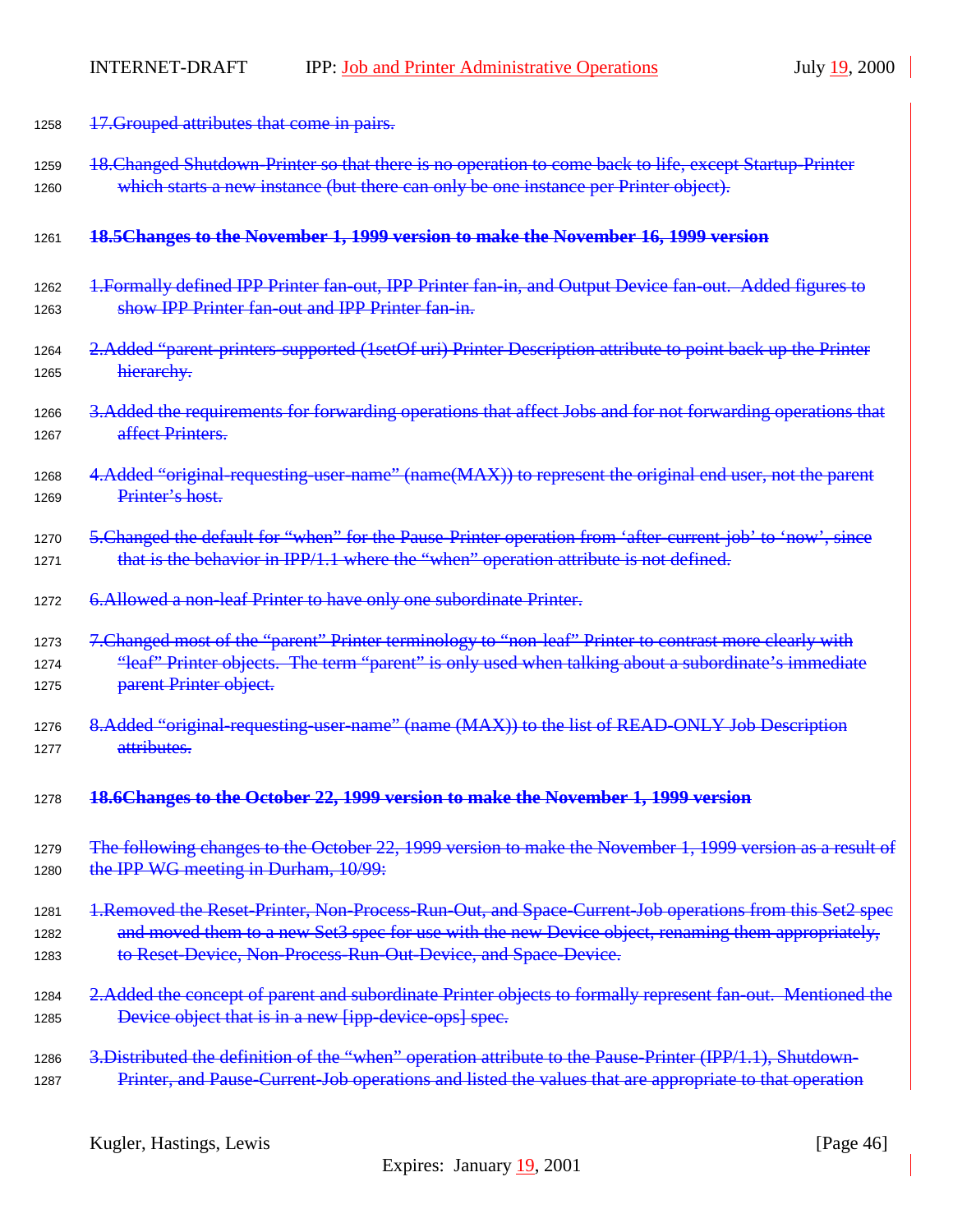| 1258 | 17. Grouped attributes that come in pairs.                                                                  |
|------|-------------------------------------------------------------------------------------------------------------|
| 1259 | 18. Changed Shutdown-Printer so that there is no operation to come back to life, except Startup-Printer     |
| 1260 | which starts a new instance (but there can only be one instance per Printer object).                        |
| 1261 | 18.5 Changes to the November 1, 1999 version to make the November 16, 1999 version                          |
| 1262 | 1. Formally defined IPP Printer fan-out, IPP Printer fan-in, and Output Device fan-out. Added figures to    |
| 1263 | show IPP Printer fan-out and IPP Printer fan-in-                                                            |
| 1264 | 2. Added "parent-printers-supported (1setOf uri) Printer Description attribute to point back up the Printer |
| 1265 | hierarchy.                                                                                                  |
| 1266 | 3. Added the requirements for forwarding operations that affect Jobs and for not forwarding operations that |
| 1267 | affect Printers.                                                                                            |
| 1268 | 4.Added "original-requesting-user-name" (name(MAX)) to represent the original end user, not the parent      |
| 1269 | Printer's host.                                                                                             |
| 1270 | 5. Changed the default for "when" for the Pause Printer operation from 'after current job' to 'now', since  |
| 1271 | that is the behavior in IPP/1.1 where the "when" operation attribute is not defined.                        |
| 1272 | 6. Allowed a non-leaf Printer to have only one subordinate Printer.                                         |
| 1273 | 7. Changed most of the "parent" Printer terminology to "non-leaf" Printer to contrast more clearly with     |
| 1274 | "leaf" Printer objects. The term "parent" is only used when talking about a subordinate's immediate         |
| 1275 | parent Printer object.                                                                                      |
| 1276 | 8. Added "original-requesting-user-name" (name (MAX)) to the list of READ-ONLY Job Description              |
| 1277 | attributes.                                                                                                 |
| 1278 | 18.6Changes to the October 22, 1999 version to make the November 1, 1999 version                            |
| 1279 | The following changes to the October 22, 1999 version to make the November 1, 1999 version as a result of   |
| 1280 | the IPP WG meeting in Durham, 10/99:                                                                        |
| 1281 | 1. Removed the Reset-Printer, Non-Process-Run-Out, and Space-Current-Job operations from this Set2 spee     |
| 1282 | and moved them to a new Set3 spec for use with the new Device object, renaming them appropriately,          |
| 1283 | to Reset Device, Non-Process-Run-Out-Device, and Space-Device.                                              |
| 1284 | 2. Added the concept of parent and subordinate Printer objects to formally represent fan-out. Mentioned the |
| 1285 | Device object that is in a new [ipp-device-ops] spec.                                                       |
| 1286 | 3. Distributed the definition of the "when" operation attribute to the Pause Printer (IPP/1.1), Shutdown-   |
| 1287 | Printer, and Pause Current Job operations and listed the values that are appropriate to that operation      |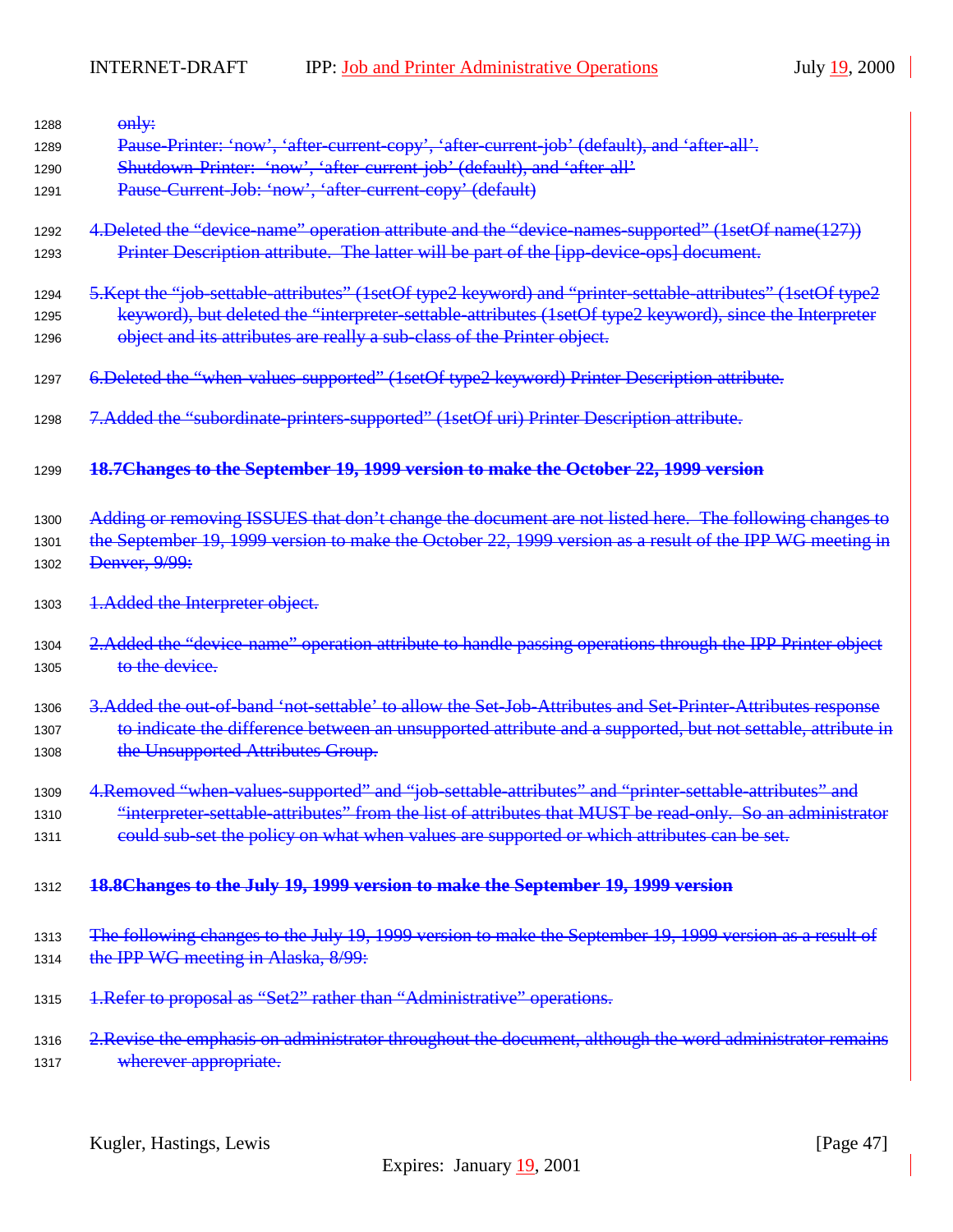| 1288 | only:                                                                                                        |
|------|--------------------------------------------------------------------------------------------------------------|
| 1289 | Pause-Printer: 'now', 'after-current-copy', 'after-current-job' (default), and 'after-all'.                  |
| 1290 | Shutdown-Printer: 'now', 'after-current-job' (default), and 'after-all'                                      |
| 1291 | Pause Current Job: 'now', 'after current copy' (default)                                                     |
| 1292 | 4. Deleted the "device-name" operation attribute and the "device-names-supported" (1setOf name(127))         |
| 1293 | Printer Description attribute. The latter will be part of the [ipp-device-ops] document.                     |
| 1294 | 5. Kept the "job-settable-attributes" (1setOf type2 keyword) and "printer-settable-attributes" (1setOf type2 |
| 1295 | keyword), but deleted the "interpreter settable attributes (1setOf type2 keyword), since the Interpreter     |
| 1296 | object and its attributes are really a sub-class of the Printer object.                                      |
| 1297 | 6. Deleted the "when-values-supported" (1setOf type2 keyword) Printer Description attribute.                 |
| 1298 | 7.Added the "subordinate-printers-supported" (1setOf uri) Printer Description attribute.                     |
| 1299 | 18.7 Changes to the September 19, 1999 version to make the October 22, 1999 version                          |
| 1300 | Adding or removing ISSUES that don't change the document are not listed here. The following changes to       |
| 1301 | the September 19, 1999 version to make the October 22, 1999 version as a result of the IPP WG meeting in     |
| 1302 | Denver, 9/99:                                                                                                |
| 1303 | 1. Added the Interpreter object.                                                                             |
| 1304 | 2. Added the "device-name" operation attribute to handle passing operations through the IPP Printer object   |
| 1305 | to the device.                                                                                               |
| 1306 | 3. Added the out-of-band 'not-settable' to allow the Set-Job-Attributes and Set-Printer-Attributes response  |
| 1307 | to indicate the difference between an unsupported attribute and a supported, but not settable, attribute in  |
| 1308 | the Unsupported Attributes Group.                                                                            |
| 1309 | 4. Removed "when values supported" and "job settable attributes" and "printer settable attributes" and       |
| 1310 | interpreter-settable-attributes" from the list of attributes that MUST be read-only. So an administrator"    |
| 1311 | could sub-set the policy on what when values are supported or which attributes can be set.                   |
| 1312 | 18.8Changes to the July 19, 1999 version to make the September 19, 1999 version                              |
| 1313 | The following changes to the July 19, 1999 version to make the September 19, 1999 version as a result of     |
| 1314 | the IPP WG meeting in Alaska, 8/99:                                                                          |
| 1315 | 1. Refer to proposal as "Set2" rather than "Administrative" operations.                                      |
| 1316 | 2. Revise the emphasis on administrator throughout the document, although the word administrator remains     |
| 1317 | wherever appropriate.                                                                                        |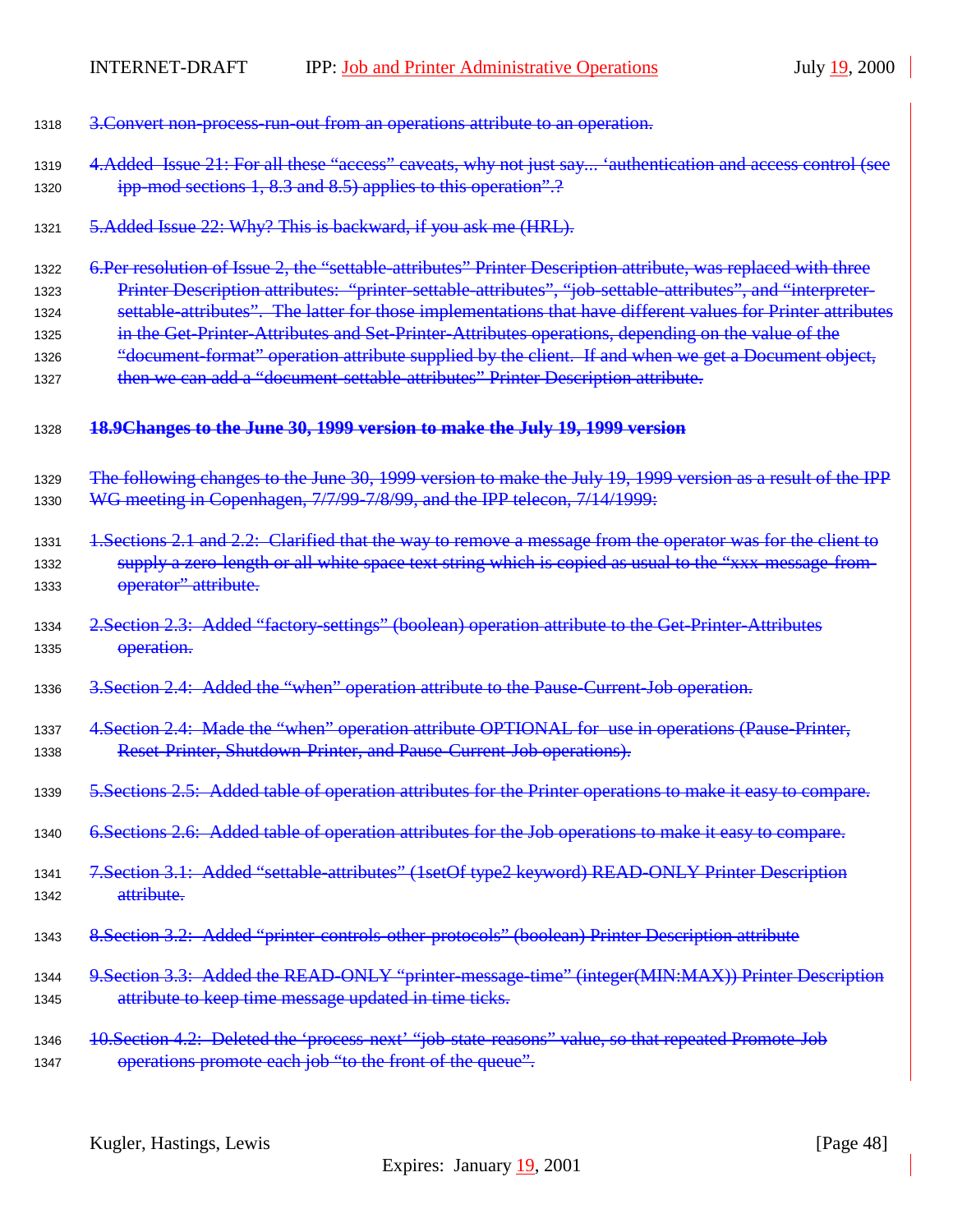| 1318 | 3. Convert non-process-run-out from an operations attribute to an operation.                                  |
|------|---------------------------------------------------------------------------------------------------------------|
| 1319 | 4. Added Issue 21: For all these "access" caveats, why not just say 'authentication and access control (see   |
| 1320 | ipp-mod sections 1, 8.3 and 8.5) applies to this operation".?                                                 |
| 1321 | 5. Added Issue 22: Why? This is backward, if you ask me (HRL).                                                |
| 1322 | 6.Per resolution of Issue 2, the "settable attributes" Printer Description attribute, was replaced with three |
| 1323 | Printer Description attributes: "printer-settable-attributes", "job-settable-attributes", and "interpreter-   |
| 1324 | settable-attributes". The latter for those implementations that have different values for Printer attributes  |
| 1325 | in the Get-Printer-Attributes and Set-Printer-Attributes operations, depending on the value of the            |
| 1326 | "document format" operation attribute supplied by the client. If and when we get a Document object,           |
| 1327 | then we can add a "document-settable-attributes" Printer Description attribute.                               |
| 1328 | 18.9Changes to the June 30, 1999 version to make the July 19, 1999 version                                    |
| 1329 | The following changes to the June 30, 1999 version to make the July 19, 1999 version as a result of the IPP   |
| 1330 | WG meeting in Copenhagen, 7/7/99-7/8/99, and the IPP telecon, 7/14/1999:                                      |
| 1331 | 1. Sections 2.1 and 2.2: Clarified that the way to remove a message from the operator was for the client to   |
| 1332 | supply a zero-length or all white space text string which is copied as usual to the "xxx-message-from-        |
| 1333 | operator" attribute.                                                                                          |
| 1334 | 2. Section 2.3: Added "factory settings" (boolean) operation attribute to the Get-Printer-Attributes          |
| 1335 | operation.                                                                                                    |
| 1336 | 3. Section 2.4: Added the "when" operation attribute to the Pause-Current-Job operation.                      |
| 1337 | 4. Section 2.4: Made the "when" operation attribute OPTIONAL for use in operations (Pause Printer,            |
| 1338 | Reset Printer, Shutdown Printer, and Pause Current Job operations).                                           |
| 1339 | 5. Sections 2.5: Added table of operation attributes for the Printer operations to make it easy to compare.   |
| 1340 | 6. Sections 2.6: Added table of operation attributes for the Job operations to make it easy to compare.       |
| 1341 | 7. Section 3.1: Added "settable-attributes" (1setOf type2 keyword) READ-ONLY Printer Description              |
| 1342 | attribute.                                                                                                    |
| 1343 | 8. Section 3.2: Added "printer controls other protocols" (boolean) Printer Description attribute              |
| 1344 | 9. Section 3.3: Added the READ-ONLY "printer-message-time" (integer(MIN:MAX)) Printer Description             |
| 1345 | attribute to keep time message updated in time ticks.                                                         |
| 1346 | 10. Section 4.2: Deleted the 'process-next' "job-state-reasons" value, so that repeated Promote-Job           |
| 1347 | operations promote each job "to the front of the queue".                                                      |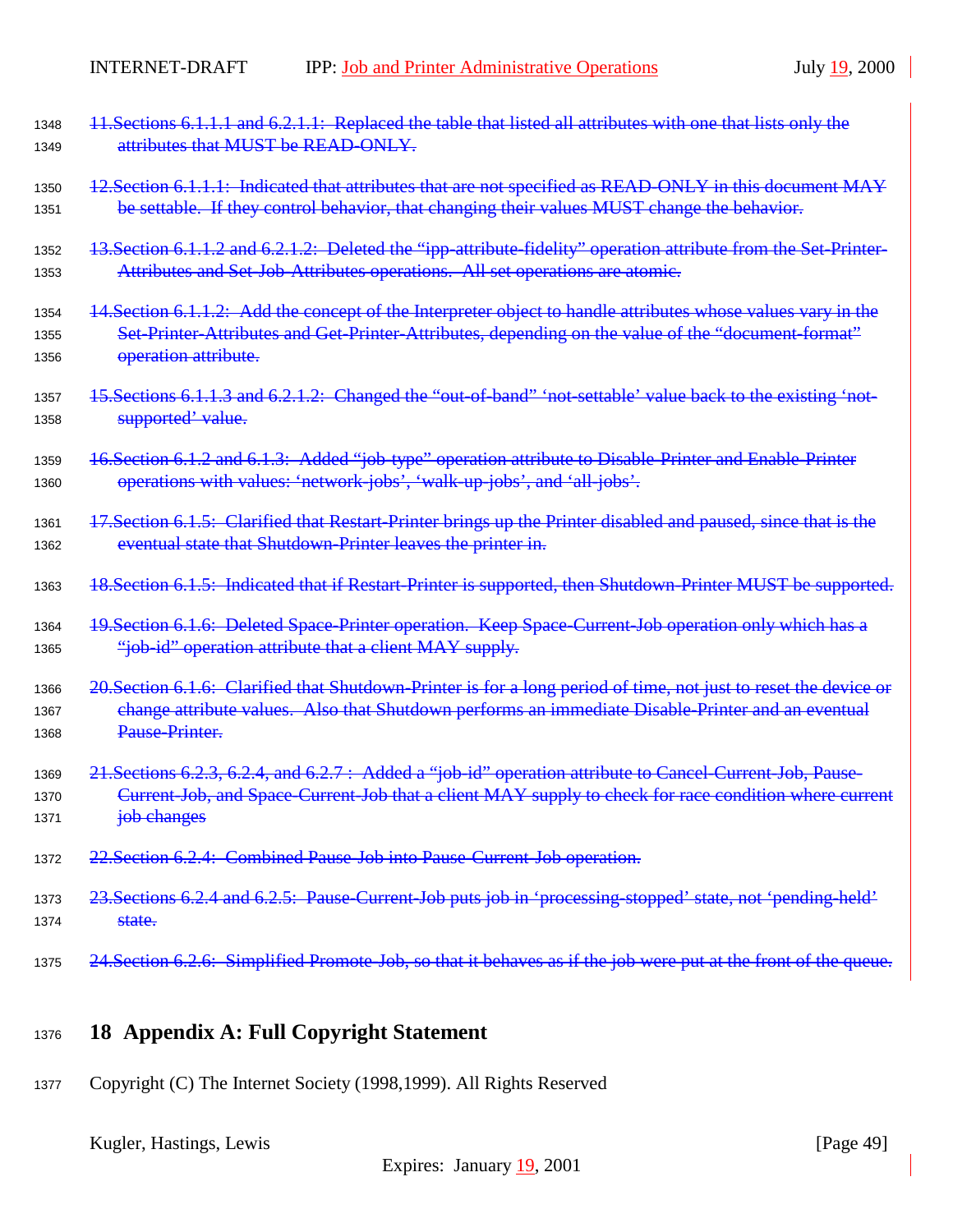<span id="page-48-0"></span>

| 1348         | 11. Sections 6.1.1.1 and 6.2.1.1: Replaced the table that listed all attributes with one that lists only the               |
|--------------|----------------------------------------------------------------------------------------------------------------------------|
| 1349         | attributes that MUST be READ-ONLY.                                                                                         |
| 1350         | 12. Section 6.1.1.1: Indicated that attributes that are not specified as READ-ONLY in this document MAY                    |
| 1351         | be settable. If they control behavior, that changing their values MUST change the behavior.                                |
| 1352         | 13. Section 6.1.1.2 and 6.2.1.2: Deleted the "ipp-attribute-fidelity" operation attribute from the Set-Printer-            |
| 1353         | Attributes and Set-Job-Attributes operations. All set operations are atomic.                                               |
| 1354         | 14. Section 6.1.1.2: Add the concept of the Interpreter object to handle attributes whose values vary in the               |
| 1355<br>1356 | Set-Printer-Attributes and Get-Printer-Attributes, depending on the value of the "document-format"<br>operation attribute. |
| 1357         | 15. Sections 6.1.1.3 and 6.2.1.2: Changed the "out-of-band" 'not-settable' value back to the existing 'not-                |
| 1358         | supported' value.                                                                                                          |
| 1359         | 16. Section 6.1. 2 and 6.1. 3: Added "job type" operation attribute to Disable Printer and Enable Printer                  |
| 1360         | operations with values: 'network jobs', 'walk up jobs', and 'all jobs'.                                                    |
| 1361         | 17. Section 6.1.5: Clarified that Restart-Printer brings up the Printer disabled and paused, since that is the             |
| 1362         | eventual state that Shutdown-Printer leaves the printer in.                                                                |
| 1363         | 18. Section 6.1.5: Indicated that if Restart Printer is supported, then Shutdown Printer MUST be supported.                |
| 1364         | 19. Section 6.1.6: Deleted Space Printer operation. Keep Space Current Job operation only which has a                      |
| 1365         | "job-id" operation attribute that a client MAY supply.                                                                     |
| 1366         | 20. Section 6.1.6: Clarified that Shutdown-Printer is for a long period of time, not just to reset the device or           |
| 1367         | change attribute values. Also that Shutdown performs an immediate Disable-Printer and an eventual                          |
| 1368         | Pause Printer.                                                                                                             |
| 1369         | 21. Sections 6.2.3, 6.2.4, and 6.2.7: Added a "job id" operation attribute to Cancel Current Job, Pause                    |
| 1370         | Current-Job, and Space-Current-Job that a client MAY supply to check for race condition where current                      |
| 1371         | job changes                                                                                                                |
| 1372         | 22. Section 6.2.4: Combined Pause Job into Pause Current Job operation.                                                    |
| 1373         | 23. Sections 6.2.4 and 6.2.5: Pause Current Job puts job in 'processing stopped' state, not 'pending held'                 |
| 1374         | state.                                                                                                                     |
| 1375         | 24. Section 6.2.6: Simplified Promote-Job, so that it behaves as if the job were put at the front of the queue.            |

# <sup>1376</sup> **18 Appendix A: Full Copyright Statement**

<sup>1377</sup> Copyright (C) The Internet Society (1998,1999). All Rights Reserved

Kugler, Hastings, Lewis [Page 49]